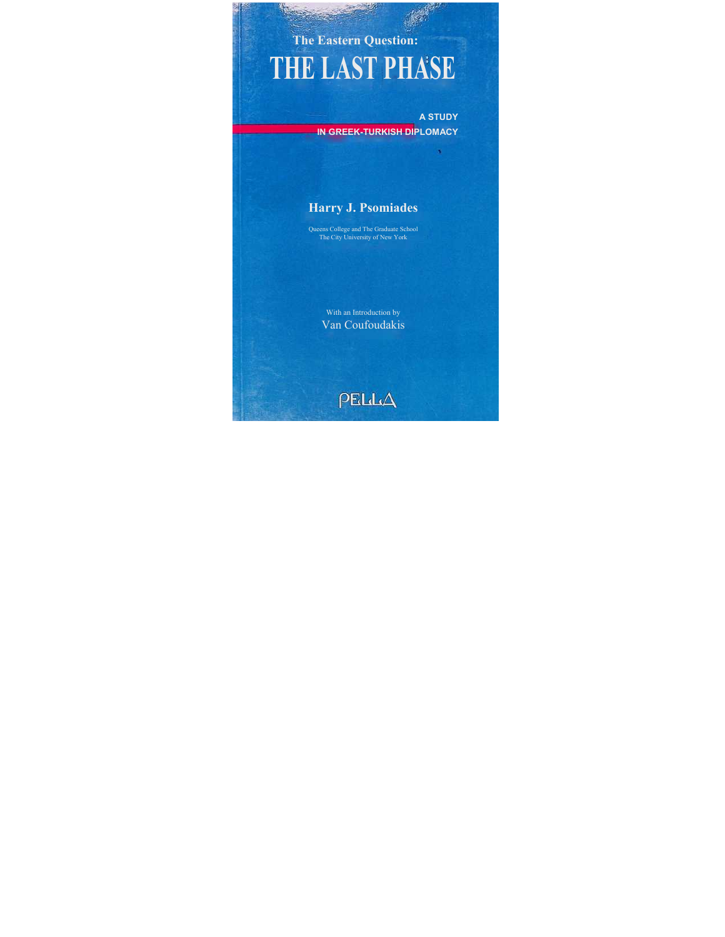# **The Eastern Question: THE LAST PHASE**

**A STUDY IN GREEK-TURKISH DIPLOMACY**

## **Harry J. Psomiades**

Queens College and The Graduate School The City University of New York

> With an Introduction by Van Coufoudakis

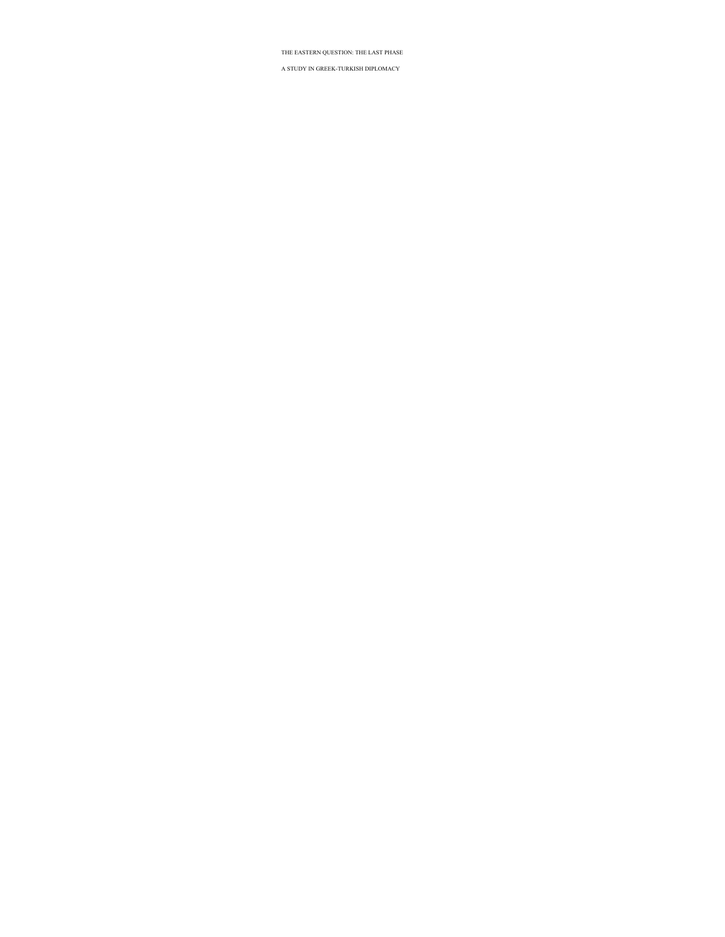## THE EASTERN QUESTION: THE LAST PHASE

### A STUDY IN GREEK-TURKISH DIPLOMACY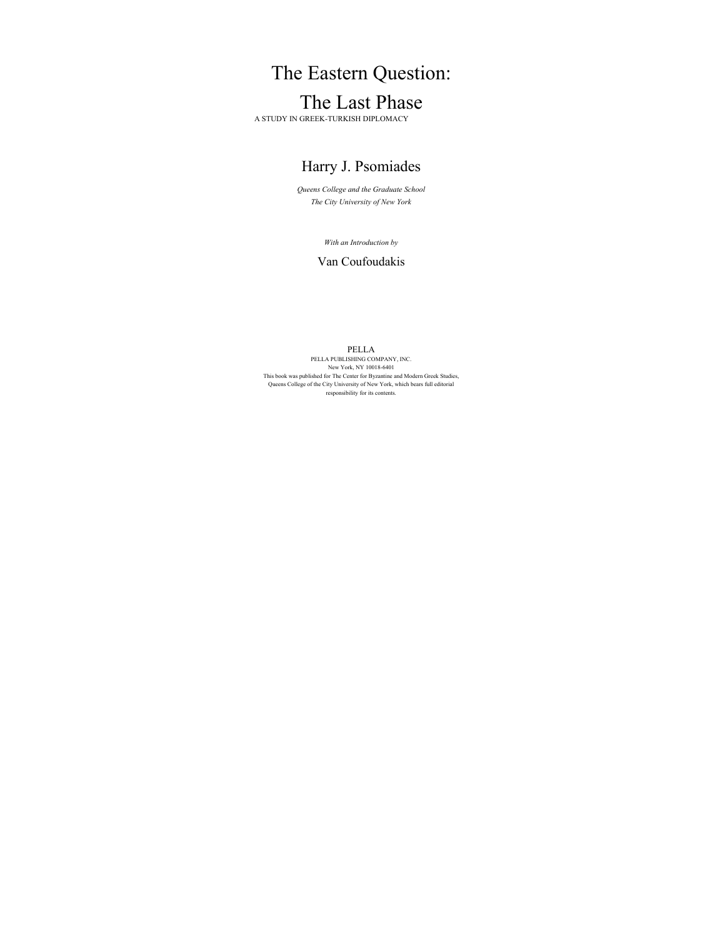# The Eastern Question: The Last Phase

A STUDY IN GREEK-TURKISH DIPLOMACY

# Harry J. Psomiades

*Queens College and the Graduate School The City University of New York* 

*With an Introduction by* 

## Van Coufoudakis

PELLA<br>PELLA PUBLISHING COMPANY, INC. New York, NY 10018-6401 This book was published for The Center for Byzantine and Modern Greek Studies, Queens College of the City University of New York, which bears full editorial responsibility for its contents.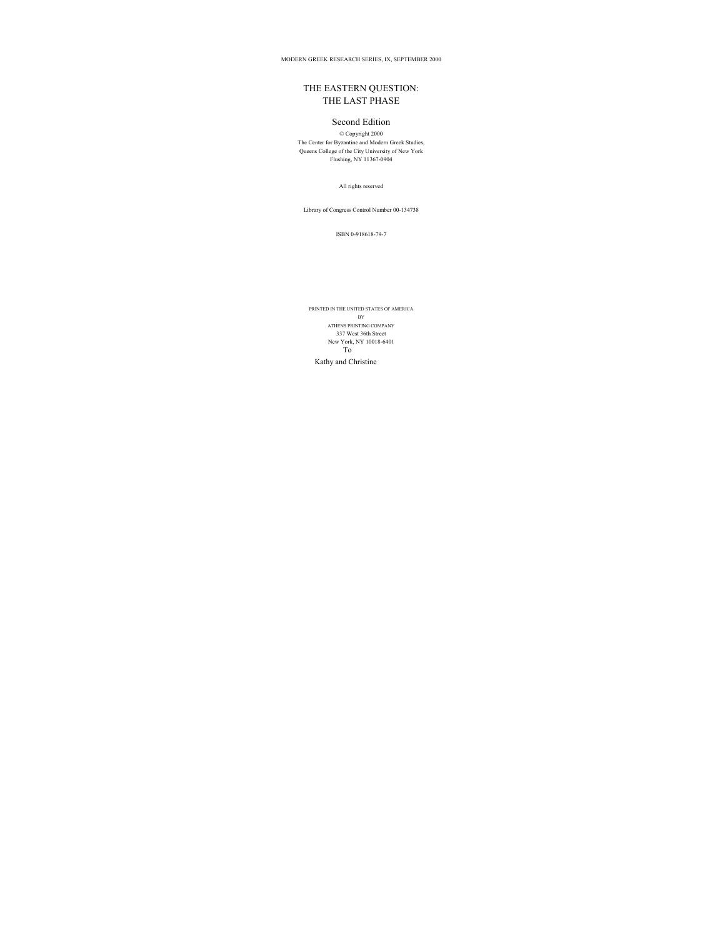MODERN GREEK RESEARCH SERIES, IX, SEPTEMBER 2000

## THE EASTERN QUESTION: THE LAST PHASE

## Second Edition

© Copyright 2000 The Center for Byzantine and Modern Greek Studies, Queens College of the City University of New York Flushing, NY 11367-0904

All rights reserved

Library of Congress Control Number 00-134738

ISBN 0-918618-79-7

PRINTED IN THE UNITED STATES OF AMERICA BY ATHENS PRINTING COMPANY 337 West 36th Street New York, NY 10018-6401 To Kathy and Christine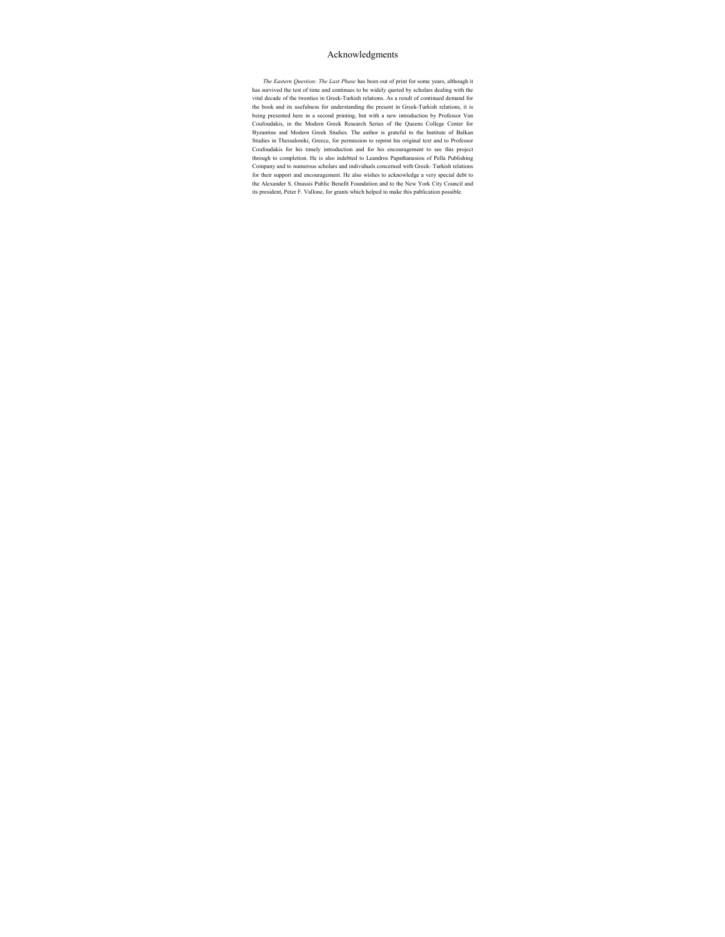## Acknowledgments

*The Eastern Question: The Last Phase* has been out of print for some years, although it has survived the test of time and continues to be widely quoted by scholars dealing with the vital decade of the twenties in Greek-Turkish relations. As a result of continued demand for the book and its usefulness for understanding the present in Greek-Turkish relations, it is being presented here in a second printing, but with a new introduction by Professor Van Coufoudakis, in the Modern Greek Research Series of the Queens College Center for Byzantine and Modern Greek Studies. The author is grateful to the Institute of Balkan Studies in Thessaloniki, Greece, for permission to reprint his original text and to Professor Coufoudakis for his timely introduction and for his encouragement to see this project through to completion. He is also indebted to Leandros Papathanasiou of Pella Publishing Company and to numerous scholars and individuals concerned with Greek- Turkish relations for their support and encouragement. He also wishes to acknowledge a very special debt to the Alexander S. Onassis Public Benefit Foundation and to the New York City Council and its president, Peter F. Vallone, for grants which helped to make this publication possible.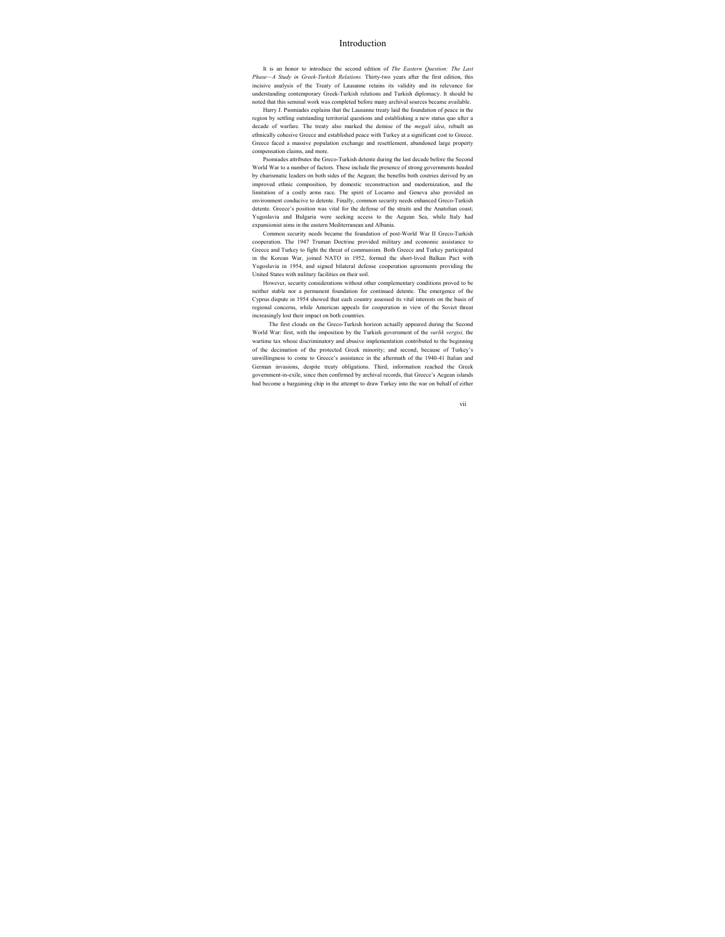## Introduction

It is an honor to introduce the second edition of *The Eastern Question: The Last Phase—A Study in Greek-Turkish Relations.* Thirty-two years after the first edition, this incisive analysis of the Treaty of Lausanne retains its validity and its relevance for understanding contemporary Greek-Turkish relations and Turkish diplomacy. It should be noted that this seminal work was completed before many archival sources became available.

Harry J. Psomiades explains that the Lausanne treaty laid the foundation of peace in the region by settling outstanding territorial questions and establishing a new status quo after a decade of warfare. The treaty also marked the demise of the *megali idea*, rebuilt an ethnically cohesive Greece and established peace with Turkey at a significant cost to Greece. Greece faced a massive population exchange and resettlement, abandoned large property compensation claims, and more.

Psomiades attributes the Greco-Turkish detente during the last decade before the Second World War to a number of factors. These include the presence of strong governments headed by charismatic leaders on both sides of the Aegean; the benefits both coutries derived by an improved ethnic composition, by domestic reconstruction and modernization, and the limitation of a costly arms race. The spirit of Locarno and Geneva also provided an environment conducive to detente. Finally, common security needs enhanced Greco-Turkish detente. Greece's position was vital for the defense of the straits and the Anatolian coast; Yugoslavia and Bulgaria were seeking access to the Aegean Sea, while Italy had expansionist aims in the eastern Mediterranean and Albania.

Common security needs became the foundation of post-World War II Greco-Turkish cooperation. The 1947 Truman Doctrine provided military and economic assistance to Greece and Turkey to fight the threat of communism. Both Greece and Turkey participated in the Korean War, joined NATO in 1952, formed the short-lived Balkan Pact with Yugoslavia in 1954, and signed bilateral defense cooperation agreements providing the United States with military facilities on their soil.

However, security considerations without other complementary conditions proved to be neither stable nor a permanent foundation for continued detente. The emergence of the Cyprus dispute in 1954 showed that each country assessed its vital interests on the basis of regional concerns, while American appeals for cooperation in view of the Soviet threat increasingly lost their impact on both countries.

The first clouds on the Greco-Turkish horizon actually appeared during the Second World War: first, with the imposition by the Turkish government of the *varlik vergisi,* the wartime tax whose discriminatory and abusive implementation contributed to the beginning of the decimation of the protected Greek minority; and second, because of Turkey's unwillingness to come to Greece's assistance in the aftermath of the 1940-41 Italian and German invasions, despite treaty obligations. Third, information reached the Greek government-in-exile, since then confirmed by archival records, that Greece's Aegean islands had become a bargaining chip in the attempt to draw Turkey into the war on behalf of either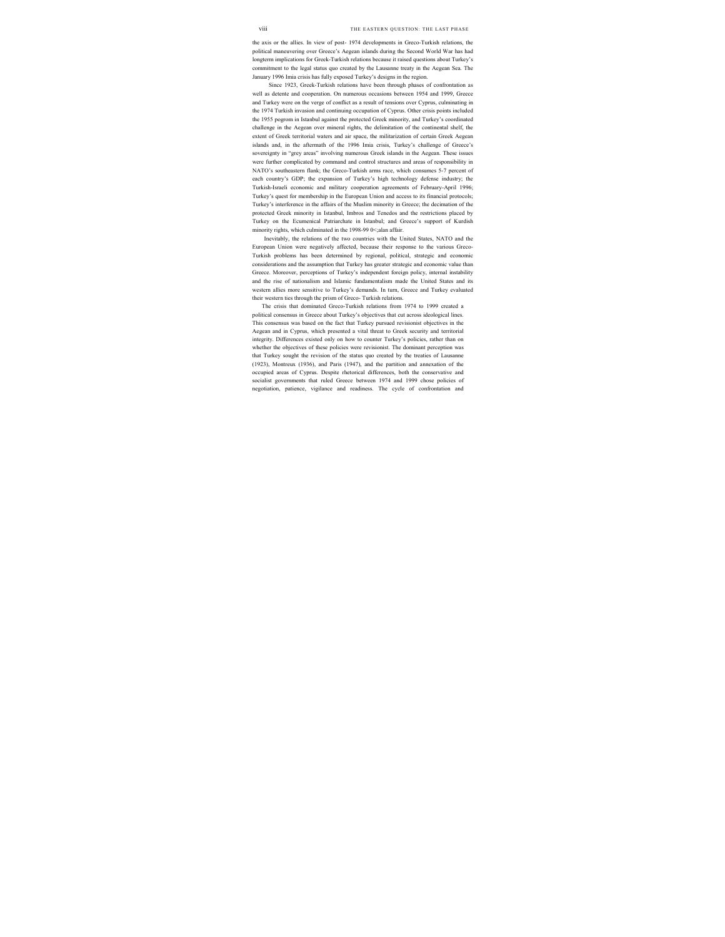the axis or the allies. In view of post- 1974 developments in Greco-Turkish relations, the political maneuvering over Greece's Aegean islands during the Second World War has had longterm implications for Greek-Turkish relations because it raised questions about Turkey's commitment to the legal status quo created by the Lausanne treaty in the Aegean Sea. The January 1996 Imia crisis has fully exposed Turkey's designs in the region.

Since 1923, Greek-Turkish relations have been through phases of confrontation as well as detente and cooperation. On numerous occasions between 1954 and 1999, Greece and Turkey were on the verge of conflict as a result of tensions over Cyprus, culminating in the 1974 Turkish invasion and continuing occupation of Cyprus. Other crisis points included the 1955 pogrom in Istanbul against the protected Greek minority, and Turkey's coordinated challenge in the Aegean over mineral rights, the delimitation of the continental shelf, the extent of Greek territorial waters and air space, the militarization of certain Greek Aegean islands and, in the aftermath of the 1996 Imia crisis, Turkey's challenge of Greece's sovereignty in "grey areas" involving numerous Greek islands in the Aegean. These issues were further complicated by command and control structures and areas of responsibility in NATO's southeastern flank; the Greco-Turkish arms race, which consumes 5-7 percent of each country's GDP; the expansion of Turkey's high technology defense industry; the Turkish-Israeli economic and military cooperation agreements of February-April 1996; Turkey's quest for membership in the European Union and access to its financial protocols; Turkey's interference in the affairs of the Muslim minority in Greece; the decimation of the protected Greek minority in Istanbul, Imbros and Tenedos and the restrictions placed by Turkey on the Ecumenical Patriarchate in Istanbul; and Greece's support of Kurdish minority rights, which culminated in the 1998-99 0<;alan affair.

Inevitably, the relations of the two countries with the United States, NATO and the European Union were negatively affected, because their response to the various Greco-Turkish problems has been determined by regional, political, strategic and economic considerations and the assumption that Turkey has greater strategic and economic value than Greece. Moreover, perceptions of Turkey's independent foreign policy, internal instability and the rise of nationalism and Islamic fundamentalism made the United States and its western allies more sensitive to Turkey's demands. In turn, Greece and Turkey evaluated their western ties through the prism of Greco- Turkish relations.

The crisis that dominated Greco-Turkish relations from 1974 to 1999 created a political consensus in Greece about Turkey's objectives that cut across ideological lines. This consensus was based on the fact that Turkey pursued revisionist objectives in the Aegean and in Cyprus, which presented a vital threat to Greek security and territorial integrity. Differences existed only on how to counter Turkey's policies, rather than on whether the objectives of these policies were revisionist. The dominant perception was that Turkey sought the revision of the status quo created by the treaties of Lausanne (1923), Montreux (1936), and Paris (1947), and the partition and annexation of the occupied areas of Cyprus. Despite rhetorical differences, both the conservative and socialist governments that ruled Greece between 1974 and 1999 chose policies of negotiation, patience, vigilance and readiness. The cycle of confrontation and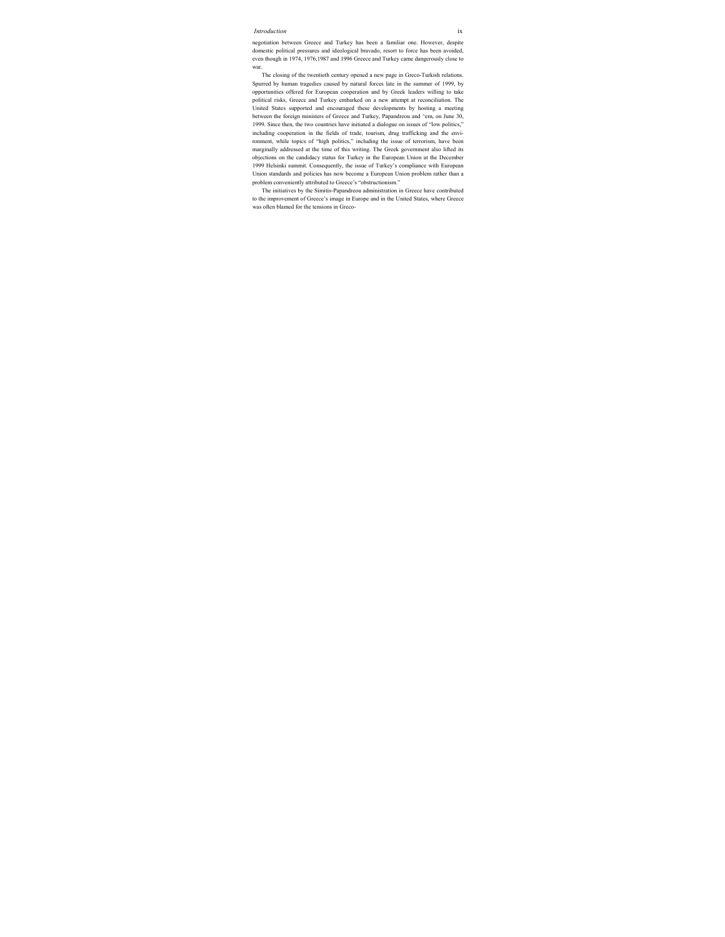#### *Introduction* ix

negotiation between Greece and Turkey has been a familiar one. However, despite domestic political pressures and ideological bravado, resort to force has been avoided, even though in 1974, 1976,1987 and 1996 Greece and Turkey came dangerously close to war.

The closing of the twentieth century opened a new page in Greco-Turkish relations. Spurred by human tragedies caused by natural forces late in the summer of 1999, by opportunities offered for European cooperation and by Greek leaders willing to take political risks, Greece and Turkey embarked on a new attempt at reconciliation. The United States supported and encouraged these developments by hosting a meeting between the foreign ministers of Greece and Turkey, Papandreou and ^em, on June 30, 1999. Since then, the two countries have initiated a dialogue on issues of "low politics," including cooperation in the fields of trade, tourism, drug trafficking and the environment, while topics of "high politics," including the issue of terrorism, have been marginally addressed at the time of this writing. The Greek government also lifted its objections on the candidacy status for Turkey in the European Union at the December 1999 Helsinki summit. Consequently, the issue of Turkey's compliance with European Union standards and policies has now become a European Union problem rather than a problem conveniently attributed to Greece's "obstructionism."

The initiatives by the Simitis-Papandreou administration in Greece have contributed to the improvement of Greece's image in Europe and in the United States, where Greece was often blamed for the tensions in Greco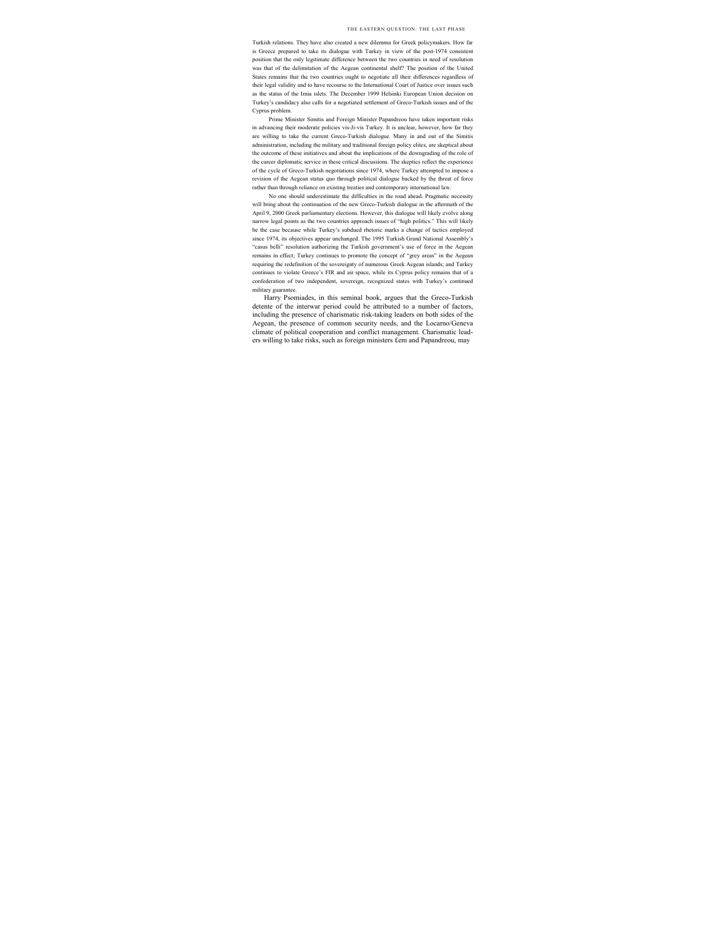Turkish relations. They have also created a new dilemma for Greek policymakers. How far is Greece prepared to take its dialogue with Turkey in view of the post-1974 consistent position that the only legitimate difference between the two countries in need of resolution was that of the delimitation of the Aegean continental shelf? The position of the United States remains that the two countries ought to negotiate all their differences regardless of their legal validity and to have recourse to the International Court of Justice over issues such as the status of the Imia islets. The December 1999 Helsinki European Union decision on Turkey's candidacy also calls for a negotiated settlement of Greco-Turkish issues and of the Cyprus problem.

Prime Minister Simitis and Foreign Minister Papandreou have taken important risks in advancing their moderate policies vis-Ji-vis Turkey. It is unclear, however, how far they are willing to take the current Greco-Turkish dialogue. Many in and out of the Simitis administration, including the military and traditional foreign policy elites, are skeptical about the outcome of these initiatives and about the implications of the downgrading of the role of the career diplomatic service in these critical discussions. The skeptics reflect the experience of the cycle of Greco-Turkish negotiations since 1974, where Turkey attempted to impose a revision of the Aegean status quo through political dialogue backed by the threat of force rather than through reliance on existing treaties and contemporary international law.

No one should underestimate the difficulties in the road ahead. Pragmatic necessity will bring about the continuation of the new Greco-Turkish dialogue in the aftermath of the April 9, 2000 Greek parliamentary elections. However, this dialogue will likely evolve along narrow legal points as the two countries approach issues of "high politics." This will likely be the case because while Turkey's subdued rhetoric marks a change of tactics employed since 1974, its objectives appear unchanged. The 1995 Turkish Grand National Assembly's "casus belli" resolution authorizing the Turkish government's use of force in the Aegean remains in effect; Turkey continues to promote the concept of "grey areas" in the Aegean requiring the redefinition of the sovereignty of numerous Greek Aegean islands; and Turkey continues to violate Greece's FIR and air space, while its Cyprus policy remains that of a confederation of two independent, sovereign, recognized states with Turkey's continued military guarantee.

Harry Psomiades, in this seminal book, argues that the Greco-Turkish detente of the interwar period could be attributed to a number of factors, including the presence of charismatic risk-taking leaders on both sides of the Aegean, the presence of common security needs, and the Locarno/Geneva climate of political cooperation and conflict management. Charismatic leaders willing to take risks, such as foreign ministers £em and Papandreou, may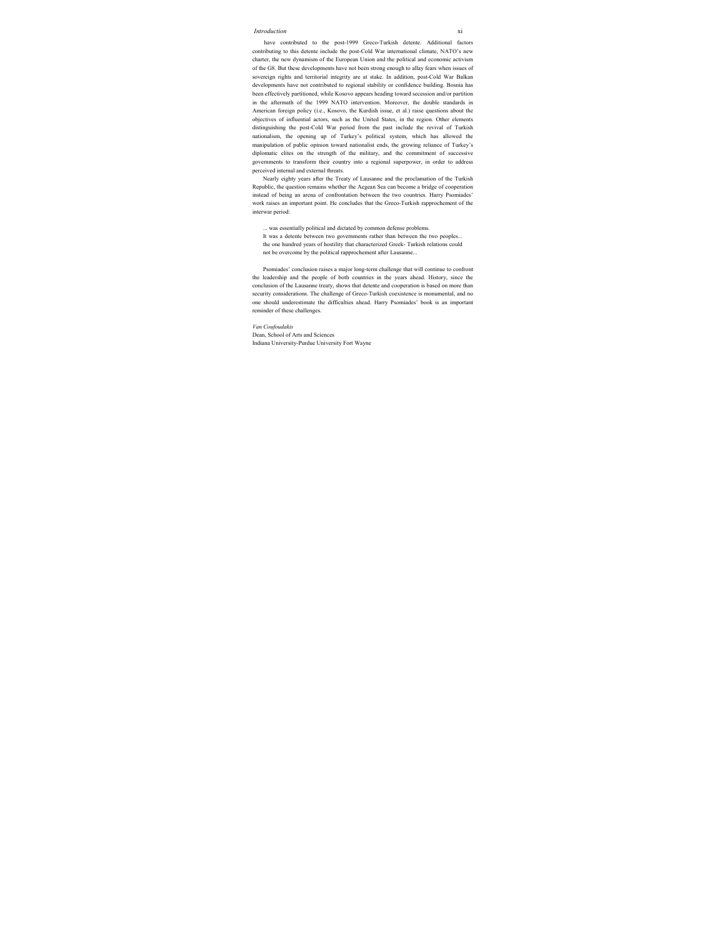have contributed to the post-1999 Greco-Turkish detente. Additional factors contributing to this detente include the post-Cold War international climate, NATO's new charter, the new dynamism of the European Union and the political and economic activism of the G8. But these developments have not been strong enough to allay fears when issues of sovereign rights and territorial integrity are at stake. In addition, post-Cold War Balkan developments have not contributed to regional stability or confidence building. Bosnia has been effectively partitioned, while Kosovo appears heading toward secession and/or partition in the aftermath of the 1999 NATO intervention. Moreover, the double standards in American foreign policy (i.e., Kosovo, the Kurdish issue, et al.) raise questions about the objectives of influential actors, such as the United States, in the region. Other elements distinguishing the post-Cold War period from the past include the revival of Turkish nationalism, the opening up of Turkey's political system, which has allowed the manipulation of public opinion toward nationalist ends, the growing reliance of Turkey's diplomatic elites on the strength of the military, and the commitment of successive governments to transform their country into a regional superpower, in order to address perceived internal and external threats.

Nearly eighty years after the Treaty of Lausanne and the proclamation of the Turkish Republic, the question remains whether the Aegean Sea can become a bridge of cooperation instead of being an arena of confrontation between the two countries. Harry Psomiades' work raises an important point. He concludes that the Greco-Turkish rapprochement of the interwar period:

... was essentially political and dictated by common defense problems. It was a detente between two governments rather than between the two peoples... the one hundred years of hostility that characterized Greek- Turkish relations could not be overcome by the political rapprochement after Lausanne...

Psomiades' conclusion raises a major long-term challenge that will continue to confront the leadership and the people of both countries in the years ahead. History, since the conclusion of the Lausanne treaty, shows that detente and cooperation is based on more than security considerations. The challenge of Greco-Turkish coexistence is monumental, and no one should underestimate the difficulties ahead. Harry Psomiades' book is an important reminder of these challenges.

*Van Coufoudakis*  Dean, School of Arts and Sciences Indiana University-Purdue University Fort Wayne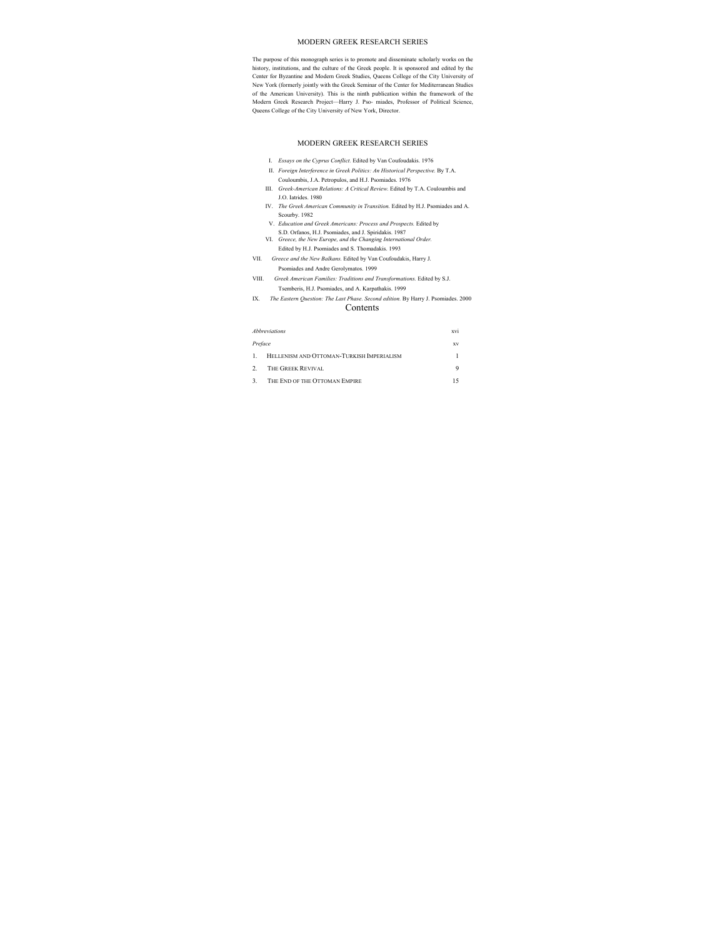#### MODERN GREEK RESEARCH SERIES

The purpose of this monograph series is to promote and disseminate scholarly works on the history, institutions, and the culture of the Greek people. It is sponsored and edited by the Center for Byzantine and Modern Greek Studies, Queens College of the City University of New York (formerly jointly with the Greek Seminar of the Center for Mediterranean Studies of the American University). This is the ninth publication within the framework of the Modern Greek Research Project—Harry J. Pso- miades, Professor of Political Science, Queens College of the City University of New York, Director.

#### MODERN GREEK RESEARCH SERIES

- I. *Essays on the Cyprus Conflict.* Edited by Van Coufoudakis. 1976
- II. *Foreign Interference in Greek Politics: An Historical Perspective.* By T.A. Couloumbis, J.A. Petropulos, and H.J. Psomiades. 1976
- III. *Greek-American Relations: A Critical Review.* Edited by T.A. Couloumbis and J.O. Iatrides. 1980
- IV. *The Greek American Community in Transition.* Edited by H.J. Psomiades and A. Scourby. 1982
	- V. *Education and Greek Americans: Process and Prospects.* Edited by S.D. Orfanos, H.J. Psomiades, and J. Spiridakis. 1987
- VI. *Greece, the New Europe, and the Changing International Order.*  Edited by H.J. Psomiades and S. Thomadakis. 1993
- VII. *Greece and the New Balkans.* Edited by Van Coufoudakis, Harry J. Psomiades and Andre Gerolymatos. 1999
- VIII. *Greek American Families: Traditions and Transformations.* Edited by S.J. Tsemberis, H.J. Psomiades, and A. Karpathakis. 1999
- IX. *The Eastern Question: The Last Phase. Second edition.* By Harry J. Psomiades. 2000

#### Contents

| <b>Abbreviations</b> |                                           | xvi |  |
|----------------------|-------------------------------------------|-----|--|
| Preface              | XV                                        |     |  |
| 1.                   | HELLENISM AND OTTOMAN-TURKISH IMPERIALISM |     |  |
|                      | 2. THE GREEK REVIVAL                      | 9   |  |
|                      | 3. THE END OF THE OTTOMAN EMPIRE          |     |  |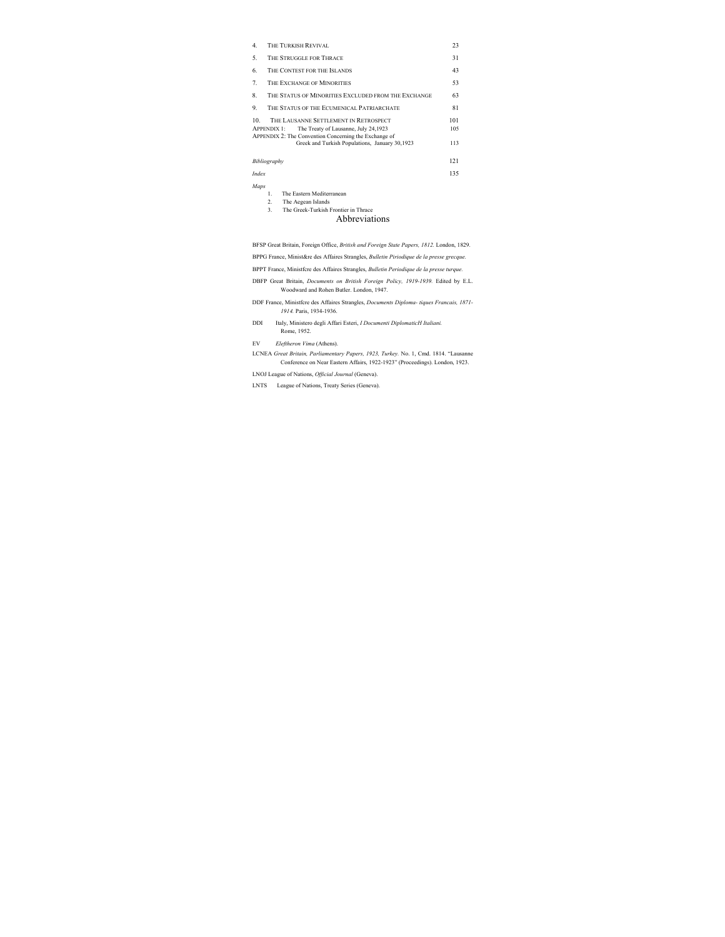| 4.    | THE TURKISH REVIVAL                                                                                                 | 23  |  |
|-------|---------------------------------------------------------------------------------------------------------------------|-----|--|
| 5.    | THE STRUGGLE FOR THRACE                                                                                             |     |  |
| 6.    | THE CONTEST FOR THE ISLANDS                                                                                         |     |  |
| 7.    | THE EXCHANGE OF MINORITIES                                                                                          | 53  |  |
| 8.    | THE STATUS OF MINORITIES EXCLUDED FROM THE EXCHANGE                                                                 | 63  |  |
| 9.    | THE STATUS OF THE ECUMENICAL PATRIARCHATE                                                                           | 81  |  |
| 10.   | THE LAUSANNE SETTLEMENT IN RETROSPECT                                                                               | 101 |  |
|       | <b>APPENDIX 1:</b><br>The Treaty of Lausanne, July 24,1923<br>APPENDIX 2: The Convention Concerning the Exchange of | 105 |  |
|       | Greek and Turkish Populations, January 30,1923                                                                      | 113 |  |
|       | Bibliography                                                                                                        | 121 |  |
| Index |                                                                                                                     | 135 |  |

#### *Maps*

- 1. The Eastern Mediterranean
- 2. The Aegean Islands
- 3. The Greek-Turkish Frontier in Thrace

## Abbreviations

BFSP Great Britain, Foreign Office, *British and Foreign State Papers, 1812.* London, 1829.

BPPG France, Minist&re des Affaires Strangles, *Bulletin Piriodique de la presse grecque.*

BPPT France, Ministfcre des Affaires Strangles, *Bulletin Periodique de la presse turque.*

- DBFP Great Britain, *Documents on British Foreign Policy, 1919-1939.* Edited by E.L. Woodward and Rohen Butler. London, 1947.
- DDF France, Ministfcre des Affaires Strangles, *Documents Diploma- tiques Francais, 1871- 1914.* Paris, 1934-1936.
- DDI Italy, Ministero degli Affari Esteri, *I Documenti DiplomaticH Italiani.* Rome, 1952.

EV *Eleftheron Vima* (Athens).

LCNEA *Great Britain, Parliamentary Papers, 1923, Turkey.* No. 1, Cmd. 1814. "Lausanne Conference on Near Eastern Affairs, 1922-1923" (Proceedings). London, 1923.

LNOJ League of Nations, *Official Journal* (Geneva).

LNTS League of Nations, Treaty Series (Geneva).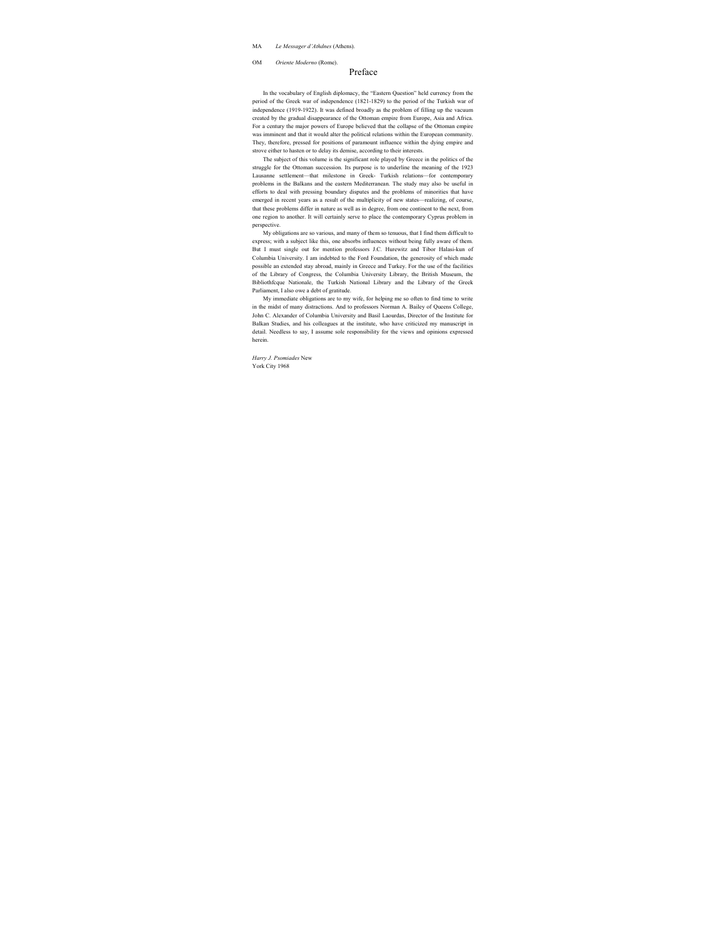#### MA *Le Messager d'Athdnes* (Athens).

OM *Oriente Moderno* (Rome).

## Preface

In the vocabulary of English diplomacy, the "Eastern Question" held currency from the period of the Greek war of independence (1821-1829) to the period of the Turkish war of independence (1919-1922). It was defined broadly as the problem of filling up the vacuum created by the gradual disappearance of the Ottoman empire from Europe, Asia and Africa. For a century the major powers of Europe believed that the collapse of the Ottoman empire was imminent and that it would alter the political relations within the European community. They, therefore, pressed for positions of paramount influence within the dying empire and strove either to hasten or to delay its demise, according to their interests.

The subject of this volume is the significant role played by Greece in the politics of the struggle for the Ottoman succession. Its purpose is to underline the meaning of the 1923 Lausanne settlement—that milestone in Greek- Turkish relations—for contemporary problems in the Balkans and the eastern Mediterranean. The study may also be useful in efforts to deal with pressing boundary disputes and the problems of minorities that have emerged in recent years as a result of the multiplicity of new states—realizing, of course, that these problems differ in nature as well as in degree, from one continent to the next, from one region to another. It will certainly serve to place the contemporary Cyprus problem in perspective.

My obligations are so various, and many of them so tenuous, that I find them difficult to express; with a subject like this, one absorbs influences without being fully aware of them. But I must single out for mention professors J.C. Hurewitz and Tibor Halasi-kun of Columbia University. I am indebted to the Ford Foundation, the generosity of which made possible an extended stay abroad, mainly in Greece and Turkey. For the use of the facilities of the Library of Congress, the Columbia University Library, the British Museum, the Bibliothfcque Nationale, the Turkish National Library and the Library of the Greek Parliament, I also owe a debt of gratitude.

My immediate obligations are to my wife, for helping me so often to find time to write in the midst of many distractions. And to professors Norman A. Bailey of Oueens College, John C. Alexander of Columbia University and Basil Laourdas, Director of the Institute for Balkan Studies, and his colleagues at the institute, who have criticized my manuscript in detail. Needless to say, I assume sole responsibility for the views and opinions expressed herein.

*Harry J. Psomiades* New York City 1968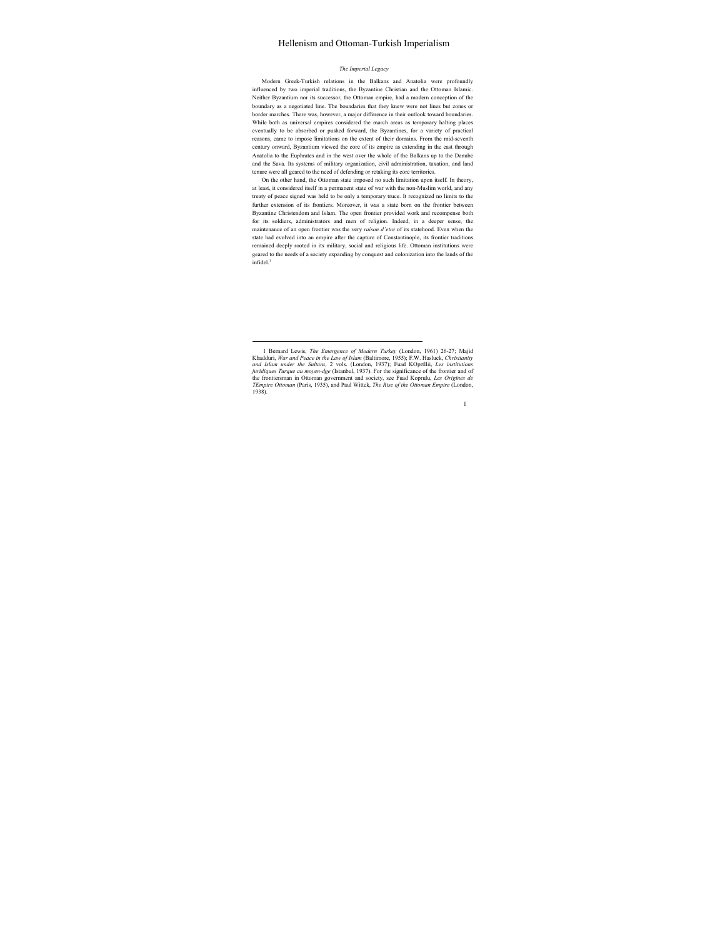## Hellenism and Ottoman-Turkish Imperialism

#### *The Imperial Legacy*

Modern Greek-Turkish relations in the Balkans and Anatolia were profoundly influenced by two imperial traditions, the Byzantine Christian and the Ottoman Islamic. Neither Byzantium nor its successor, the Ottoman empire, had a modern conception of the boundary as a negotiated line. The boundaries that they knew were not lines but zones or border marches. There was, however, a major difference in their outlook toward boundaries. While both as universal empires considered the march areas as temporary halting places eventually to be absorbed or pushed forward, the Byzantines, for a variety of practical reasons, came to impose limitations on the extent of their domains. From the mid-seventh century onward, Byzantium viewed the core of its empire as extending in the east through Anatolia to the Euphrates and in the west over the whole of the Balkans up to the Danube and the Sava. Its systems of military organization, civil administration, taxation, and land tenure were all geared to the need of defending or retaking its core territories.

On the other hand, the Ottoman state imposed no such limitation upon itself. In theory, at least, it considered itself in a permanent state of war with the non-Muslim world, and any treaty of peace signed was held to be only a temporary truce. It recognized no limits to the further extension of its frontiers. Moreover, it was a state born on the frontier between Byzantine Christendom and Islam. The open frontier provided work and recompense both for its soldiers, administrators and men of religion. Indeed, in a deeper sense, the maintenance of an open frontier was the very *raison d'etre* of its statehood. Even when the state had evolved into an empire after the capture of Constantinople, its frontier traditions remained deeply rooted in its military, social and religious life. Ottoman institutions were geared to the needs of a society expanding by conquest and colonization into the lands of the  $infide1<sup>1</sup>$ 

 <sup>1</sup> Bernard Lewis, *The Emergence of Modern Turkey* (London, 1961) 26-27; Majid Khadduri, *War and Peace in the Law of Islam* (Baltimore, 1955); F.W. Hasluck, *Christianity and Islam under the Sultans,* 2 vols. (London, 1937); Fuad KOprtllii, *Les institutions juridiques Turque au moyen-dge* (Istanbul, 1937). For the significance of the frontier and of the frontiersman in Ottoman government and society, see Fuad Koprulu, *Les Origines de TEmpire Ottoman* (Paris, 1935), and Paul Wittek, *The Rise of the Ottoman Empire* (London, 1938).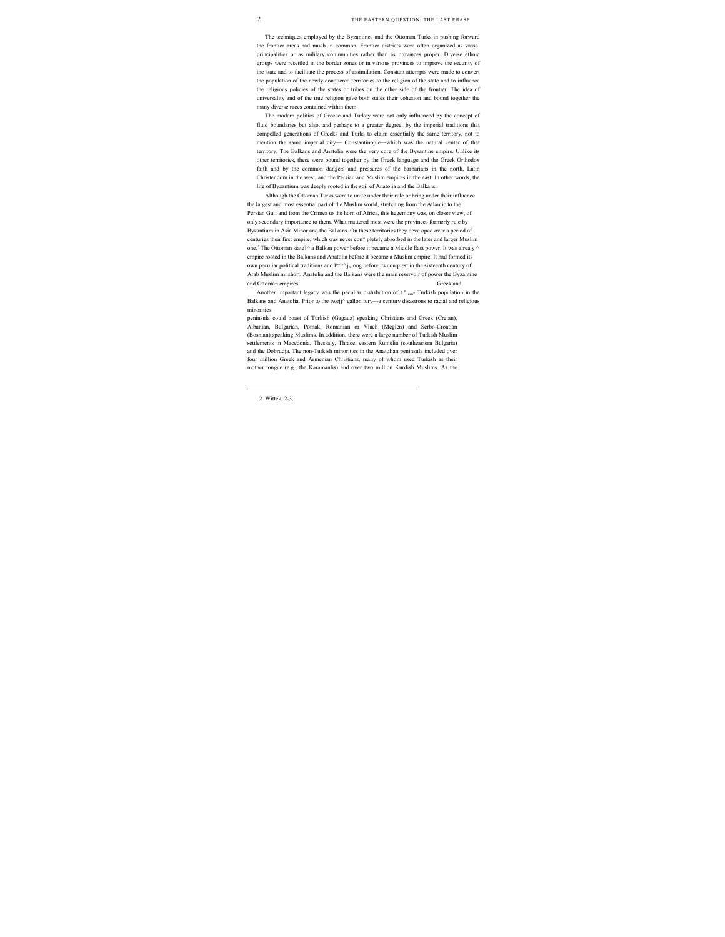The techniques employed by the Byzantines and the Ottoman Turks in pushing forward the frontier areas had much in common. Frontier districts were often organized as vassal principalities or as military communities rather than as provinces proper. Diverse ethnic groups were resettled in the border zones or in various provinces to improve the security of the state and to facilitate the process of assimilation. Constant attempts were made to convert the population of the newly conquered territories to the religion of the state and to influence the religious policies of the states or tribes on the other side of the frontier. The idea of universality and of the true religion gave both states their cohesion and bound together the many diverse races contained within them.

The modern politics of Greece and Turkey were not only influenced by the concept of fluid boundaries but also, and perhaps to a greater degree, by the imperial traditions that compelled generations of Greeks and Turks to claim essentially the same territory, not to mention the same imperial city— Constantinople—which was the natural center of that territory. The Balkans and Anatolia were the very core of the Byzantine empire. Unlike its other territories, these were bound together by the Greek language and the Greek Orthodox faith and by the common dangers and pressures of the barbarians in the north, Latin Christendom in the west, and the Persian and Muslim empires in the east. In other words, the life of Byzantium was deeply rooted in the soil of Anatolia and the Balkans.

Although the Ottoman Turks were to unite under their rule or bring under their influence the largest and most essential part of the Muslim world, stretching from the Atlantic to the Persian Gulf and from the Crimea to the horn of Africa, this hegemony was, on closer view, of only secondary importance to them. What mattered most were the provinces formerly ru e by Byzantium in Asia Minor and the Balkans. On these territories they deve oped over a period of centuries their first empire, which was never con^ pletely absorbed in the later and larger Muslim one.<sup>2</sup> The Ottoman state \ ^ a Balkan power before it became a Middle East power. It was alrea y ^ empire rooted in the Balkans and Anatolia before it became a Muslim empire. It had formed its own peculiar political traditions and  $P^{e\wedge\infty}$  j<sub>n</sub> long before its conquest in the sixteenth century of Arab Muslim mi short, Anatolia and the Balkans were the main reservoir of power the Byzantine and Ottoman empires. Greek and

Another important legacy was the peculiar distribution of t  $e_{\text{cen}}$  Turkish population in the Balkans and Anatolia. Prior to the twejj^ gallon tury—a century disastrous to racial and religious minorities

peninsula could boast of Turkish (Gagauz) speaking Christians and Greek (Cretan), Albanian, Bulgarian, Pomak, Romanian or Vlach (Meglen) and Serbo-Croatian (Bosnian) speaking Muslims. In addition, there were a large number of Turkish Muslim settlements in Macedonia, Thessaly, Thrace, eastern Rumelia (southeastern Bulgaria) and the Dobrudja. The non-Turkish minorities in the Anatolian peninsula included over four million Greek and Armenian Christians, many of whom used Turkish as their mother tongue (e.g., the Karamanlis) and over two million Kurdish Muslims. As the

 <sup>2</sup> Wittek, 2-3.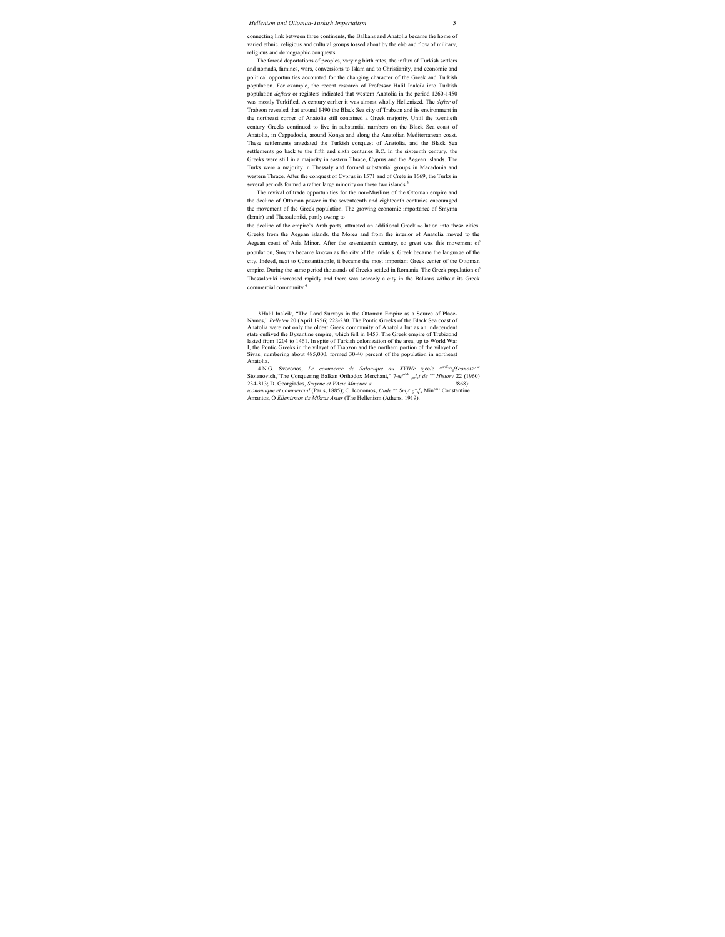connecting link between three continents, the Balkans and Anatolia became the home of varied ethnic, religious and cultural groups tossed about by the ebb and flow of military, religious and demographic conquests.

The forced deportations of peoples, varying birth rates, the influx of Turkish settlers and nomads, famines, wars, conversions to Islam and to Christianity, and economic and political opportunities accounted for the changing character of the Greek and Turkish population. For example, the recent research of Professor Halil Inalcik into Turkish population *defters* or registers indicated that western Anatolia in the period 1260-1450 was mostly Turkified. A century earlier it was almost wholly Hellenized. The *defter* of Trabzon revealed that around 1490 the Black Sea city of Trabzon and its environment in the northeast corner of Anatolia still contained a Greek majority. Until the twentieth century Greeks continued to live in substantial numbers on the Black Sea coast of Anatolia, in Cappadocia, around Konya and along the Anatolian Mediterranean coast. These settlements antedated the Turkish conquest of Anatolia, and the Black Sea settlements go back to the fifth and sixth centuries B.C. In the sixteenth century, the Greeks were still in a majority in eastern Thrace, Cyprus and the Aegean islands. The Turks were a majority in Thessaly and formed substantial groups in Macedonia and western Thrace. After the conquest of Cyprus in 1571 and of Crete in 1669, the Turks in several periods formed a rather large minority on these two islands.<sup>3</sup>

The revival of trade opportunities for the non-Muslims of the Ottoman empire and the decline of Ottoman power in the seventeenth and eighteenth centuries encouraged the movement of the Greek population. The growing economic importance of Smyrna (Izmir) and Thessaloniki, partly owing to

the decline of the empire's Arab ports, attracted an additional Greek polation into these cities. Greeks from the Aegean islands, the Morea and from the interior of Anatolia moved to the Aegean coast of Asia Minor. After the seventeenth century, so great was this movement of population, Smyrna became known as the city of the infidels. Greek became the language of the city. Indeed, next to Constantinople, it became the most important Greek center of the Ottoman empire. During the same period thousands of Greeks settled in Romania. The Greek population of Thessaloniki increased rapidly and there was scarcely a city in the Balkans without its Greek commercial community.4

 <sup>3</sup> Halil Inalcik, "The Land Surveys in the Ottoman Empire as a Source of Place-Names," *Belleten* 20 (April 1956) 228-230. The Pontic Greeks of the Black Sea coast of Anatolia were not only the oldest Greek community of Anatolia but as an independent state outlived the Byzantine empire, which fell in 1453. The Greek empire of Trebizond lasted from 1204 to 1461. In spite of Turkish colonization of the area, up to World War I, the Pontic Greeks in the vilayet of Trabzon and the northern portion of the vilayet of Sivas, numbering about 485,000, formed 30-40 percent of the population in northeast Anatolia.

<sup>4</sup> N.G. Svoronos, *Le commerce de Salonique au XVIHe* sjec/e *^ariS'^0f£conot>l ' c*  Stoianovich, "The Conquering Balkan Orthodox Merchant," 7«e/<sup>oMr</sup> <sub>point</sub> de <sup>vue</sup> History 22 (1960) 234-313; D. Georgiades, *Smyrne et VAsie Mmeure «* !868): *iconomique et commercial* (Paris, 1885); C. Iconomos, *£tude sur Smyr Q^s[a* Min01'' Constantine Amantos, O *Ellenismos tis Mikras Asias* (The Hellenism (Athens, 1919).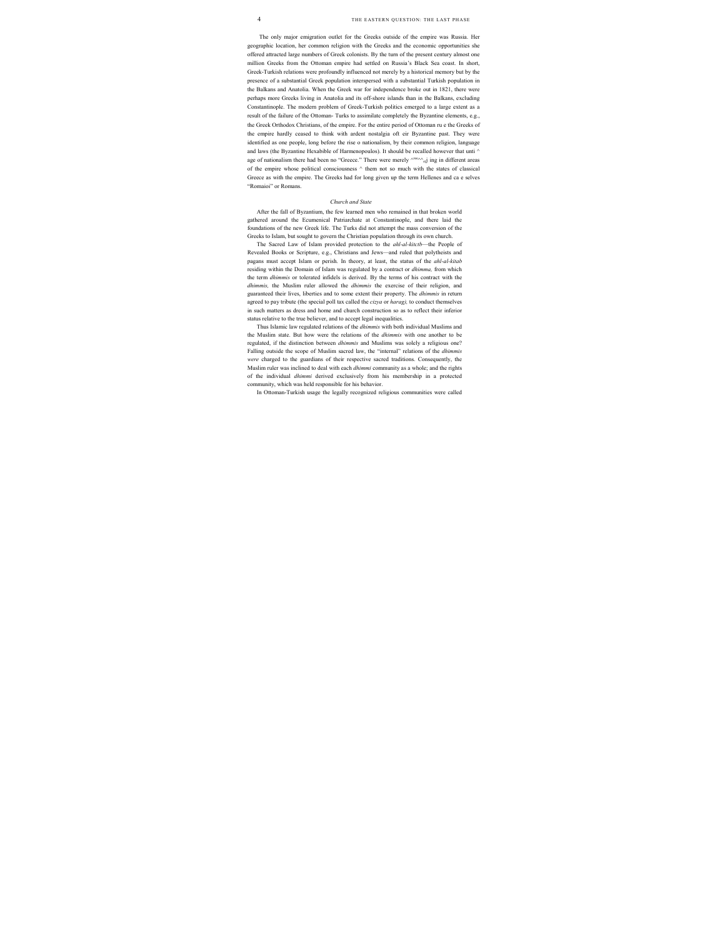The only major emigration outlet for the Greeks outside of the empire was Russia. Her geographic location, her common religion with the Greeks and the economic opportunities she offered attracted large numbers of Greek colonists. By the turn of the present century almost one million Greeks from the Ottoman empire had settled on Russia's Black Sea coast. In short, Greek-Turkish relations were profoundly influenced not merely by a historical memory but by the presence of a substantial Greek population interspersed with a substantial Turkish population in the Balkans and Anatolia. When the Greek war for independence broke out in 1821, there were perhaps more Greeks living in Anatolia and its off-shore islands than in the Balkans, excluding Constantinople. The modern problem of Greek-Turkish politics emerged to a large extent as a result of the failure of the Ottoman- Turks to assimilate completely the Byzantine elements, e.g., the Greek Orthodox Christians, of the empire. For the entire period of Ottoman ru e the Greeks of the empire hardly ceased to think with ardent nostalgia oft eir Byzantine past. They were identified as one people, long before the rise o nationalism, by their common religion, language and laws (the Byzantine Hexabible of Harmenopoulos). It should be recalled however that unti ^ age of nationalism there had been no "Greece." There were merely  $\wedge$ <sup>ree $\wedge\wedge$ </sup><sub>e(</sub>j ing in different areas of the empire whose political consciousness ^ them not so much with the states of classical Greece as with the empire. The Greeks had for long given up the term Hellenes and ca e selves "Romaioi" or Romans.

#### *Church and State*

After the fall of Byzantium, the few learned men who remained in that broken world gathered around the Ecumenical Patriarchate at Constantinople, and there laid the foundations of the new Greek life. The Turks did not attempt the mass conversion of the Greeks to Islam, but sought to govern the Christian population through its own church.

The Sacred Law of Islam provided protection to the *ahl-al-kitctb*—the People of Revealed Books or Scripture, e.g., Christians and Jews—and ruled that polytheists and pagans must accept Islam or perish. In theory, at least, the status of the *ahl-al-kitab* residing within the Domain of Islam was regulated by a contract or *dhimma,* from which the term *dhimmis* or tolerated infidels is derived. By the terms of his contract with the *dhimmis,* the Muslim ruler allowed the *dhimmis* the exercise of their religion, and guaranteed their lives, liberties and to some extent their property. The *dhimmis* in return agreed to pay tribute (the special poll tax called the *cizya* or *harag),* to conduct themselves in such matters as dress and home and church construction so as to reflect their inferior status relative to the true believer, and to accept legal inequalities.

Thus Islamic law regulated relations of the *dhimmis* with both individual Muslims and the Muslim state. But how were the relations of the *dhimmis* with one another to be regulated, if the distinction between *dhimmis* and Muslims was solely a religious one? Falling outside the scope of Muslim sacred law, the "internal" relations of the *dhimmis were* charged to the guardians of their respective sacred traditions. Consequently, the Muslim ruler was inclined to deal with each *dhimmi* community as a whole; and the rights of the individual *dhimmi* derived exclusively from his membership in a protected community, which was held responsible for his behavior.

In Ottoman-Turkish usage the legally recognized religious communities were called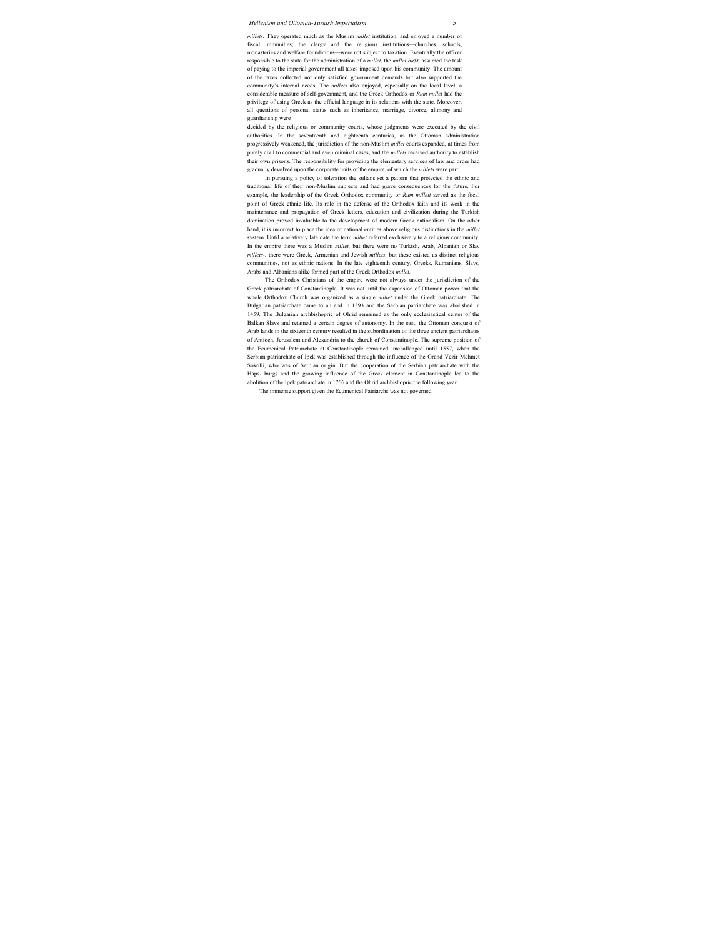*millets.* They operated much as the Muslim *millet* institution, and enjoyed a number of fiscal immunities; the clergy and the religious institutions—churches, schools, monasteries and welfare foundations—were not subject to taxation. Eventually the officer responsible to the state for the administration of a *millet*, the *millet* bast, assumed the task of paying to the imperial government all taxes imposed upon his community. The amount of the taxes collected not only satisfied government demands but also supported the community's internal needs. The *millets* also enjoyed, especially on the local level, a considerable measure of self-government, and the Greek Orthodox or *Rum millet* had the privilege of using Greek as the official language in its relations with the state. Moreover, all questions of personal status such as inheritance, marriage, divorce, alimony and guardianship were

decided by the religious or community courts, whose judgments were executed by the civil authorities. In the seventeenth and eighteenth centuries, as the Ottoman administration progressively weakened, the jurisdiction of the non-Muslim *millet* courts expanded, at times from purely civil to commercial and even criminal cases, and the *millets* received authority to establish their own prisons. The responsibility for providing the elementary services of law and order had gradually devolved upon the corporate units of the empire, of which the *millets* were part.

In pursuing a policy of toleration the sultans set a pattern that protected the ethnic and traditional life of their non-Muslim subjects and had grave consequences for the future. For example, the leadership of the Greek Orthodox community or *Rum milleti* served as the focal point of Greek ethnic life. Its role in the defense of the Orthodox faith and its work in the maintenance and propagation of Greek letters, education and civilization during the Turkish domination proved invaluable to the development of modern Greek nationalism. On the other hand, it is incorrect to place the idea of national entities above religious distinctions in the *millet* system. Until a relatively late date the term *millet* referred exclusively to a religious community. In the empire there was a Muslim *millet,* but there were no Turkish, Arab, Albanian or Slav *millets-,* there were Greek, Armenian and Jewish *millets,* but these existed as distinct religious communities, not as ethnic nations. In the late eighteenth century, Greeks, Rumanians, Slavs, Arabs and Albanians alike formed part of the Greek Orthodox *millet.*

The Orthodox Christians of the empire were not always under the jurisdiction of the Greek patriarchate of Constantinople. It was not until the expansion of Ottoman power that the whole Orthodox Church was organized as a single *millet* under the Greek patriarchate. The Bulgarian patriarchate came to an end in 1393 and the Serbian patriarchate was abolished in 1459. The Bulgarian archbishopric of Ohrid remained as the only ecclesiastical center of the Balkan Slavs and retained a certain degree of autonomy. In the east, the Ottoman conquest of Arab lands in the sixteenth century resulted in the subordination of the three ancient patriarchates of Antioch, Jerusalem and Alexandria to the church of Constantinople. The supreme position of the Ecumenical Patriarchate at Constantinople remained unchallenged until 1557, when the Serbian patriarchate of Ipek was established through the influence of the Grand Vezir Mehmet Sokolli, who was of Serbian origin. But the cooperation of the Serbian patriarchate with the Haps- burgs and the growing influence of the Greek element in Constantinople led to the abolition of the Ipek patriarchate in 1766 and the Ohrid archbishopric the following year.

The immense support given the Ecumenical Patriarchs was not governed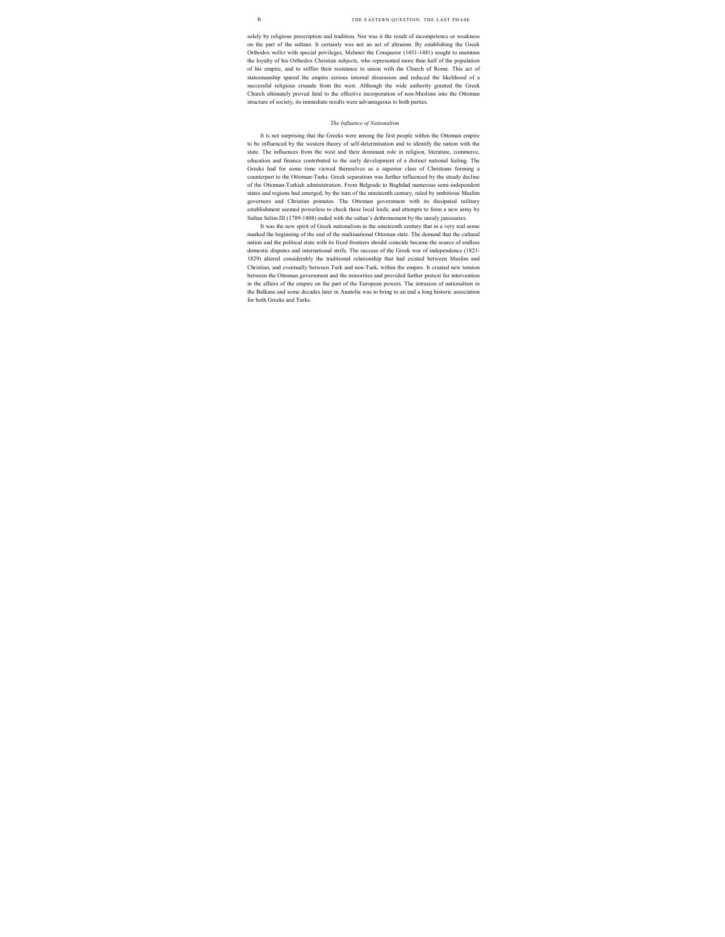solely by religious prescription and tradition. Nor was it the result of incompetence or weakness on the part of the sultans. It certainly was not an act of altruism. By establishing the Greek Orthodox *millet* with special privileges, Mehmet the Conqueror (1451-1481) sought to maintain the loyalty of his Orthodox Christian subjects, who represented more than half of the population of his empire, and to stiffen their resistance to union with the Church of Rome. This act of statesmanship spared the empire serious internal dissension and reduced the likelihood of a successful religious crusade from the west. Although the wide authority granted the Greek Church ultimately proved fatal to the effective incorporation of non-Muslims into the Ottoman structure of society, its immediate results were advantageous to both parties.

#### *The Influence of Nationalism*

It is not surprising that the Greeks were among the first people within the Ottoman empire to be influenced by the western theory of self-determination and to identify the nation with the state. The influences from the west and their dominant role in religion, literature, commerce, education and finance contributed to the early development of a distinct national feeling. The Greeks had for some time viewed themselves as a superior class of Christians forming a counterpart to the Ottoman-Turks. Greek separatism was further influenced by the steady decline of the Ottoman-Turkish administration. From Belgrade to Baghdad numerous semi-independent states and regions had emerged, by the turn of the nineteenth century, ruled by ambitious Muslim governors and Christian primates. The Ottoman government with its dissipated military establishment seemed powerless to check these local lords; and attempts to form a new army by Sultan Selim III (1789-1808) ended with the sultan's dethronement by the unruly janissaries.

It was the new spirit of Greek nationalism in the nineteenth century that in a very real sense marked the beginning of the end of the multinational Ottoman state. The demand that the cultural nation and the political state with its fixed frontiers should coincide became the source of endless domestic disputes and international strife. The success of the Greek war of independence (1821- 1829) altered considerably the traditional relationship that had existed between Muslim and Christian, and eventually between Turk and non-Turk, within the empire. It created new tension between the Ottoman government and the minorities and provided further pretext for intervention in the affairs of the empire on the part of the European powers. The intrusion of nationalism in the Balkans and some decades later in Anatolia was to bring to an end a long historic association for both Greeks and Turks.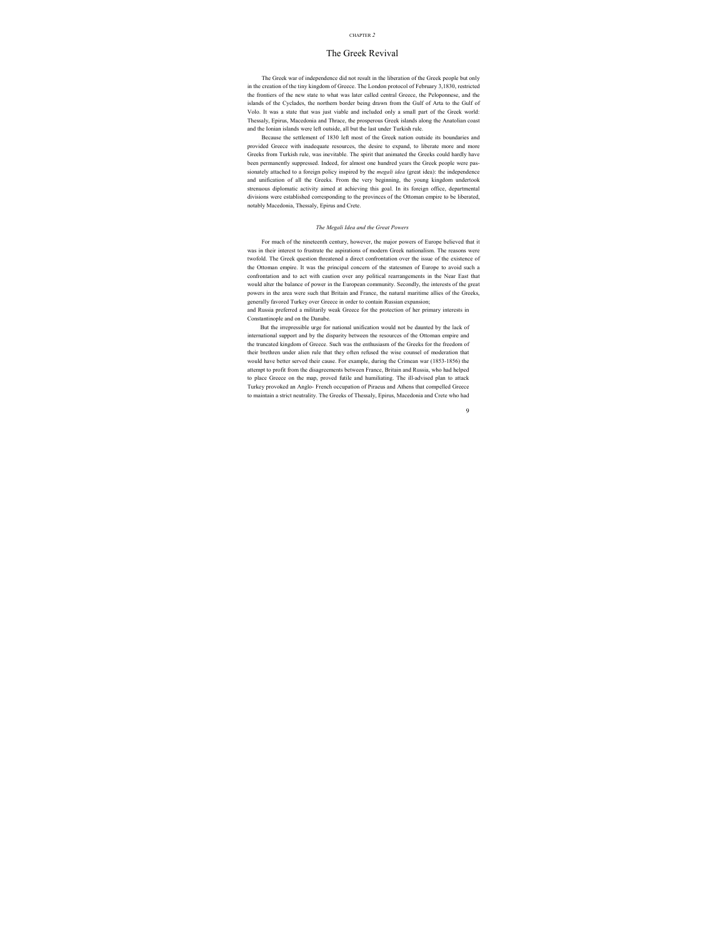#### CHAPTER *2*

## The Greek Revival

The Greek war of independence did not result in the liberation of the Greek people but only in the creation of the tiny kingdom of Greece. The London protocol of February 3,1830, restricted the frontiers of the new state to what was later called central Greece, the Peloponnese, and the islands of the Cyclades, the northern border being drawn from the Gulf of Arta to the Gulf of Volo. It was a state that was just viable and included only a small part of the Greek world: Thessaly, Epirus, Macedonia and Thrace, the prosperous Greek islands along the Anatolian coast and the Ionian islands were left outside, all but the last under Turkish rule.

Because the settlement of 1830 left most of the Greek nation outside its boundaries and provided Greece with inadequate resources, the desire to expand, to liberate more and more Greeks from Turkish rule, was inevitable. The spirit that animated the Greeks could hardly have been permanently suppressed. Indeed, for almost one hundred years the Greek people were passionately attached to a foreign policy inspired by the *megali idea* (great idea): the independence and unification of all the Greeks. From the very beginning, the young kingdom undertook strenuous diplomatic activity aimed at achieving this goal. In its foreign office, departmental divisions were established corresponding to the provinces of the Ottoman empire to be liberated, notably Macedonia, Thessaly, Epirus and Crete.

#### *The Megali Idea and the Great Powers*

For much of the nineteenth century, however, the major powers of Europe believed that it was in their interest to frustrate the aspirations of modern Greek nationalism. The reasons were twofold. The Greek question threatened a direct confrontation over the issue of the existence of the Ottoman empire. It was the principal concern of the statesmen of Europe to avoid such a confrontation and to act with caution over any political rearrangements in the Near East that would alter the balance of power in the European community. Secondly, the interests of the great powers in the area were such that Britain and France, the natural maritime allies of the Greeks, generally favored Turkey over Greece in order to contain Russian expansion;

and Russia preferred a militarily weak Greece for the protection of her primary interests in Constantinople and on the Danube.

But the irrepressible urge for national unification would not be daunted by the lack of international support and by the disparity between the resources of the Ottoman empire and the truncated kingdom of Greece. Such was the enthusiasm of the Greeks for the freedom of their brethren under alien rule that they often refused the wise counsel of moderation that would have better served their cause. For example, during the Crimean war (1853-1856) the attempt to profit from the disagreements between France, Britain and Russia, who had helped to place Greece on the map, proved futile and humiliating. The ill-advised plan to attack Turkey provoked an Anglo- French occupation of Piraeus and Athens that compelled Greece to maintain a strict neutrality. The Greeks of Thessaly, Epirus, Macedonia and Crete who had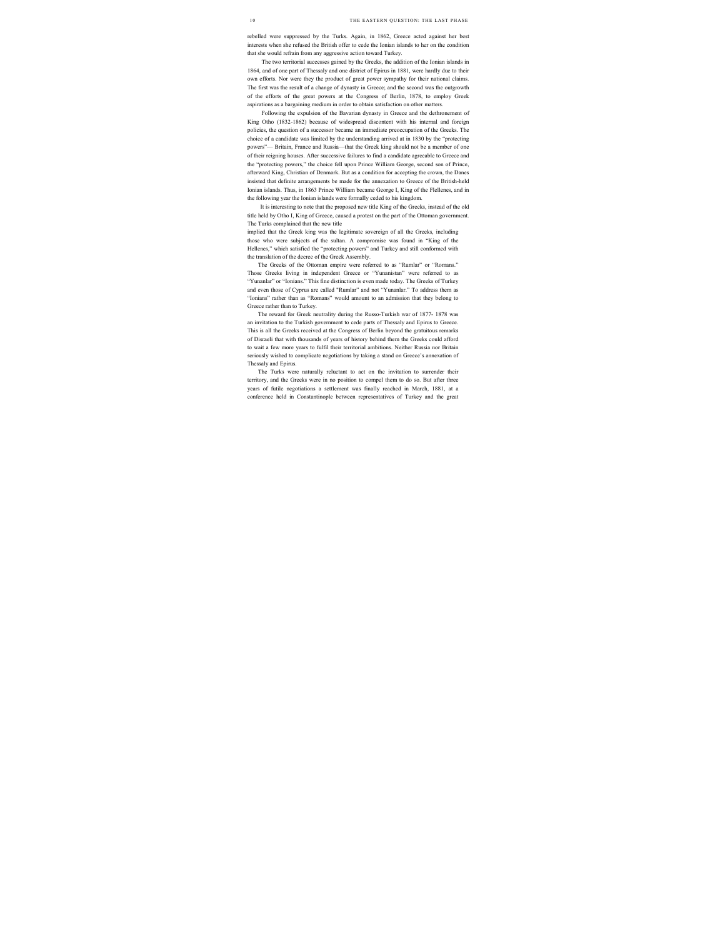rebelled were suppressed by the Turks. Again, in 1862, Greece acted against her best interests when she refused the British offer to cede the Ionian islands to her on the condition that she would refrain from any aggressive action toward Turkey.

The two territorial successes gained by the Greeks, the addition of the Ionian islands in 1864, and of one part of Thessaly and one district of Epirus in 1881, were hardly due to their own efforts. Nor were they the product of great power sympathy for their national claims. The first was the result of a change of dynasty in Greece; and the second was the outgrowth of the efforts of the great powers at the Congress of Berlin, 1878, to employ Greek aspirations as a bargaining medium in order to obtain satisfaction on other matters.

Following the expulsion of the Bavarian dynasty in Greece and the dethronement of King Otho (1832-1862) because of widespread discontent with his internal and foreign policies, the question of a successor became an immediate preoccupation of the Greeks. The choice of a candidate was limited by the understanding arrived at in 1830 by the "protecting powers"— Britain, France and Russia—that the Greek king should not be a member of one of their reigning houses. After successive failures to find a candidate agreeable to Greece and the "protecting powers," the choice fell upon Prince William George, second son of Prince, afterward King, Christian of Denmark. But as a condition for accepting the crown, the Danes insisted that definite arrangements be made for the annexation to Greece of the British-held Ionian islands. Thus, in 1863 Prince William became George I, King of the Flellenes, and in the following year the Ionian islands were formally ceded to his kingdom.

It is interesting to note that the proposed new title King of the Greeks, instead of the old title held by Otho I, King of Greece, caused a protest on the part of the Ottoman government. The Turks complained that the new title

implied that the Greek king was the legitimate sovereign of all the Greeks, including those who were subjects of the sultan. A compromise was found in "King of the Hellenes," which satisfied the "protecting powers" and Turkey and still conformed with the translation of the decree of the Greek Assembly.

The Greeks of the Ottoman empire were referred to as "Rumlar" or "Romans." Those Greeks living in independent Greece or "Yunanistan" were referred to as "Yunanlar" or "Ionians." This fine distinction is even made today. The Greeks of Turkey and even those of Cyprus are called "Rumlar" and not "Yunanlar." To address them as "Ionians" rather than as "Romans" would amount to an admission that they belong to Greece rather than to Turkey.

The reward for Greek neutrality during the Russo-Turkish war of 1877- 1878 was an invitation to the Turkish government to cede parts of Thessaly and Epirus to Greece. This is all the Greeks received at the Congress of Berlin beyond the gratuitous remarks of Disraeli that with thousands of years of history behind them the Greeks could afford to wait a few more years to fulfil their territorial ambitions. Neither Russia nor Britain seriously wished to complicate negotiations by taking a stand on Greece's annexation of Thessaly and Epirus.

The Turks were naturally reluctant to act on the invitation to surrender their territory, and the Greeks were in no position to compel them to do so. But after three years of futile negotiations a settlement was finally reached in March, 1881, at a conference held in Constantinople between representatives of Turkey and the great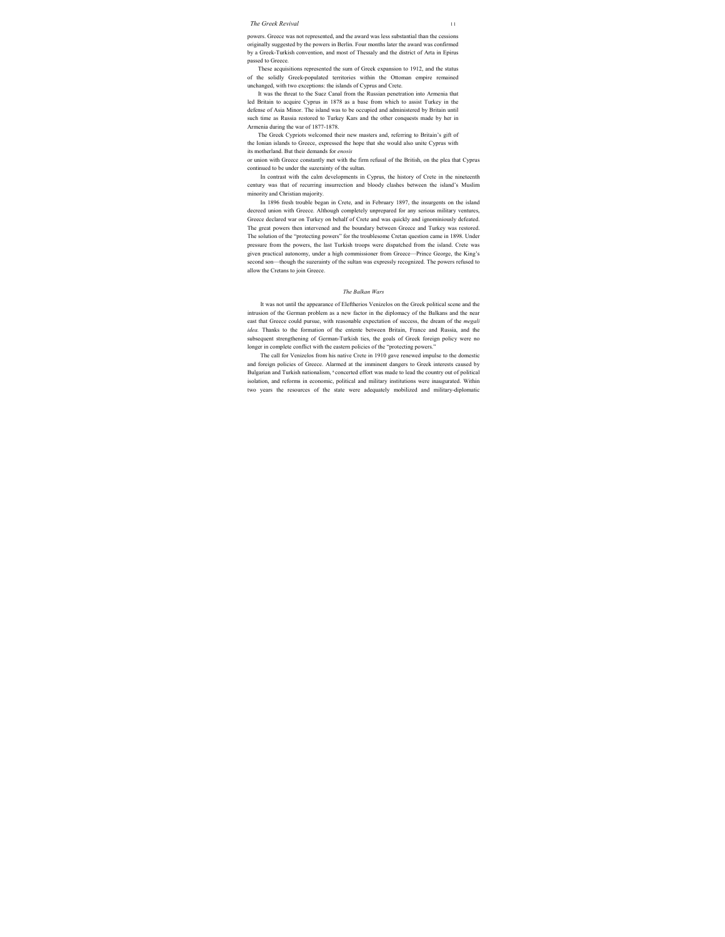#### *The Greek Revival* 11

powers. Greece was not represented, and the award was less substantial than the cessions originally suggested by the powers in Berlin. Four months later the award was confirmed by a Greek-Turkish convention, and most of Thessaly and the district of Arta in Epirus passed to Greece.

These acquisitions represented the sum of Greek expansion to 1912, and the status of the solidly Greek-populated territories within the Ottoman empire remained unchanged, with two exceptions: the islands of Cyprus and Crete.

It was the threat to the Suez Canal from the Russian penetration into Armenia that led Britain to acquire Cyprus in 1878 as a base from which to assist Turkey in the defense of Asia Minor. The island was to be occupied and administered by Britain until such time as Russia restored to Turkey Kars and the other conquests made by her in Armenia during the war of 1877-1878.

The Greek Cypriots welcomed their new masters and, referring to Britain's gift of the Ionian islands to Greece, expressed the hope that she would also unite Cyprus with its motherland. But their demands for *enosis*

or union with Greece constantly met with the firm refusal of the British, on the plea that Cyprus continued to be under the suzerainty of the sultan.

In contrast with the calm developments in Cyprus, the history of Crete in the nineteenth century was that of recurring insurrection and bloody clashes between the island's Muslim minority and Christian majority.

In 1896 fresh trouble began in Crete, and in February 1897, the insurgents on the island decreed union with Greece. Although completely unprepared for any serious military ventures, Greece declared war on Turkey on behalf of Crete and was quickly and ignominiously defeated. The great powers then intervened and the boundary between Greece and Turkey was restored. The solution of the "protecting powers" for the troublesome Cretan question came in 1898. Under pressure from the powers, the last Turkish troops were dispatched from the island. Crete was given practical autonomy, under a high commissioner from Greece—Prince George, the King's second son—though the suzerainty of the sultan was expressly recognized. The powers refused to allow the Cretans to join Greece.

#### *The Balkan Wars*

It was not until the appearance of Eleftherios Venizelos on the Greek political scene and the intrusion of the German problem as a new factor in the diplomacy of the Balkans and the near east that Greece could pursue, with reasonable expectation of success, the dream of the *megali idea.* Thanks to the formation of the entente between Britain, France and Russia, and the subsequent strengthening of German-Turkish ties, the goals of Greek foreign policy were no longer in complete conflict with the eastern policies of the "protecting powers."

The call for Venizelos from his native Crete in 1910 gave renewed impulse to the domestic and foreign policies of Greece. Alarmed at the imminent dangers to Greek interests caused by Bulgarian and Turkish nationalism, <sup>a</sup> concerted effort was made to lead the country out of political isolation, and reforms in economic, political and military institutions were inaugurated. Within two years the resources of the state were adequately mobilized and military-diplomatic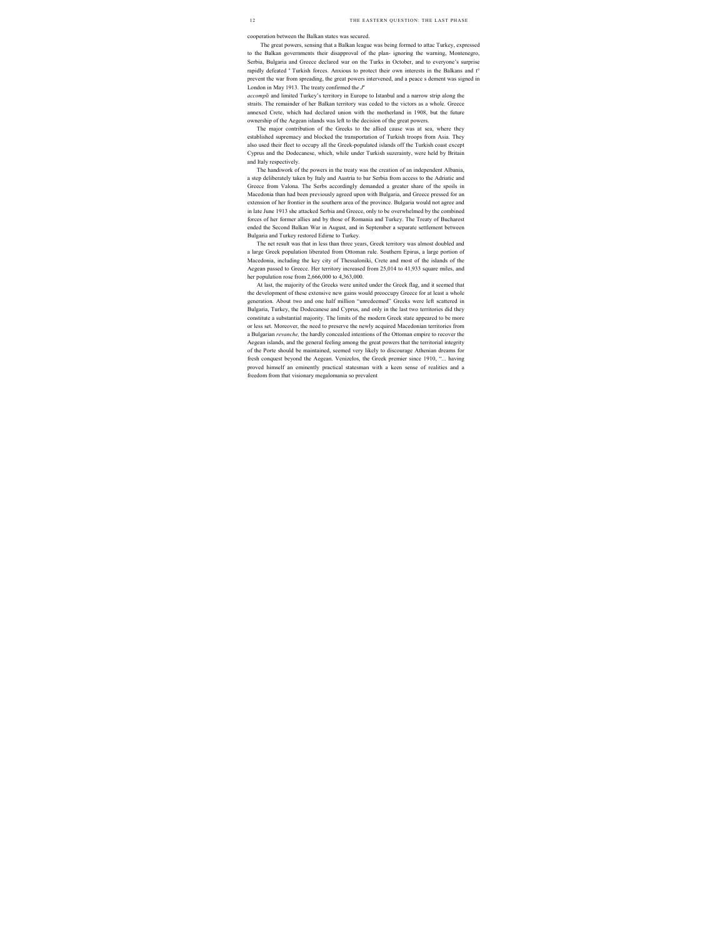cooperation between the Balkan states was secured.

The great powers, sensing that a Balkan league was being formed to attac Turkey, expressed to the Balkan governments their disapproval of the plan- ignoring the warning, Montenegro, Serbia, Bulgaria and Greece declared war on the Turks in October, and to everyone's surprise rapidly defeated <sup>e</sup> Turkish forces. Anxious to protect their own interests in the Balkans and t<sup>o</sup> prevent the war from spreading, the great powers intervened, and a peace s dement was signed in London in May 1913. The treaty confirmed the  $J^a$ 

*accompli* and limited Turkey's territory in Europe to Istanbul and a narrow strip along the straits. The remainder of her Balkan territory was ceded to the victors as a whole. Greece annexed Crete, which had declared union with the motherland in 1908, but the future ownership of the Aegean islands was left to the decision of the great powers.

The major contribution of the Greeks to the allied cause was at sea, where they established supremacy and blocked the transportation of Turkish troops from Asia. They also used their fleet to occupy all the Greek-populated islands off the Turkish coast except Cyprus and the Dodecanese, which, while under Turkish suzerainty, were held by Britain and Italy respectively.

The handiwork of the powers in the treaty was the creation of an independent Albania, a step deliberately taken by Italy and Austria to bar Serbia from access to the Adriatic and Greece from Valona. The Serbs accordingly demanded a greater share of the spoils in Macedonia than had been previously agreed upon with Bulgaria, and Greece pressed for an extension of her frontier in the southern area of the province. Bulgaria would not agree and in late June 1913 she attacked Serbia and Greece, only to be overwhelmed by the combined forces of her former allies and by those of Romania and Turkey. The Treaty of Bucharest ended the Second Balkan War in August, and in September a separate settlement between Bulgaria and Turkey restored Edirne to Turkey.

The net result was that in less than three years, Greek territory was almost doubled and a large Greek population liberated from Ottoman rule. Southern Epirus, a large portion of Macedonia, including the key city of Thessaloniki, Crete and most of the islands of the Aegean passed to Greece. Her territory increased from 25,014 to 41,933 square miles, and her population rose from 2,666,000 to 4,363,000.

At last, the majority of the Greeks were united under the Greek flag, and it seemed that the development of these extensive new gains would preoccupy Greece for at least a whole generation. About two and one half million "unredeemed" Greeks were left scattered in Bulgaria, Turkey, the Dodecanese and Cyprus, and only in the last two territories did they constitute a substantial majority. The limits of the modern Greek state appeared to be more or less set. Moreover, the need to preserve the newly acquired Macedonian territories from a Bulgarian *revanche,* the hardly concealed intentions of the Ottoman empire to recover the Aegean islands, and the general feeling among the great powers that the territorial integrity of the Porte should be maintained, seemed very likely to discourage Athenian dreams for fresh conquest beyond the Aegean. Venizelos, the Greek premier since 1910, "... having proved himself an eminently practical statesman with a keen sense of realities and a freedom from that visionary megalomania so prevalent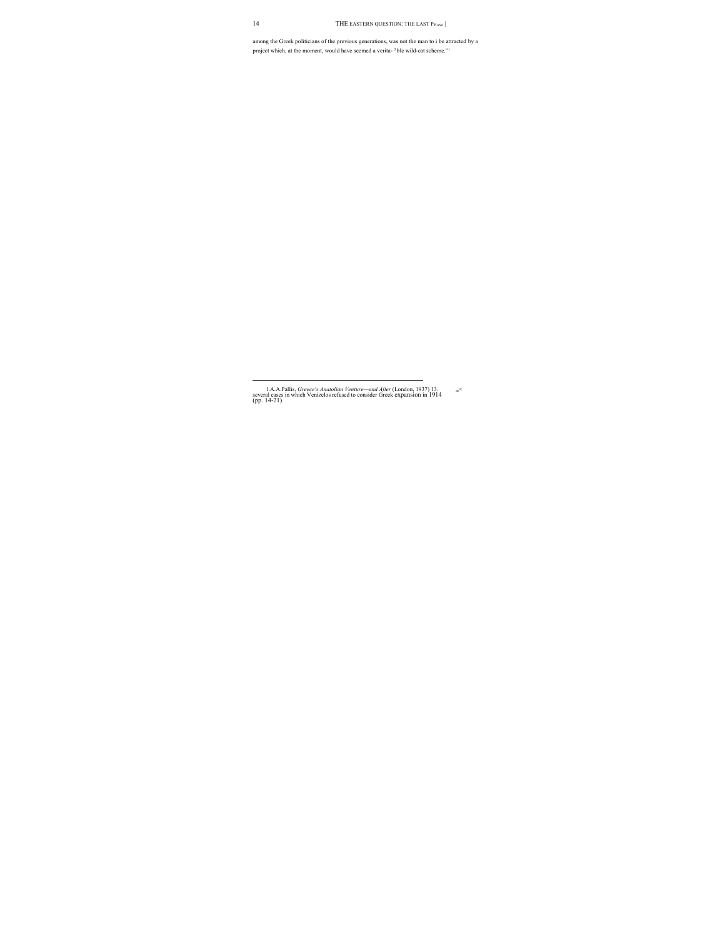among the Greek politicians of the previous generations, was not the man to i be attracted by a project which, at the moment, would have seemed a verita- <sup>5</sup> ble wild-cat scheme."<sup>1</sup>

l.A.A.Pallis, *Greece's Anatolian Venture—and After* (London, 1937) 13. an< several cases in which Venizelos refused to consider Greek expansion in 1914 (pp. 14-21).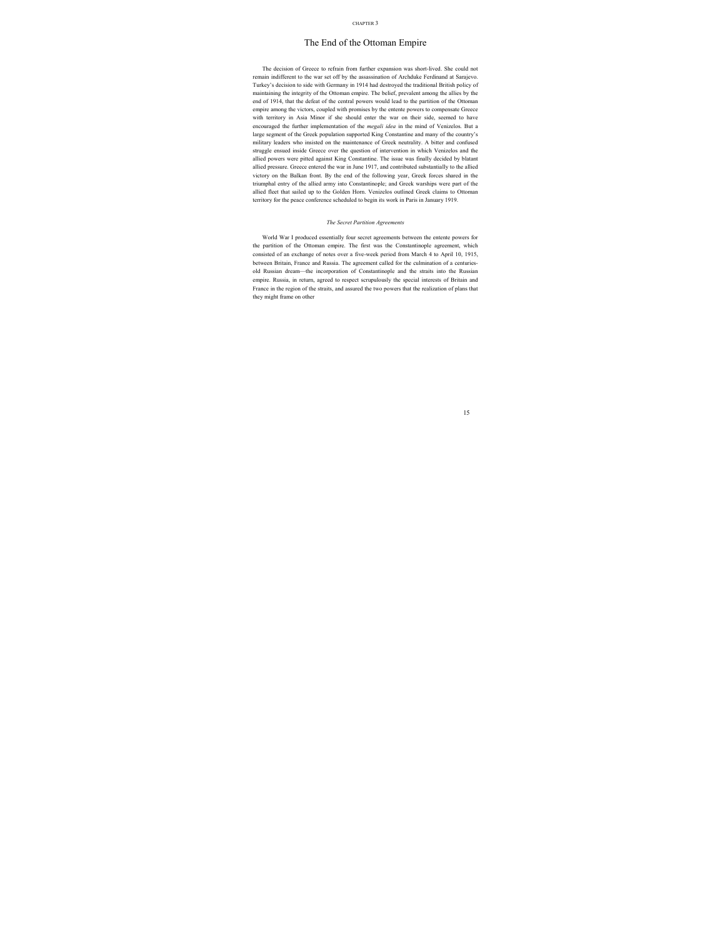## The End of the Ottoman Empire

The decision of Greece to refrain from further expansion was short-lived. She could not remain indifferent to the war set off by the assassination of Archduke Ferdinand at Sarajevo. Turkey's decision to side with Germany in 1914 had destroyed the traditional British policy of maintaining the integrity of the Ottoman empire. The belief, prevalent among the allies by the end of 1914, that the defeat of the central powers would lead to the partition of the Ottoman empire among the victors, coupled with promises by the entente powers to compensate Greece with territory in Asia Minor if she should enter the war on their side, seemed to have encouraged the further implementation of the *megali idea* in the mind of Venizelos. But a large segment of the Greek population supported King Constantine and many of the country's military leaders who insisted on the maintenance of Greek neutrality. A bitter and confused struggle ensued inside Greece over the question of intervention in which Venizelos and the allied powers were pitted against King Constantine. The issue was finally decided by blatant allied pressure. Greece entered the war in June 1917, and contributed substantially to the allied victory on the Balkan front. By the end of the following year, Greek forces shared in the triumphal entry of the allied army into Constantinople; and Greek warships were part of the allied fleet that sailed up to the Golden Horn. Venizelos outlined Greek claims to Ottoman territory for the peace conference scheduled to begin its work in Paris in January 1919.

#### *The Secret Partition Agreements*

World War I produced essentially four secret agreements between the entente powers for the partition of the Ottoman empire. The first was the Constantinople agreement, which consisted of an exchange of notes over a five-week period from March 4 to April 10, 1915, between Britain, France and Russia. The agreement called for the culmination of a centuriesold Russian dream—the incorporation of Constantinople and the straits into the Russian empire. Russia, in return, agreed to respect scrupulously the special interests of Britain and France in the region of the straits, and assured the two powers that the realization of plans that they might frame on other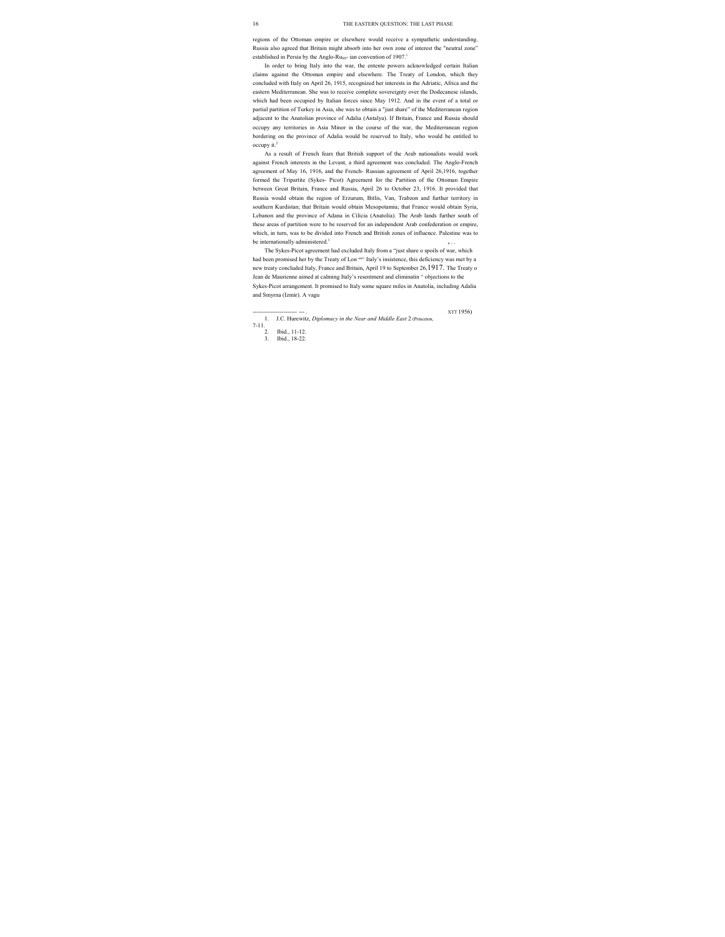regions of the Ottoman empire or elsewhere would receive a sympathetic understanding. Russia also agreed that Britain might absorb into her own zone of interest the "neutral zone" established in Persia by the Anglo-Russ- ian convention of 1907.<sup>1</sup>

In order to bring Italy into the war, the entente powers acknowledged certain Italian claims against the Ottoman empire and elsewhere. The Treaty of London, which they concluded with Italy on April 26, 1915, recognized her interests in the Adriatic, Africa and the eastern Mediterranean. She was to receive complete sovereignty over the Dodecanese islands, which had been occupied by Italian forces since May 1912. And in the event of a total or partial partition of Turkey in Asia, she was to obtain a "just share" of the Mediterranean region adjacent to the Anatolian province of Adalia (Antalya). If Britain, France and Russia should occupy any territories in Asia Minor in the course of the war, the Mediterranean region bordering on the province of Adalia would be reserved to Italy, who would be entitled to occupy it.2

As a result of French fears that British support of the Arab nationalists would work against French interests in the Levant, a third agreement was concluded. The Anglo-French agreement of May 16, 1916, and the French- Russian agreement of April 26,1916, together formed the Tripartite (Sykes- Picot) Agreement for the Partition of the Ottoman Empire between Great Britain, France and Russia, April 26 to October 23, 1916. It provided that Russia would obtain the region of Erzurum, Bitlis, Van, Trabzon and further territory in southern Kurdistan; that Britain would obtain Mesopotamia; that France would obtain Syria, Lebanon and the province of Adana in Cilicia (Anatolia). The Arab lands further south of these areas of partition were to be reserved for an independent Arab confederation or empire, which, in turn, was to be divided into French and British zones of influence. Palestine was to be internationally administered. $3$ 

The Sykes-Picot agreement had excluded Italy from a "just share o spoils of war, which had been promised her by the Treaty of Lon  $\alpha$  Italy's insistence, this deficiency was met by a new treaty concluded Italy, France and Britain, April 19 to September 26,1917. The Treaty o Jean de Maurienne aimed at calming Italy's resentment and eliminatin ^ objections to the Sykes-Picot arrangement. It promised to Italy some square miles in Anatolia, including Adalia and Smyrna (Izmir). A vagu

----------------------- --- . XTT 1956)

<sup>1.</sup> J.C. Hurewitz, *Diplomacy in the Near and Middle East* 2 (Princeton, 7-11.

<sup>2.</sup> Ibid., 11-12.<br>3 Ibid. 18-22.

<sup>3.</sup> Ibid., 18-22.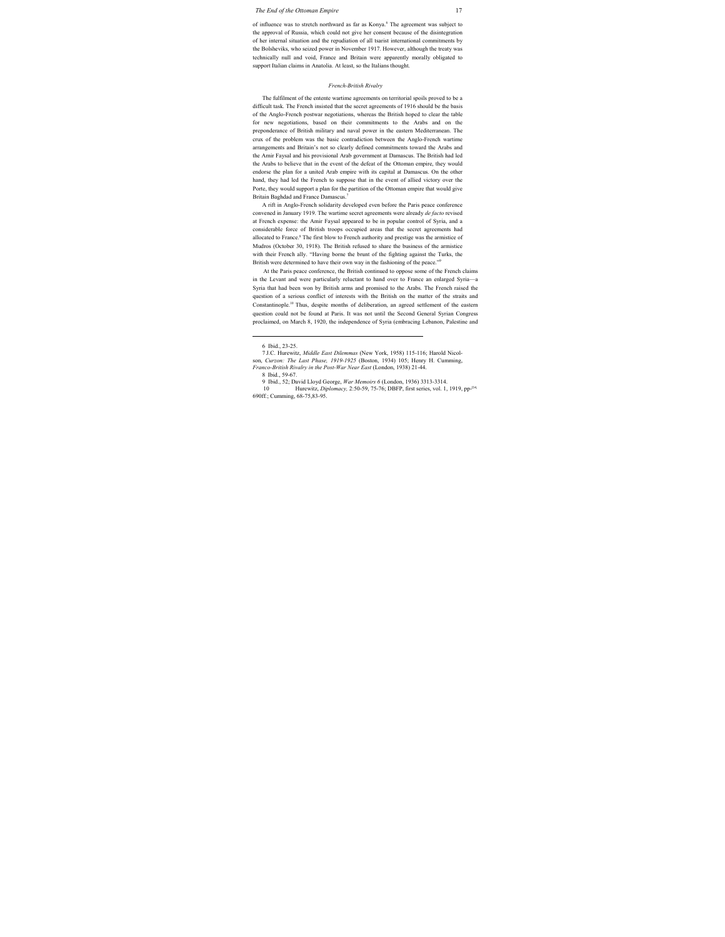of influence was to stretch northward as far as Konya.<sup>6</sup> The agreement was subject to the approval of Russia, which could not give her consent because of the disintegration of her internal situation and the repudiation of all tsarist international commitments by the Bolsheviks, who seized power in November 1917. However, although the treaty was technically null and void, France and Britain were apparently morally obligated to support Italian claims in Anatolia. At least, so the Italians thought.

#### *French-British Rivalry*

The fulfilment of the entente wartime agreements on territorial spoils proved to be a difficult task. The French insisted that the secret agreements of 1916 should be the basis of the Anglo-French postwar negotiations, whereas the British hoped to clear the table for new negotiations, based on their commitments to the Arabs and on the preponderance of British military and naval power in the eastern Mediterranean. The crux of the problem was the basic contradiction between the Anglo-French wartime arrangements and Britain's not so clearly defined commitments toward the Arabs and the Amir Faysal and his provisional Arab government at Damascus. The British had led the Arabs to believe that in the event of the defeat of the Ottoman empire, they would endorse the plan for a united Arab empire with its capital at Damascus. On the other hand, they had led the French to suppose that in the event of allied victory over the Porte, they would support a plan for the partition of the Ottoman empire that would give Britain Baghdad and France Damascus.<sup>7</sup>

A rift in Anglo-French solidarity developed even before the Paris peace conference convened in January 1919. The wartime secret agreements were already *de facto* revised at French expense: the Amir Faysal appeared to be in popular control of Syria, and a considerable force of British troops occupied areas that the secret agreements had allocated to France.<sup>8</sup> The first blow to French authority and prestige was the armistice of Mudros (October 30, 1918). The British refused to share the business of the armistice with their French ally. "Having borne the brunt of the fighting against the Turks, the British were determined to have their own way in the fashioning of the peace."9

At the Paris peace conference, the British continued to oppose some of the French claims in the Levant and were particularly reluctant to hand over to France an enlarged Syria—a Syria that had been won by British arms and promised to the Arabs. The French raised the question of a serious conflict of interests with the British on the matter of the straits and Constantinople.10 Thus, despite months of deliberation, an agreed settlement of the eastern question could not be found at Paris. It was not until the Second General Syrian Congress proclaimed, on March 8, 1920, the independence of Syria (embracing Lebanon, Palestine and

 <sup>6</sup> Ibid., 23-25.

<sup>7</sup> J.C. Hurewitz, *Middle East Dilemmas* (New York, 1958) 115-116; Harold Nicolson, *Curzon: The Last Phase, 1919-1925* (Boston, 1934) 105; Henry H. Cumming, *Franco-British Rivalry in the Post-War Near East* (London, 1938) 21-44.

<sup>8</sup> Ibid., 59-67.

<sup>9</sup> Ibid., 52; David Lloyd George, *War Memoirs 6* (London, 1936) 3313-3314.

<sup>10</sup> Hurewitz, *Diplomacy,* 2:50-59, 75-76; DBFP, first series, vol. 1, 1919, pp-l34, 690ff.; Cumming, 68-75,83-95.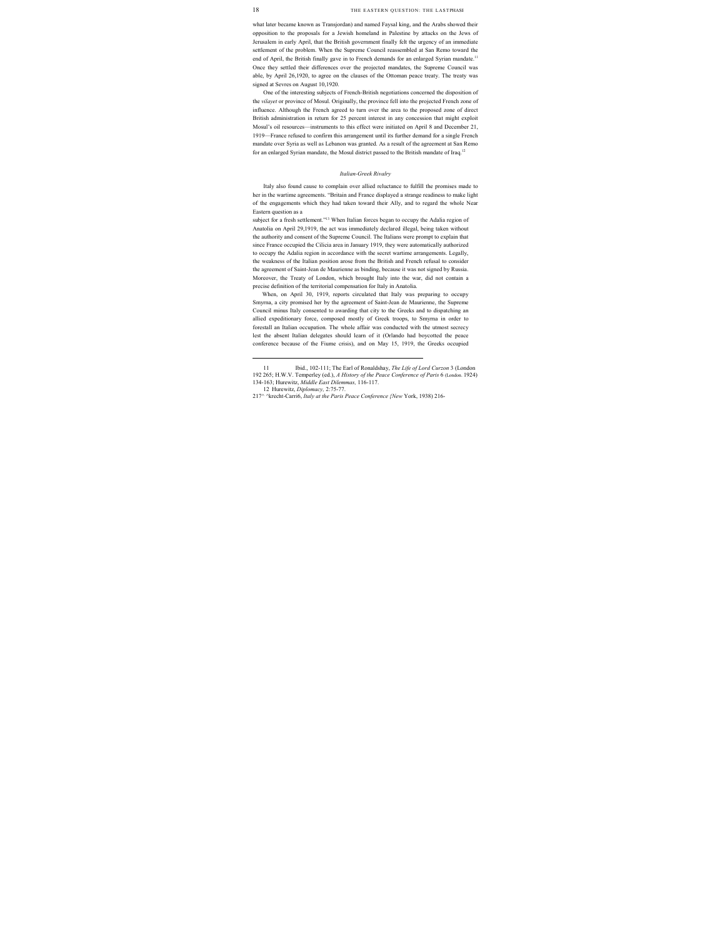what later became known as Transjordan) and named Faysal king, and the Arabs showed their opposition to the proposals for a Jewish homeland in Palestine by attacks on the Jews of Jerusalem in early April, that the British government finally felt the urgency of an immediate settlement of the problem. When the Supreme Council reassembled at San Remo toward the end of April, the British finally gave in to French demands for an enlarged Syrian mandate.<sup>11</sup> Once they settled their differences over the projected mandates, the Supreme Council was able, by April 26,1920, to agree on the clauses of the Ottoman peace treaty. The treaty was signed at Sevres on August 10,1920.

One of the interesting subjects of French-British negotiations concerned the disposition of the *vilayet* or province of Mosul. Originally, the province fell into the projected French zone of influence. Although the French agreed to turn over the area to the proposed zone of direct British administration in return for 25 percent interest in any concession that might exploit Mosul's oil resources—instruments to this effect were initiated on April 8 and December 21, 1919—France refused to confirm this arrangement until its further demand for a single French mandate over Syria as well as Lebanon was granted. As a result of the agreement at San Remo for an enlarged Syrian mandate, the Mosul district passed to the British mandate of Iraq.<sup>12</sup>

#### *Italian-Greek Rivalry*

Italy also found cause to complain over allied reluctance to fulfill the promises made to her in the wartime agreements. "Britain and France displayed a strange readiness to make light of the engagements which they had taken toward their Ally, and to regard the whole Near Eastern question as a

subject for a fresh settlement."<sup>13</sup> When Italian forces began to occupy the Adalia region of Anatolia on April 29,1919, the act was immediately declared illegal, being taken without the authority and consent of the Supreme Council. The Italians were prompt to explain that since France occupied the Cilicia area in January 1919, they were automatically authorized to occupy the Adalia region in accordance with the secret wartime arrangements. Legally, the weakness of the Italian position arose from the British and French refusal to consider the agreement of Saint-Jean de Maurienne as binding, because it was not signed by Russia. Moreover, the Treaty of London, which brought Italy into the war, did not contain a precise definition of the territorial compensation for Italy in Anatolia.

When, on April 30, 1919, reports circulated that Italy was preparing to occupy Smyrna, a city promised her by the agreement of Saint-Jean de Maurienne, the Supreme Council minus Italy consented to awarding that city to the Greeks and to dispatching an allied expeditionary force, composed mostly of Greek troops, to Smyrna in order to forestall an Italian occupation. The whole affair was conducted with the utmost secrecy lest the absent Italian delegates should learn of it (Orlando had boycotted the peace conference because of the Fiume crisis), and on May 15, 1919, the Greeks occupied

 <sup>11</sup> Ibid., 102-111; The Earl of Ronaldshay, *The Life of Lord Curzon* 3 (London 192 265; H.W.V. Temperley (ed.), *A History of the Peace Conference of Paris* 6 (London. 1924) 134-163; Hurewitz, *Middle East Dilemmas,* 116-117.

<sup>12</sup> Hurewitz, *Diplomacy,* 2:75-77.

<sup>217^ ^</sup>krecht-Carri6, *Italy at the Paris Peace Conference {New* York, 1938) 216-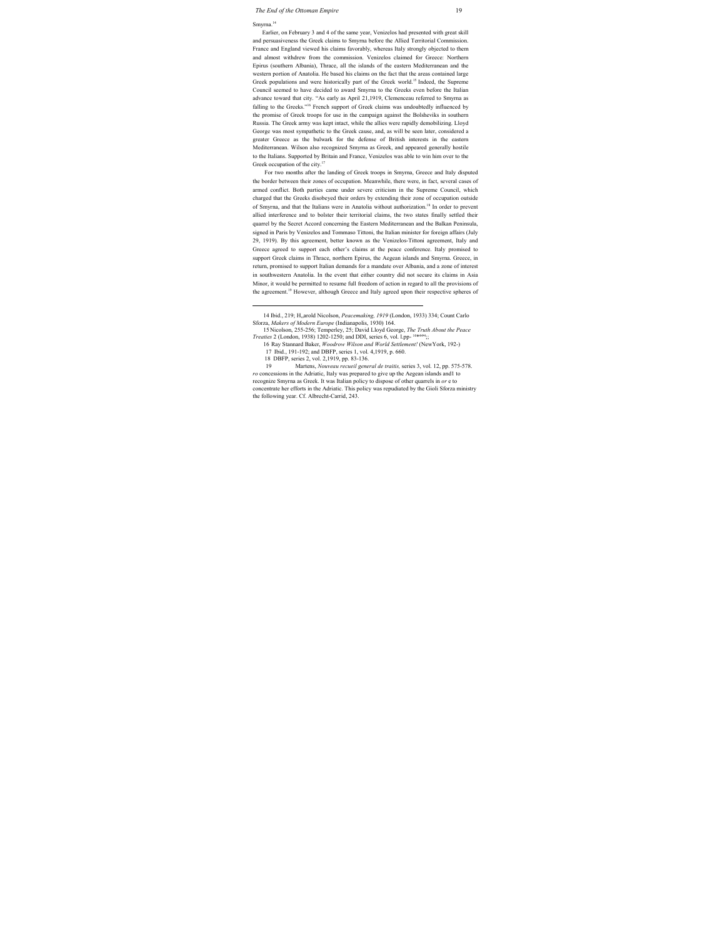#### *The End of the Ottoman Empire* 19

#### Smyrna.<sup>14</sup>

Earlier, on February 3 and 4 of the same year, Venizelos had presented with great skill and persuasiveness the Greek claims to Smyrna before the Allied Territorial Commission. France and England viewed his claims favorably, whereas Italy strongly objected to them and almost withdrew from the commission. Venizelos claimed for Greece: Northern Epirus (southern Albania), Thrace, all the islands of the eastern Mediterranean and the western portion of Anatolia. He based his claims on the fact that the areas contained large Greek populations and were historically part of the Greek world. 15 Indeed, the Supreme Council seemed to have decided to award Smyrna to the Greeks even before the Italian advance toward that city. "As early as April 21,1919, Clemenceau referred to Smyrna as falling to the Greeks."<sup>16</sup> French support of Greek claims was undoubtedly influenced by the promise of Greek troops for use in the campaign against the Bolsheviks in southern Russia. The Greek army was kept intact, while the allies were rapidly demobilizing. Lloyd George was most sympathetic to the Greek cause, and, as will be seen later, considered a greater Greece as the bulwark for the defense of British interests in the eastern Mediterranean. Wilson also recognized Smyrna as Greek, and appeared generally hostile to the Italians. Supported by Britain and France, Venizelos was able to win him over to the Greek occupation of the city.<sup>17</sup>

For two months after the landing of Greek troops in Smyrna, Greece and Italy disputed the border between their zones of occupation. Meanwhile, there were, in fact, several cases of armed conflict. Both parties came under severe criticism in the Supreme Council, which charged that the Greeks disobeyed their orders by extending their zone of occupation outside of Smyrna, and that the Italians were in Anatolia without authorization.<sup>18</sup> In order to prevent allied interference and to bolster their territorial claims, the two states finally settled their quarrel by the Secret Accord concerning the Eastern Mediterranean and the Balkan Peninsula, signed in Paris by Venizelos and Tommaso Tittoni, the Italian minister for foreign affairs (July 29, 1919). By this agreement, better known as the Venizelos-Tittoni agreement, Italy and Greece agreed to support each other's claims at the peace conference. Italy promised to support Greek claims in Thrace, northern Epirus, the Aegean islands and Smyrna. Greece, in return, promised to support Italian demands for a mandate over Albania, and a zone of interest in southwestern Anatolia. In the event that either country did not secure its claims in Asia Minor, it would be permitted to resume full freedom of action in regard to all the provisions of the agreement.<sup>19</sup> However, although Greece and Italy agreed upon their respective spheres of

 <sup>14</sup> Ibid., 219; H"arold Nicolson, *Peacemaking, 1919* (London, 1933) 334; Count Carlo Sforza, *Makers of Modern Europe* (Indianapolis, 1930) 164.

<sup>15</sup> Nicolson, 255-256; Temperley, 25; David Lloyd George, *The Truth About the Peace*  Treaties 2 (London, 1938) 1202-1250; and DDI, series 6, vol. l.pp-<sup>10\*444</sup>;;

<sup>16</sup> Ray Stannard Baker, *Woodrow Wilson and World Settlement!* (NewYork, 192-)

<sup>17</sup> Ibid., 191-192; and DBFP, series 1, vol. 4,1919, p. 660.

<sup>18</sup> DBFP, series 2, vol. 2,1919, pp. 83-136.

<sup>19</sup> Martens, *Nouveau recueil general de traitis,* series 3, vol. 12, pp. 575-578. *ro* concessions in the Adriatic, Italy was prepared to give up the Aegean islands and1 to recognize Smyrna as Greek. It was Italian policy to dispose of other quarrels in *or* e to concentrate her efforts in the Adriatic. This policy was repudiated by the Gioli Sforza ministry the following year. Cf. Albrecht-Carrid, 243.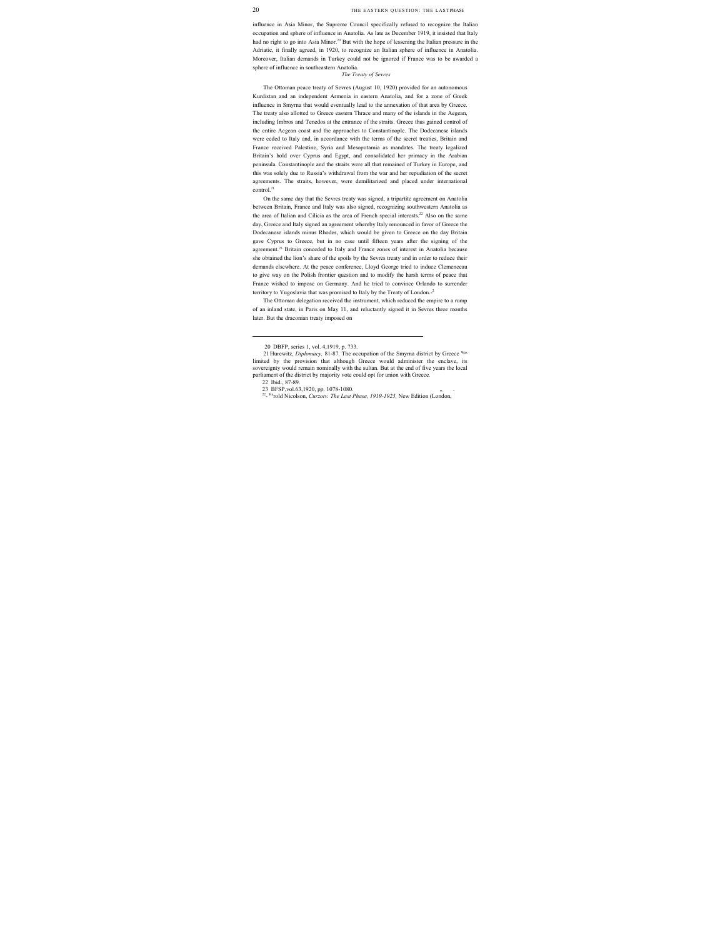influence in Asia Minor, the Supreme Council specifically refused to recognize the Italian occupation and sphere of influence in Anatolia. As late as December 1919, it insisted that Italy had no right to go into Asia Minor.<sup>20</sup> But with the hope of lessening the Italian pressure in the Adriatic, it finally agreed, in 1920, to recognize an Italian sphere of influence in Anatolia. Moreover, Italian demands in Turkey could not be ignored if France was to be awarded a sphere of influence in southeastern Anatolia.

#### *The Treaty of Sevres*

The Ottoman peace treaty of Sevres (August 10, 1920) provided for an autonomous Kurdistan and an independent Armenia in eastern Anatolia, and for a zone of Greek influence in Smyrna that would eventually lead to the annexation of that area by Greece. The treaty also allotted to Greece eastern Thrace and many of the islands in the Aegean, including Imbros and Tenedos at the entrance of the straits. Greece thus gained control of the entire Aegean coast and the approaches to Constantinople. The Dodecanese islands were ceded to Italy and, in accordance with the terms of the secret treaties, Britain and France received Palestine, Syria and Mesopotamia as mandates. The treaty legalized Britain's hold over Cyprus and Egypt, and consolidated her primacy in the Arabian peninsula. Constantinople and the straits were all that remained of Turkey in Europe, and this was solely due to Russia's withdrawal from the war and her repudiation of the secret agreements. The straits, however, were demilitarized and placed under international control.<sup>21</sup>

On the same day that the Sevres treaty was signed, a tripartite agreement on Anatolia between Britain, France and Italy was also signed, recognizing southwestern Anatolia as the area of Italian and Cilicia as the area of French special interests.<sup>22</sup> Also on the same day, Greece and Italy signed an agreement whereby Italy renounced in favor of Greece the Dodecanese islands minus Rhodes, which would be given to Greece on the day Britain gave Cyprus to Greece, but in no case until fifteen years after the signing of the agreement.<sup>23</sup> Britain conceded to Italy and France zones of interest in Anatolia because she obtained the lion's share of the spoils by the Sevres treaty and in order to reduce their demands elsewhere. At the peace conference, Lloyd George tried to induce Clemenceau to give way on the Polish frontier question and to modify the harsh terms of peace that France wished to impose on Germany. And he tried to convince Orlando to surrender territory to Yugoslavia that was promised to Italy by the Treaty of London.<sup>2</sup>

The Ottoman delegation received the instrument, which reduced the empire to a rump of an inland state, in Paris on May 11, and reluctantly signed it in Sevres three months later. But the draconian treaty imposed on

 <sup>20</sup> DBFP, series 1, vol. 4,1919, p. 733.

<sup>21</sup> Hurewitz, *Diplomacy,* 81-87. The occupation of the Smyrna district by Greece Was limited by the provision that although Greece would administer the enclave, its sovereignty would remain nominally with the sultan. But at the end of five years the local parliament of the district by majority vote could opt for union with Greece.

<sup>22</sup> Ibid., 87-89.

<sup>23</sup> BFSP,vol.63,1920, pp. 1078-1080.

<sup>22-</sup> Harold Nicolson, *Curzotv. The Last Phase, 1919-1925,* New Edition (London,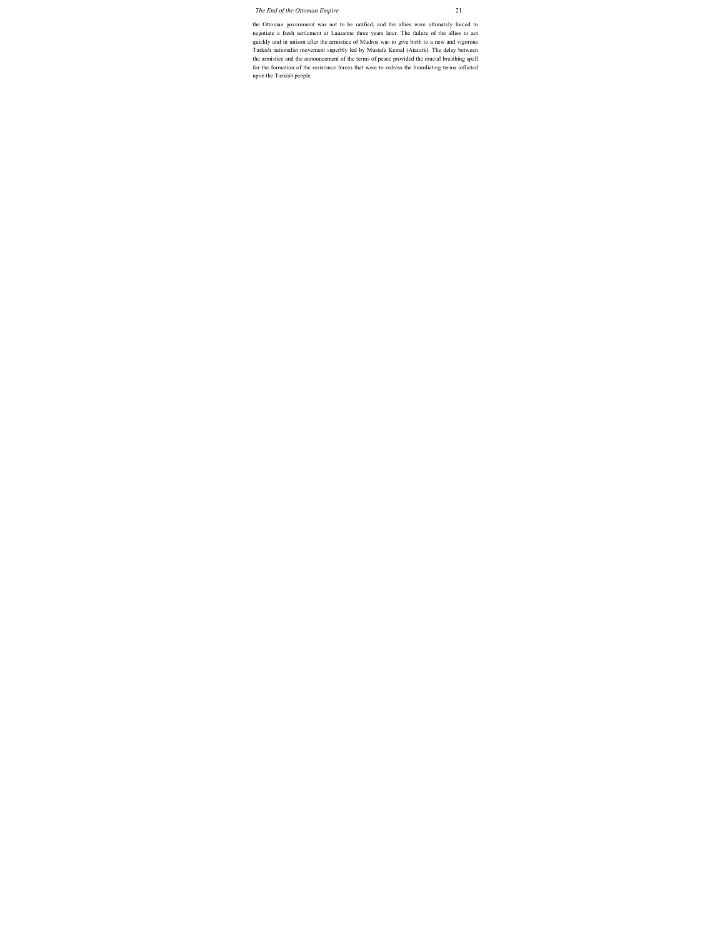the Ottoman government was not to be ratified, and the allies were ultimately forced to negotiate a fresh settlement at Lausanne three years later. The failure of the allies to act quickly and in unison after the armistice of Mudros was to give birth to a new and vigorous Turkish nationalist movement superbly led by Mustafa Kemal (Ataturk). The delay between the armistice and the announcement of the terms of peace provided the crucial breathing spell for the formation of the resistance forces that were to redress the humiliating terms inflicted upon the Turkish people.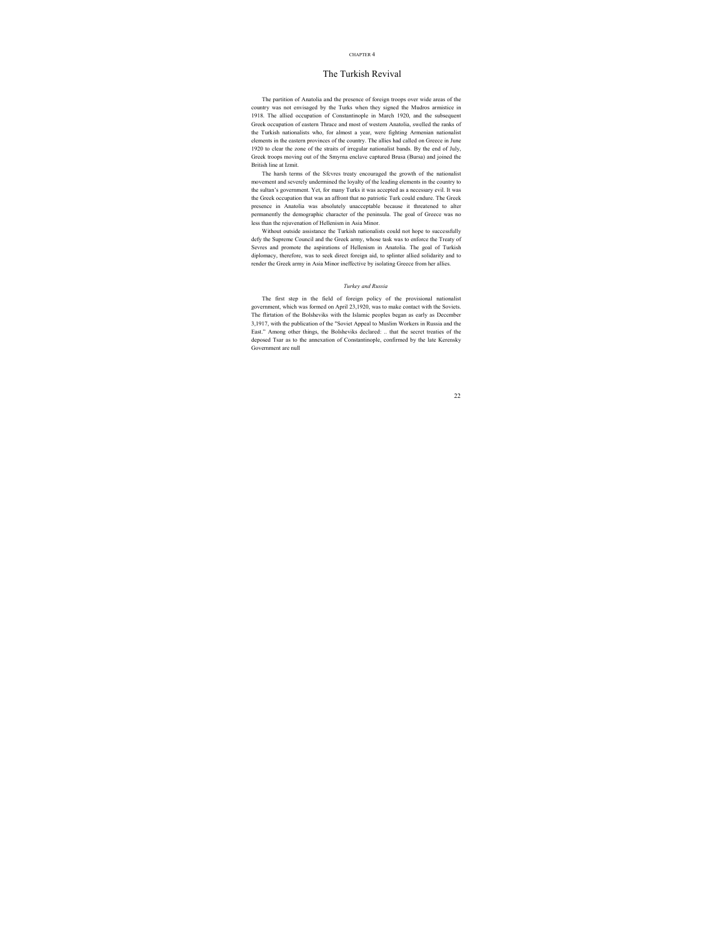#### CHAPTER 4

## The Turkish Revival

The partition of Anatolia and the presence of foreign troops over wide areas of the country was not envisaged by the Turks when they signed the Mudros armistice in 1918. The allied occupation of Constantinople in March 1920, and the subsequent Greek occupation of eastern Thrace and most of western Anatolia, swelled the ranks of the Turkish nationalists who, for almost a year, were fighting Armenian nationalist elements in the eastern provinces of the country. The allies had called on Greece in June 1920 to clear the zone of the straits of irregular nationalist bands. By the end of July, Greek troops moving out of the Smyrna enclave captured Brusa (Bursa) and joined the British line at Izmit.

The harsh terms of the Sfcvres treaty encouraged the growth of the nationalist movement and severely undermined the loyalty of the leading elements in the country to the sultan's government. Yet, for many Turks it was accepted as a necessary evil. It was the Greek occupation that was an affront that no patriotic Turk could endure. The Greek presence in Anatolia was absolutely unacceptable because it threatened to alter permanently the demographic character of the peninsula. The goal of Greece was no less than the rejuvenation of Hellenism in Asia Minor.

Without outside assistance the Turkish nationalists could not hope to successfully defy the Supreme Council and the Greek army, whose task was to enforce the Treaty of Sevres and promote the aspirations of Hellenism in Anatolia. The goal of Turkish diplomacy, therefore, was to seek direct foreign aid, to splinter allied solidarity and to render the Greek army in Asia Minor ineffective by isolating Greece from her allies.

#### *Turkey and Russia*

The first step in the field of foreign policy of the provisional nationalist government, which was formed on April 23,1920, was to make contact with the Soviets. The flirtation of the Bolsheviks with the Islamic peoples began as early as December 3,1917, with the publication of the "Soviet Appeal to Muslim Workers in Russia and the East." Among other things, the Bolsheviks declared: .. that the secret treaties of the deposed Tsar as to the annexation of Constantinople, confirmed by the late Kerensky Government are null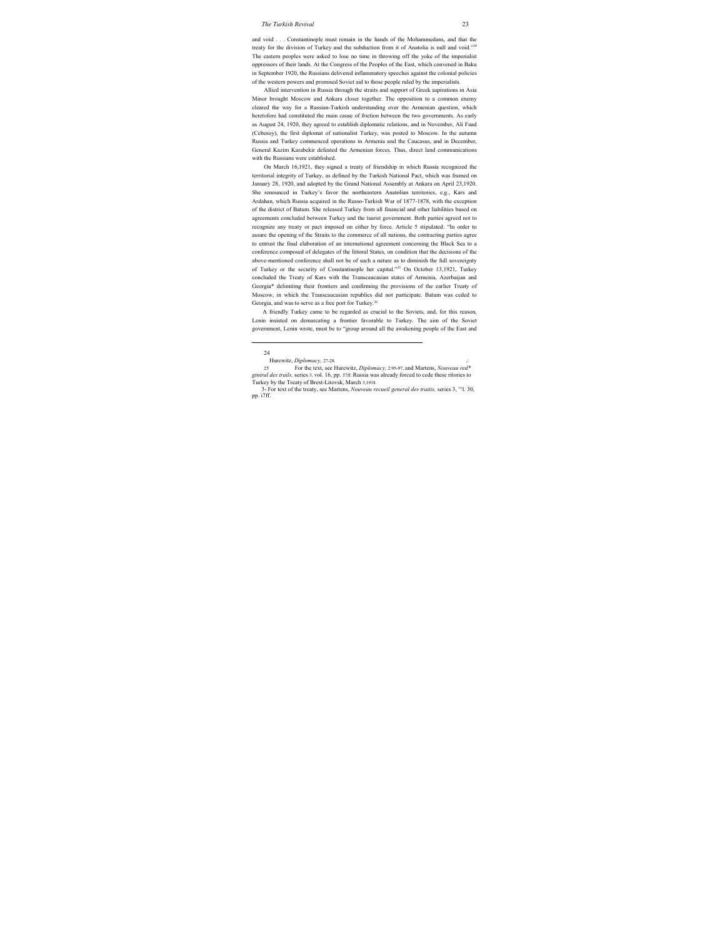and void . . . Constantinople must remain in the hands of the Mohammedans, and that the treaty for the division of Turkey and the subduction from it of Anatolia is null and void."<sup>24</sup> The eastern peoples were asked to lose no time in throwing off the yoke of the imperialist oppressors of their lands. At the Congress of the Peoples of the East, which convened in Baku in September 1920, the Russians delivered inflammatory speeches against the colonial policies of the western powers and promised Soviet aid to those people ruled by the imperialists.

Allied intervention in Russia through the straits and support of Greek aspirations in Asia Minor brought Moscow and Ankara closer together. The opposition to a common enemy cleared the way for a Russian-Turkish understanding over the Armenian question, which heretofore had constituted the main cause of friction between the two governments. As early as August 24, 1920, they agreed to establish diplomatic relations, and in November, Ali Fuad (Cebesoy), the first diplomat of nationalist Turkey, was posted to Moscow. In the autumn Russia and Turkey commenced operations in Armenia and the Caucasus, and in December, General Kazim Karabekir defeated the Armenian forces. Thus, direct land communications with the Russians were established.

On March 16,1921, they signed a treaty of friendship in which Russia recognized the territorial integrity of Turkey, as defined by the Turkish National Pact, which was framed on January 28, 1920, and adopted by the Grand National Assembly at Ankara on April 23,1920. She renounced in Turkey's favor the northeastern Anatolian territories, e.g., Kars and Ardahan, which Russia acquired in the Russo-Turkish War of 1877-1878, with the exception of the district of Batum. She released Turkey from all financial and other liabilities based on agreements concluded between Turkey and the tsarist government. Both parties agreed not to recognize any treaty or pact imposed on either by force. Article 5 stipulated: "In order to assure the opening of the Straits to the commerce of all nations, the contracting parties agree to entrust the final elaboration of an international agreement concerning the Black Sea to a conference composed of delegates of the littoral States, on condition that the decisions of the above-mentioned conference shall not be of such a nature as to diminish the full sovereignty of Turkey or the security of Constantinople her capital."25 On October 13,1921, Turkey concluded the Treaty of Kars with the Transcaucasian states of Armenia, Azerbaijan and Georgia\* delimiting their frontiers and confirming the provisions of the earlier Treaty of Moscow, in which the Transcaucasian republics did not participate. Batum was ceded to Georgia, and was to serve as a free port for Turkey.26

A friendly Turkey came to be regarded as crucial to the Soviets, and, for this reason, Lenin insisted on demarcating a frontier favorable to Turkey. The aim of the Soviet government, Lenin wrote, must be to "group around all the awakening people of the East and

24

Hurewitz, *Diplomacy*, 27-28.

<sup>25</sup> For the text, see Hurewitz, *Diplomacy,* 2:95-97, and Martens, *Nouveau red\* gtniral des trails,* series 3, vol. 16, pp. 37ff. Russia was already forced to cede these ritories to Turkey by the Treaty of Brest-Litovsk, March 3,1918.

<sup>3-</sup> For text of the treaty, see Martens, *Nouveau recueil general des traitis*, series 3, <sup>vo</sup>l. 30, pp. i7ff.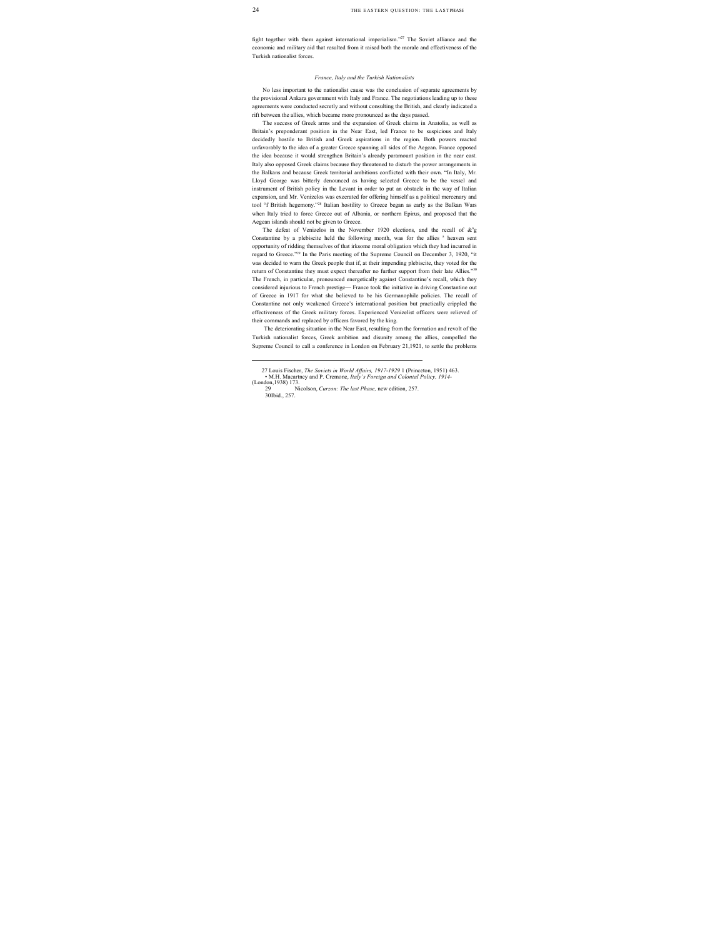fight together with them against international imperialism."27 The Soviet alliance and the economic and military aid that resulted from it raised both the morale and effectiveness of the Turkish nationalist forces.

#### *France, Italy and the Turkish Nationalists*

No less important to the nationalist cause was the conclusion of separate agreements by the provisional Ankara government with Italy and France. The negotiations leading up to these agreements were conducted secretly and without consulting the British, and clearly indicated a rift between the allies, which became more pronounced as the days passed.

The success of Greek arms and the expansion of Greek claims in Anatolia, as well as Britain's preponderant position in the Near East, led France to be suspicious and Italy decidedly hostile to British and Greek aspirations in the region. Both powers reacted unfavorably to the idea of a greater Greece spanning all sides of the Aegean. France opposed the idea because it would strengthen Britain's already paramount position in the near east. Italy also opposed Greek claims because they threatened to disturb the power arrangements in the Balkans and because Greek territorial ambitions conflicted with their own. "In Italy, Mr. Lloyd George was bitterly denounced as having selected Greece to be the vessel and instrument of British policy in the Levant in order to put an obstacle in the way of Italian expansion, and Mr. Venizelos was execrated for offering himself as a political mercenary and tool <sup>o</sup>f British hegemony."<sup>28</sup> Italian hostility to Greece began as early as the Balkan Wars when Italy tried to force Greece out of Albania, or northern Epirus, and proposed that the Aegean islands should not be given to Greece.

The defeat of Venizelos in the November 1920 elections, and the recall of  $\&$ <sup>n</sup>g Constantine by a plebiscite held the following month, was for the allies <sup>a</sup> heaven sent opportunity of ridding themselves of that irksome moral obligation which they had incurred in regard to Greece."29 In the Paris meeting of the Supreme Council on December 3, 1920, "it was decided to warn the Greek people that if, at their impending plebiscite, they voted for the return of Constantine they must expect thereafter no further support from their late Allies."30 The French, in particular, pronounced energetically against Constantine's recall, which they considered injurious to French prestige— France took the initiative in driving Constantine out of Greece in 1917 for what she believed to be his Germanophile policies. The recall of Constantine not only weakened Greece's international position but practically crippled the effectiveness of the Greek military forces. Experienced Venizelist officers were relieved of their commands and replaced by officers favored by the king.

The deteriorating situation in the Near East, resulting from the formation and revolt of the Turkish nationalist forces, Greek ambition and disunity among the allies, compelled the Supreme Council to call a conference in London on February 21,1921, to settle the problems

 <sup>27</sup> Louis Fischer, *The Soviets in World Affairs, 1917-1929* 1 (Princeton, 1951) 463.

<sup>•</sup> M.H. Macartney and P. Cremone, *Italy's Foreign and Colonial Policy, 1914-*   $\frac{(London,1938)}{29}$  173.

<sup>29</sup> Nicolson, *Curzon: The last Phase,* new edition, 257. 30 Ibid., 257.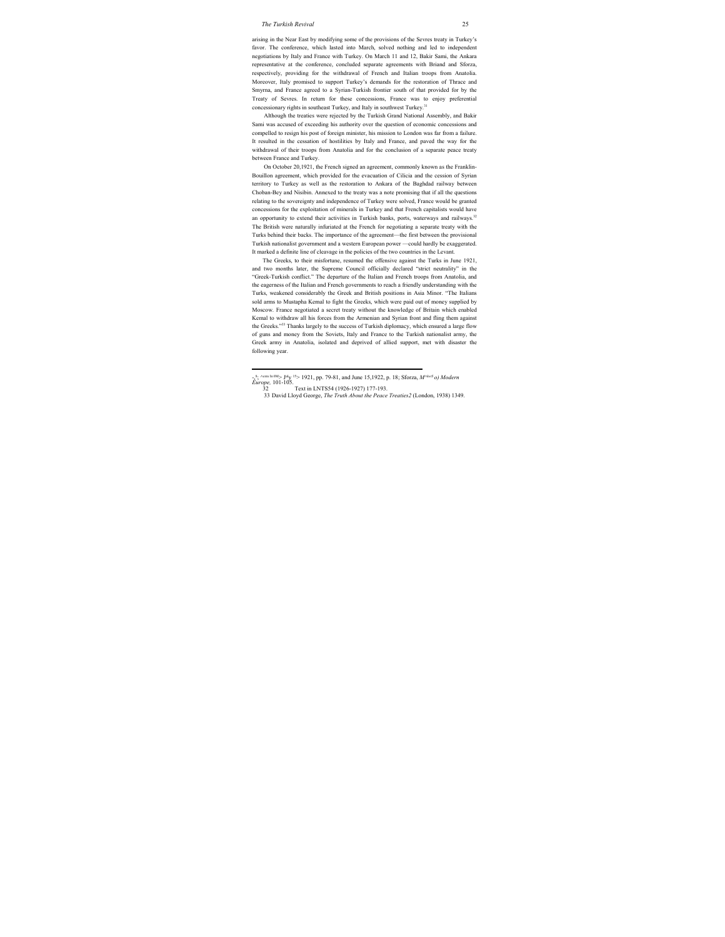arising in the Near East by modifying some of the provisions of the Sevres treaty in Turkey's favor. The conference, which lasted into March, solved nothing and led to independent negotiations by Italy and France with Turkey. On March 11 and 12, Bakir Sami, the Ankara representative at the conference, concluded separate agreements with Briand and Sforza, respectively, providing for the withdrawal of French and Italian troops from Anatolia. Moreover, Italy promised to support Turkey's demands for the restoration of Thrace and Smyrna, and France agreed to a Syrian-Turkish frontier south of that provided for by the Treaty of Sevres. In return for these concessions, France was to enjoy preferential concessionary rights in southeast Turkey, and Italy in southwest Turkey.<sup>31</sup>

Although the treaties were rejected by the Turkish Grand National Assembly, and Bakir Sami was accused of exceeding his authority over the question of economic concessions and compelled to resign his post of foreign minister, his mission to London was far from a failure. It resulted in the cessation of hostilities by Italy and France, and paved the way for the withdrawal of their troops from Anatolia and for the conclusion of a separate peace treaty between France and Turkey.

On October 20,1921, the French signed an agreement, commonly known as the Franklin-Bouillon agreement, which provided for the evacuation of Cilicia and the cession of Syrian territory to Turkey as well as the restoration to Ankara of the Baghdad railway between Choban-Bey and Nisibin. Annexed to the treaty was a note promising that if all the questions relating to the sovereignty and independence of Turkey were solved, France would be granted concessions for the exploitation of minerals in Turkey and that French capitalists would have an opportunity to extend their activities in Turkish banks, ports, waterways and railways.<sup>32</sup> The British were naturally infuriated at the French for negotiating a separate treaty with the Turks behind their backs. The importance of the agreement—the first between the provisional Turkish nationalist government and a western European power —could hardly be exaggerated. It marked a definite line of cleavage in the policies of the two countries in the Levant.

The Greeks, to their misfortune, resumed the offensive against the Turks in June 1921, and two months later, the Supreme Council officially declared "strict neutrality" in the "Greek-Turkish conflict." The departure of the Italian and French troops from Anatolia, and the eagerness of the Italian and French governments to reach a friendly understanding with the Turks, weakened considerably the Greek and British positions in Asia Minor. "The Italians sold arms to Mustapha Kemal to fight the Greeks, which were paid out of money supplied by Moscow. France negotiated a secret treaty without the knowledge of Britain which enabled Kemal to withdraw all his forces from the Armenian and Syrian front and fling them against the Greeks."33 Thanks largely to the success of Turkish diplomacy, which ensured a large flow of guns and money from the Soviets, Italy and France to the Turkish nationalist army, the Greek army in Anatolia, isolated and deprived of allied support, met with disaster the following year.

 -,8 ; ^exts In 0M> July 15> 1921, pp. 79-81, and June 15,1922, p. 18; Sforza, *M^kerS o) Modern Europe,* 101-105.

<sup>32</sup> Text in LNTS54 (1926-1927) 177-193.

<sup>33</sup> David Lloyd George, *The Truth About the Peace Treaties2* (London, 1938) 1349.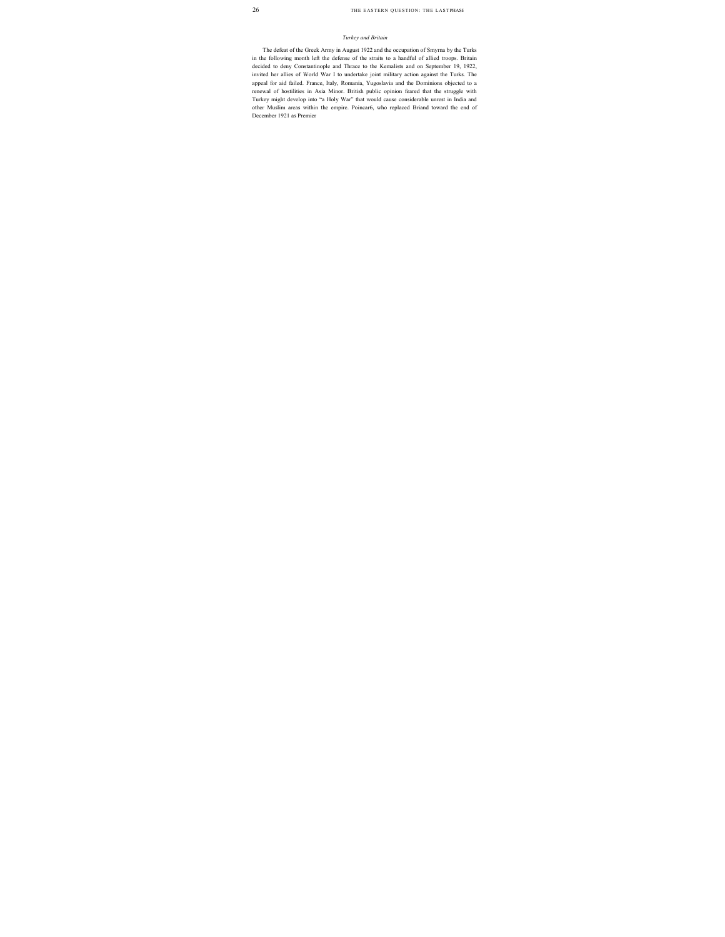#### *Turkey and Britain*

The defeat of the Greek Army in August 1922 and the occupation of Smyrna by the Turks in the following month left the defense of the straits to a handful of allied troops. Britain decided to deny Constantinople and Thrace to the Kemalists and on September 19, 1922, invited her allies of World War I to undertake joint military action against the Turks. The appeal for aid failed. France, Italy, Romania, Yugoslavia and the Dominions objected to a renewal of hostilities in Asia Minor. British public opinion feared that the struggle with Turkey might develop into "a Holy War" that would cause considerable unrest in India and other Muslim areas within the empire. Poincar6, who replaced Briand toward the end of December 1921 as Premier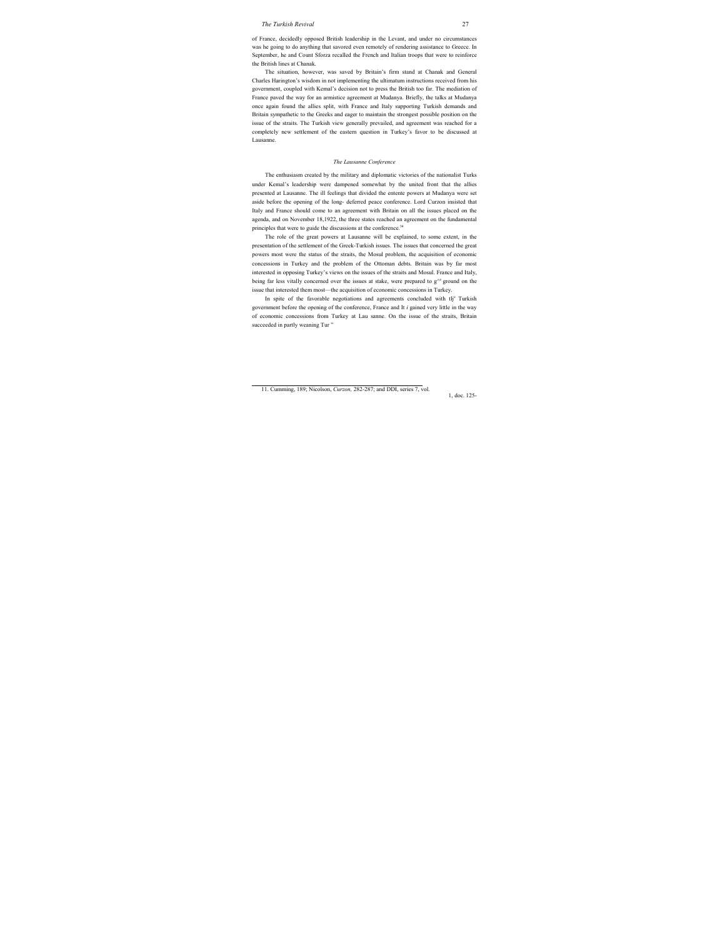of France, decidedly opposed British leadership in the Levant, and under no circumstances was he going to do anything that savored even remotely of rendering assistance to Greece. In September, he and Count Sforza recalled the French and Italian troops that were to reinforce the British lines at Chanak.

The situation, however, was saved by Britain's firm stand at Chanak and General Charles Harington's wisdom in not implementing the ultimatum instructions received from his government, coupled with Kemal's decision not to press the British too far. The mediation of France paved the way for an armistice agreement at Mudanya. Briefly, the talks at Mudanya once again found the allies split, with France and Italy supporting Turkish demands and Britain sympathetic to the Greeks and eager to maintain the strongest possible position on the issue of the straits. The Turkish view generally prevailed, and agreement was reached for a completely new settlement of the eastern question in Turkey's favor to be discussed at Lausanne.

#### *The Lausanne Conference*

The enthusiasm created by the military and diplomatic victories of the nationalist Turks under Kemal's leadership were dampened somewhat by the united front that the allies presented at Lausanne. The ill feelings that divided the entente powers at Mudanya were set aside before the opening of the long- deferred peace conference. Lord Curzon insisted that Italy and France should come to an agreement with Britain on all the issues placed on the agenda, and on November 18,1922, the three states reached an agreement on the fundamental principles that were to guide the discussions at the conference.<sup>34</sup>

The role of the great powers at Lausanne will be explained, to some extent, in the presentation of the settlement of the Greek-Turkish issues. The issues that concerned the great powers most were the status of the straits, the Mosul problem, the acquisition of economic concessions in Turkey and the problem of the Ottoman debts. Britain was by far most interested in opposing Turkey's views on the issues of the straits and Mosul. France and Italy, being far less vitally concerned over the issues at stake, were prepared to  $g^{\wedge c}$  ground on the issue that interested them most—the acquisition of economic concessions in Turkey.

In spite of the favorable negotiations and agreements concluded with tlj<sup>e</sup> Turkish government before the opening of the conference, France and It *i* gained very little in the way of economic concessions from Turkey at Lau sanne. On the issue of the straits, Britain succeeded in partly weaning Tur"

<sup>11.</sup> Cumming, 189; Nicolson, *Curzon,* 282-287; and DDI, series 7, vol. 1, doc. 125-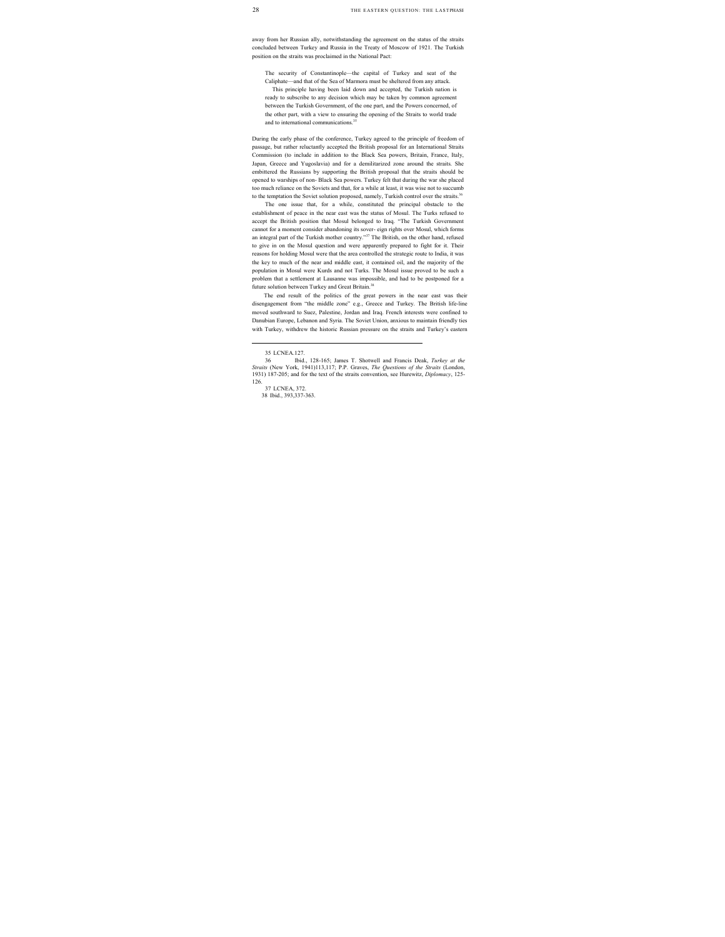away from her Russian ally, notwithstanding the agreement on the status of the straits concluded between Turkey and Russia in the Treaty of Moscow of 1921. The Turkish position on the straits was proclaimed in the National Pact:

The security of Constantinople—the capital of Turkey and seat of the Caliphate—and that of the Sea of Marmora must be sheltered from any attack.

This principle having been laid down and accepted, the Turkish nation is ready to subscribe to any decision which may be taken by common agreement between the Turkish Government, of the one part, and the Powers concerned, of the other part, with a view to ensuring the opening of the Straits to world trade and to international communications.<sup>35</sup>

During the early phase of the conference, Turkey agreed to the principle of freedom of passage, but rather reluctantly accepted the British proposal for an International Straits Commission (to include in addition to the Black Sea powers, Britain, France, Italy, Japan, Greece and Yugoslavia) and for a demilitarized zone around the straits. She embittered the Russians by supporting the British proposal that the straits should be opened to warships of non- Black Sea powers. Turkey felt that during the war she placed too much reliance on the Soviets and that, for a while at least, it was wise not to succumb to the temptation the Soviet solution proposed, namely, Turkish control over the straits.<sup>36</sup>

The one issue that, for a while, constituted the principal obstacle to the establishment of peace in the near east was the status of Mosul. The Turks refused to accept the British position that Mosul belonged to Iraq. "The Turkish Government cannot for a moment consider abandoning its sover- eign rights over Mosul, which forms an integral part of the Turkish mother country."<sup>37</sup> The British, on the other hand, refused to give in on the Mosul question and were apparently prepared to fight for it. Their reasons for holding Mosul were that the area controlled the strategic route to India, it was the key to much of the near and middle east, it contained oil, and the majority of the population in Mosul were Kurds and not Turks. The Mosul issue proved to be such a problem that a settlement at Lausanne was impossible, and had to be postponed for a future solution between Turkey and Great Britain.<sup>38</sup>

The end result of the politics of the great powers in the near east was their disengagement from "the middle zone" e.g., Greece and Turkey. The British life-line moved southward to Suez, Palestine, Jordan and Iraq. French interests were confined to Danubian Europe, Lebanon and Syria. The Soviet Union, anxious to maintain friendly ties with Turkey, withdrew the historic Russian pressure on the straits and Turkey's eastern

 <sup>35</sup> LCNEA.127.

<sup>36</sup> Ibid., 128-165; James T. Shotwell and Francis Deak, *Turkey at the Straits* (New York, 1941)113,117; P.P. Graves, *The Questions of the Straits* (London, 1931) 187-205; and for the text of the straits convention, see Hurewitz, *Diplomacy*, 125- 126.

<sup>37</sup> LCNEA, 372. 38 Ibid., 393,337-363.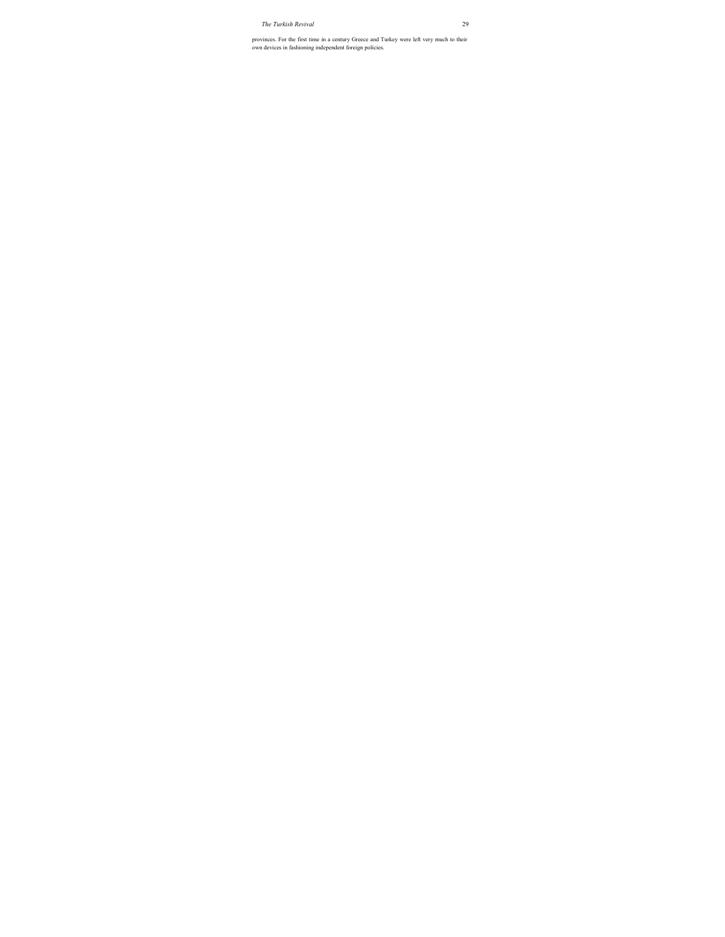provinces. For the first time in a century Greece and Turkey were left very much to their own devices in fashioning independent foreign policies.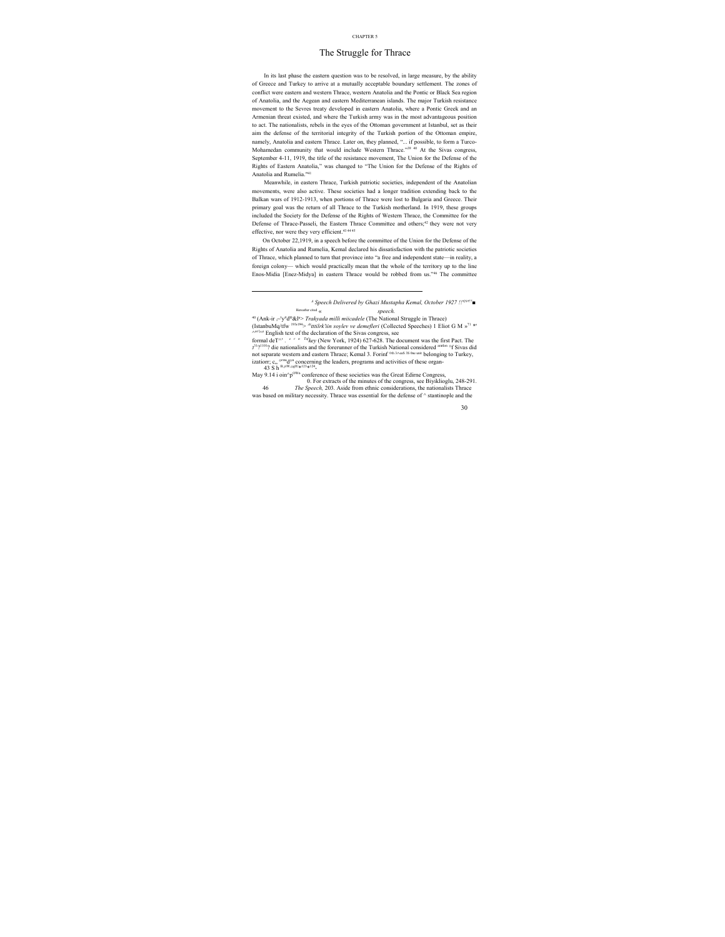## The Struggle for Thrace

In its last phase the eastern question was to be resolved, in large measure, by the ability of Greece and Turkey to arrive at a mutually acceptable boundary settlement. The zones of conflict were eastern and western Thrace, western Anatolia and the Pontic or Black Sea region of Anatolia, and the Aegean and eastern Mediterranean islands. The major Turkish resistance movement to the Sevres treaty developed in eastern Anatolia, where a Pontic Greek and an Armenian threat existed, and where the Turkish army was in the most advantageous position to act. The nationalists, rebels in the eyes of the Ottoman government at Istanbul, set as their aim the defense of the territorial integrity of the Turkish portion of the Ottoman empire, namely, Anatolia and eastern Thrace. Later on, they planned, "... if possible, to form a Turco-Mohamedan community that would include Western Thrace."39 40 At the Sivas congress, September 4-11, 1919, the title of the resistance movement, The Union for the Defense of the Rights of Eastern Anatolia," was changed to "The Union for the Defense of the Rights of Anatolia and Rumelia."41

Meanwhile, in eastern Thrace, Turkish patriotic societies, independent of the Anatolian movements, were also active. These societies had a longer tradition extending back to the Balkan wars of 1912-1913, when portions of Thrace were lost to Bulgaria and Greece. Their primary goal was the return of all Thrace to the Turkish motherland. In 1919, these groups included the Society for the Defense of the Rights of Western Thrace, the Committee for the Defense of Thrace-Passeli, the Eastern Thrace Committee and others;<sup>42</sup> they were not very effective, nor were they very efficient.<sup>43 44 45</sup>

On October 22,1919, in a speech before the committee of the Union for the Defense of the Rights of Anatolia and Rumelia, Kemal declared his dissatisfaction with the patriotic societies of Thrace, which planned to turn that province into "a free and independent state—in reality, a foreign colony— which would practically mean that the whole of the territory up to the line Enos-Midia [Enez-Midya] in eastern Thrace would be robbed from us."46 The committee

*A Speech Delivered by Ghazi Mustapha Kemal, October 1927 !!'29' <sup>77</sup>■*

Hereafter cited <sub>«</sub> **speech.** 

<sup>40</sup> (Ank-ir <sub>i</sub>~'y<sup>i</sup>'d<sup>10</sup>&l<sup>u</sup>> *Trakyada milli miicadele* (The National Struggle in Thrace) (IstanbuMq/tfw 193' 194> *Attttilrk'iin soylev ve demefleri* (Collected Speeches) 1 Eliot G M »71 \*'  $\wedge^{\text{or l},\text{ce}}$  English text of the declaration of the Sivas congress, see

formal deT^' *. e r n Tufkey* (New York, 1924) 627-628. The document was the first Pact. The J<sup>3191101</sup>? die nationalists and the forerunner of the Turkish National considered <sup>aratlon o</sup>f Sivas did not separate western and eastern Thrace; Kemal 3. Forinf <sup>oth 3</sup>^eaS 3S 0ne unit belonging to Turkey, izatiorr; c,, <sup>orm</sup>d<sup>on</sup> concerning the leaders, programs and activities of these organ-

43 S h B,yiW,oglU\*123\*124

 $\overline{a}$ 

May 9.14 i oin^p<sup>OWn</sup> conference of these societies was the Great Edirne Congress,

0. For extracts of the minutes of the congress, see Biyiklioglu, 248-291. 46 *The Speech,* 203. Aside from ethnic considerations, the nationalists Thrace was based on military necessity. Thrace was essential for the defense of ^ stantinople and the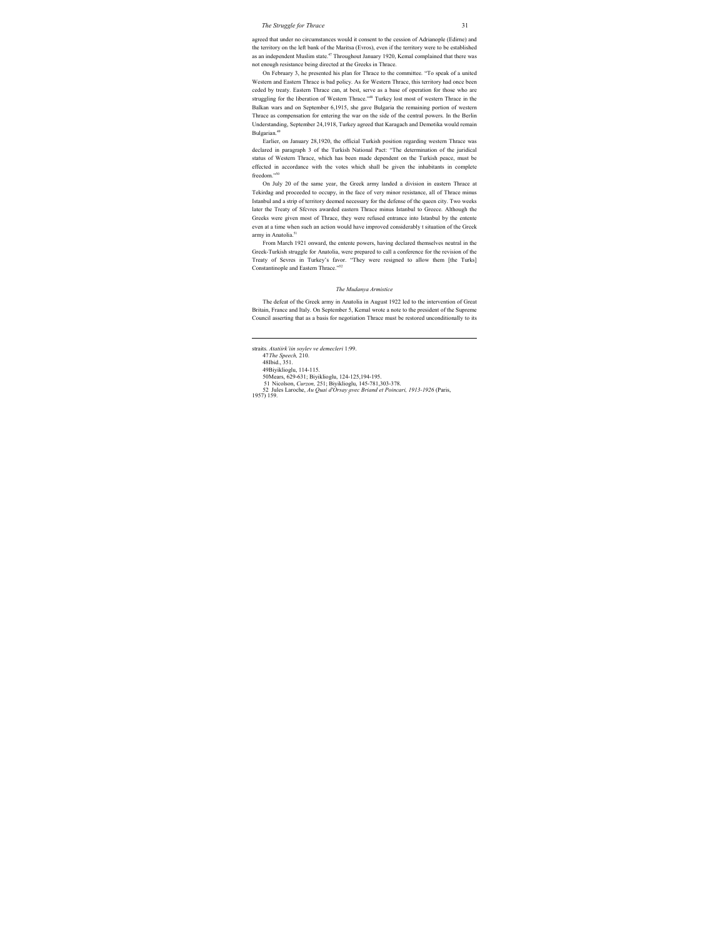agreed that under no circumstances would it consent to the cession of Adrianople (Edirne) and the territory on the left bank of the Maritsa (Evros), even if the territory were to be established as an independent Muslim state.<sup>47</sup> Throughout January 1920, Kemal complained that there was not enough resistance being directed at the Greeks in Thrace.

On February 3, he presented his plan for Thrace to the committee. "To speak of a united Western and Eastern Thrace is bad policy. As for Western Thrace, this territory had once been ceded by treaty. Eastern Thrace can, at best, serve as a base of operation for those who are struggling for the liberation of Western Thrace."48 Turkey lost most of western Thrace in the Balkan wars and on September 6,1915, she gave Bulgaria the remaining portion of western Thrace as compensation for entering the war on the side of the central powers. In the Berlin Understanding, September 24,1918, Turkey agreed that Karagach and Demotika would remain Bulgarian.49

Earlier, on January 28,1920, the official Turkish position regarding western Thrace was declared in paragraph 3 of the Turkish National Pact: "The determination of the juridical status of Western Thrace, which has been made dependent on the Turkish peace, must be effected in accordance with the votes which shall be given the inhabitants in complete freedom<sup>150</sup>

On July 20 of the same year, the Greek army landed a division in eastern Thrace at Tekirdag and proceeded to occupy, in the face of very minor resistance, all of Thrace minus Istanbul and a strip of territory deemed necessary for the defense of the queen city. Two weeks later the Treaty of Sfcvres awarded eastern Thrace minus Istanbul to Greece. Although the Greeks were given most of Thrace, they were refused entrance into Istanbul by the entente even at a time when such an action would have improved considerably t situation of the Greek army in Anatolia.<sup>51</sup>

From March 1921 onward, the entente powers, having declared themselves neutral in the Greek-Turkish struggle for Anatolia, were prepared to call a conference for the revision of the Treaty of Sevres in Turkey's favor. "They were resigned to allow them [the Turks] Constantinople and Eastern Thrace."52

#### *The Mudanya Armistice*

The defeat of the Greek army in Anatolia in August 1922 led to the intervention of Great Britain, France and Italy. On September 5, Kemal wrote a note to the president of the Supreme Council asserting that as a basis for negotiation Thrace must be restored unconditionally to its

 straits. *Atatiirk'iin soylev ve demecleri* 1:99. 47 *The Speech,* 210. 48Ibid., 351. 49Biyiklioglu, 114-115. 50Mears, 629-631; Biyiklioglu, 124-125,194-195. 51 Nicolson, *Curzon,* 251; Biyiklioglu, 145-781,303-378. 52 Jules Laroche, *Au Quai d'Orsay avec Briand et Poincari, 1913-1926* (Paris, 1957) 159. 7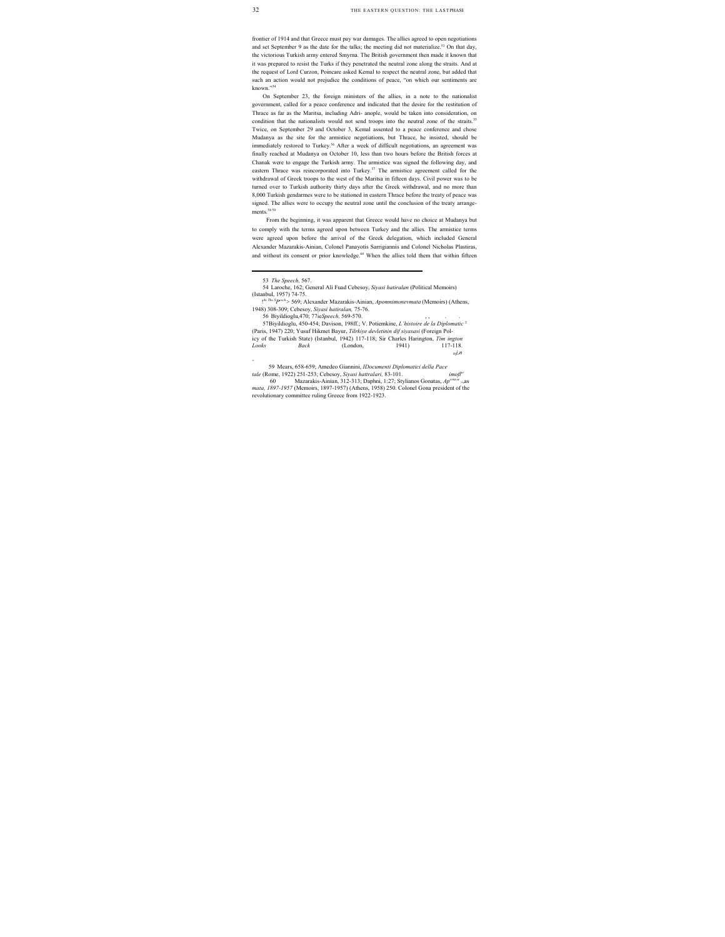frontier of 1914 and that Greece must pay war damages. The allies agreed to open negotiations and set September 9 as the date for the talks; the meeting did not materialize.<sup>53</sup> On that day, the victorious Turkish army entered Smyrna. The British government then made it known that it was prepared to resist the Turks if they penetrated the neutral zone along the straits. And at the request of Lord Curzon, Poincare asked Kemal to respect the neutral zone, but added that such an action would not prejudice the conditions of peace, "on which our sentiments are known."54

On September 23, the foreign ministers of the allies, in a note to the nationalist government, called for a peace conference and indicated that the desire for the restitution of Thrace as far as the Maritsa, including Adri- anople, would be taken into consideration, on condition that the nationalists would not send troops into the neutral zone of the straits.<sup>55</sup> Twice, on September 29 and October 3, Kemal assented to a peace conference and chose Mudanya as the site for the armistice negotiations, but Thrace, he insisted, should be immediately restored to Turkey.<sup>56</sup> After a week of difficult negotiations, an agreement was finally reached at Mudanya on October 10, less than two hours before the British forces at Chanak were to engage the Turkish army. The armistice was signed the following day, and eastern Thrace was reincorporated into Turkey.<sup>57</sup> The armistice agreement called for the withdrawal of Greek troops to the west of the Maritsa in fifteen days. Civil power was to be turned over to Turkish authority thirty days after the Greek withdrawal, and no more than 8,000 Turkish gendarmes were to be stationed in eastern Thrace before the treaty of peace was signed. The allies were to occupy the neutral zone until the conclusion of the treaty arrangements<sup>5859</sup>

From the beginning, it was apparent that Greece would have no choice at Mudanya but to comply with the terms agreed upon between Turkey and the allies. The armistice terms were agreed upon before the arrival of the Greek delegation, which included General Alexander Mazarakis-Ainian, Colonel Panayotis Sarrigiannis and Colonel Nicholas Plastiras, and without its consent or prior knowledge.<sup>60</sup> When the allies told them that within fifteen

*-*

56 Biyildioglu, 470; 77ieSpeech, 569-570.

57 Biyildioglu, 450-454; Davison, 198ff.; V. Potiemkine, *L'histoire de la Diplomatic* <sup>3</sup> (Paris, 1947) 220; Yusuf Hikmet Bayur, *Tilrkiye devletinin dif siyasasi* (Foreign Policy of the Turkish State) (Istanbul, 1942) 117-118; Sir Charles Harington, *Tim ington Looks Back* (London, 1941) 117-118. *0rjen*

59 Mears, 658-659; Amedeo Giannini, *IDocumenti Diplomatici della Pace tale* (Rome, 1922) 251-253; Cebesoy, *Siyasi hattralari,* 83-101. *imofler*

60 Mazarakis-Ainian, 312-313; Daphni, 1:27; Stylianos Gonatas, Ap<sup>orna n</sup> *mata, 1897-1957* (Memoirs, 1897-1957) (Athens, 1958) 250. Colonel Gona president of the revolutionary committee ruling Greece from 1922-1923.

 <sup>53</sup> *The Speech,* 567.

<sup>54</sup> Laroche, 162; General Ali Fuad Cebesoy, *Siyasi hatiralan* (Political Memoirs) (Istanbul, 1957) 74-75.

<sup>!</sup> 4 ' *The SPeech>* 569; Alexander Mazarakis-Ainian, *Apomnimonevmata* (Memoirs) (Athens, 1948) 308-309; Cebesoy, *Siyasi hatiralan,* 75-76.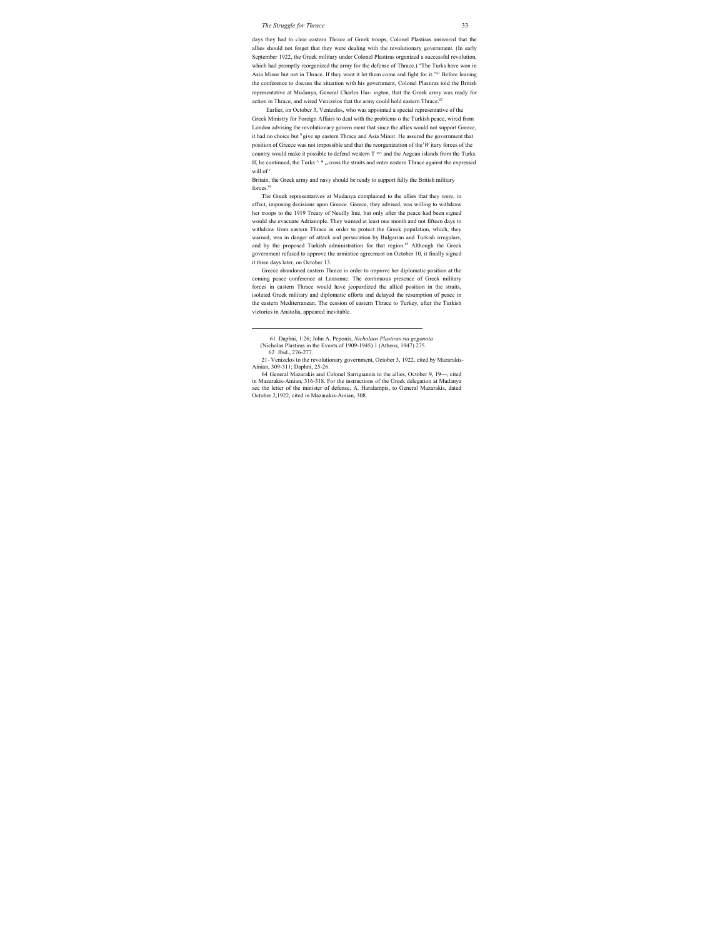days they had to clear eastern Thrace of Greek troops, Colonel Plastiras answered that the allies should not forget that they were dealing with the revolutionary government. (In early September 1922, the Greek military under Colonel Plastiras organized a successful revolution, which had promptly reorganized the army for the defense of Thrace.) "The Turks have won in Asia Minor but not in Thrace. If they want it let them come and fight for it."61 Before leaving the conference to discuss the situation with his government, Colonel Plastiras told the British representative at Mudanya, General Charles Har- ington, that the Greek army was ready for action in Thrace, and wired Venizelos that the army could hold eastern Thrace.<sup>62</sup>

Earlier, on October 3, Venizelos, who was appointed a special representative of the Greek Ministry for Foreign Affairs to deal with the problems o the Turkish peace, wired from London advising the revolutionary govern ment that since the allies would not support Greece, it had no choice but <sup>0</sup> give up eastern Thrace and Asia Minor. He assured the government that position of Greece was not impossible and that the reorganization of the*<sup>1</sup> W* itary forces of the country would make it possible to defend western  $T^{m\wedge}$  and the Aegean islands from the Turks. If, he continued, the Turks  $\wedge$  \*  $\alpha$  cross the straits and enter eastern Thrace against the expressed will of<sup>r</sup>

Britain, the Greek army and navy should be ready to support fully the British military forces.<sup>63</sup>

The Greek representatives at Mudanya complained to the allies that they were, in effect, imposing decisions upon Greece. Greece, they advised, was willing to withdraw her troops to the 1919 Treaty of Neuilly line, but only after the peace had been signed would she evacuate Adrianople. They wanted at least one month and not fifteen days to withdraw from eastern Thrace in order to protect the Greek population, which, they warned, was in danger of attack and persecution by Bulgarian and Turkish irregulars, and by the proposed Turkish administration for that region.<sup>64</sup> Although the Greek government refused to approve the armistice agreement on October 10, it finally signed it three days later, on October 13.

Greece abandoned eastern Thrace in order to improve her diplomatic position at the coming peace conference at Lausanne. The continuous presence of Greek military forces in eastern Thrace would have jeopardized the allied position in the straits, isolated Greek military and diplomatic efforts and delayed the resumption of peace in the eastern Mediterranean. The cession of eastern Thrace to Turkey, after the Turkish victories in Anatolia, appeared inevitable.

 <sup>61</sup> Daphni, 1:26; John A. Peponis, *Nicholaos Plastiras sta gegonota* 

<sup>(</sup>Nicholas Plastiras in the Events of 1909-1945) 1 (Athens, 1947) 275.

<sup>62</sup> Ibid., 276-277.

<sup>21-</sup> Venizelos to the revolutionary government, October 3, 1922, cited by Mazarakis-Ainian, 309-311; Daphni, 25-26.

<sup>64</sup> General Mazarakis and Colonel Sarrigiannis to the allies, October 9, 19—, cited in Mazarakis-Ainian, 316-318. For the instructions of the Greek delegation at Mudanya see the letter of the minister of defense, A. Haralampis, to General Mazarakis, dated October 2,1922, cited in Mazarakis-Ainian, 308.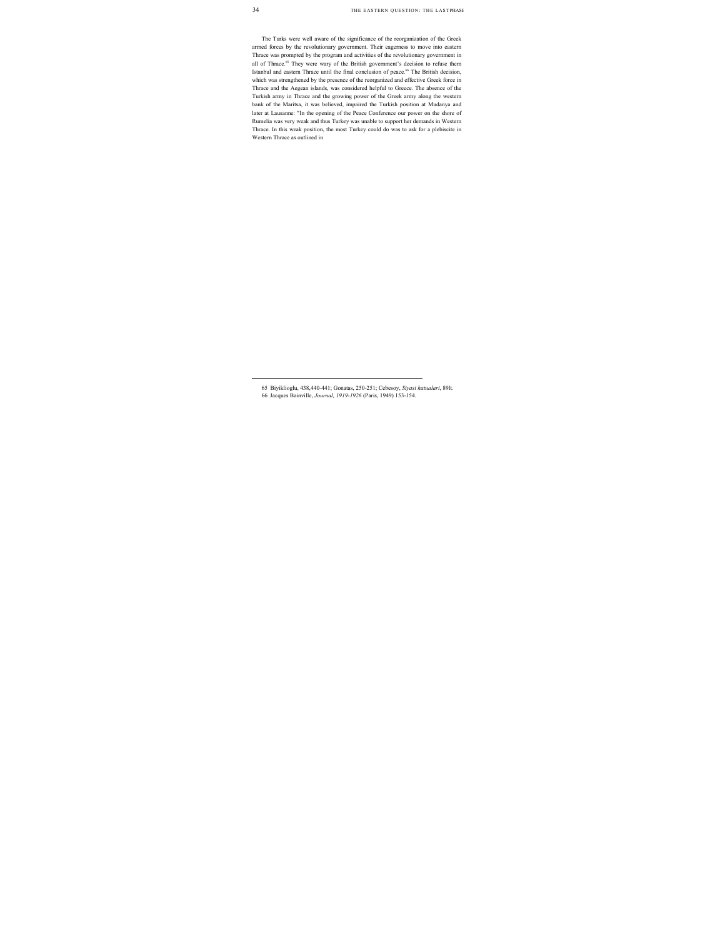The Turks were well aware of the significance of the reorganization of the Greek armed forces by the revolutionary government. Their eagerness to move into eastern Thrace was prompted by the program and activities of the revolutionary government in all of Thrace.<sup>65</sup> They were wary of the British government's decision to refuse them Istanbul and eastern Thrace until the final conclusion of peace. 66 The British decision, which was strengthened by the presence of the reorganized and effective Greek force in Thrace and the Aegean islands, was considered helpful to Greece. The absence of the Turkish army in Thrace and the growing power of the Greek army along the western bank of the Maritsa, it was believed, impaired the Turkish position at Mudanya and later at Lausanne: "In the opening of the Peace Conference our power on the shore of Rumelia was very weak and thus Turkey was unable to support her demands in Western Thrace. In this weak position, the most Turkey could do was to ask for a plebiscite in Western Thrace as outlined in

 <sup>65</sup> Biyiklioglu, 438,440-441; Gonatas, 250-251; Cebesoy, *Siyasi hatualari*, 89lt. 66 Jacques Bainville, *Journal, 1919-1926* (Paris, 1949) 153-154.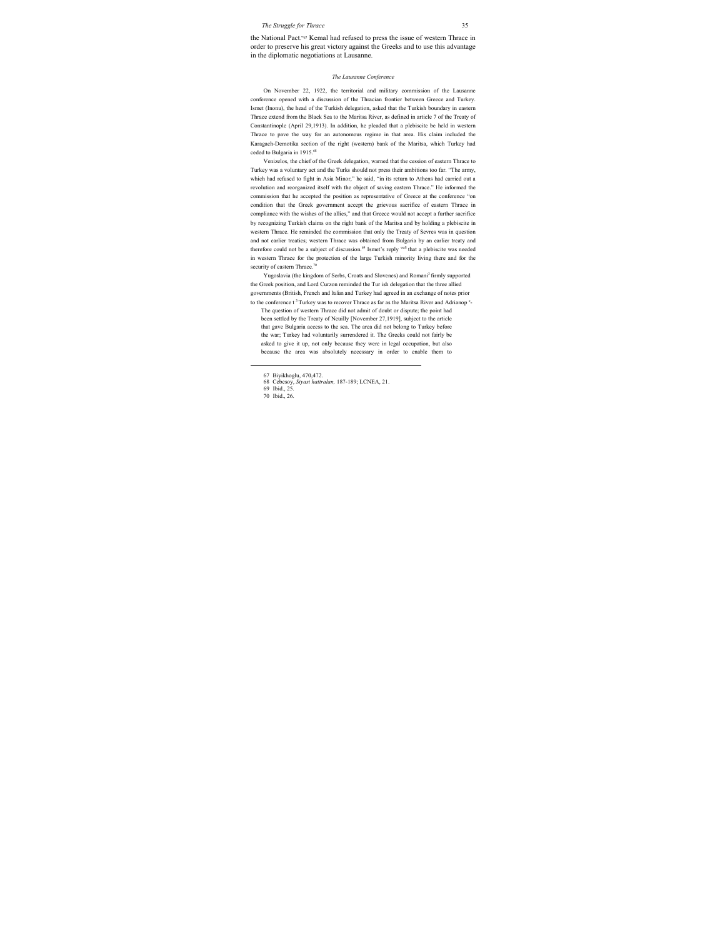the National Pact."67 Kemal had refused to press the issue of western Thrace in order to preserve his great victory against the Greeks and to use this advantage in the diplomatic negotiations at Lausanne.

#### *The Lausanne Conference*

On November 22, 1922, the territorial and military commission of the Lausanne conference opened with a discussion of the Thracian frontier between Greece and Turkey. Ismet (Inonu), the head of the Turkish delegation, asked that the Turkish boundary in eastern Thrace extend from the Black Sea to the Maritsa River, as defined in article 7 of the Treaty of Constantinople (April 29,1913). In addition, he pleaded that a plebiscite be held in western Thrace to pave the way for an autonomous regime in that area. His claim included the Karagach-Demotika section of the right (western) bank of the Maritsa, which Turkey had ceded to Bulgaria in 1915.<sup>68</sup>

Venizelos, the chief of the Greek delegation, warned that the cession of eastern Thrace to Turkey was a voluntary act and the Turks should not press their ambitions too far. "The army, which had refused to fight in Asia Minor," he said, "in its return to Athens had carried out a revolution and reorganized itself with the object of saving eastern Thrace." He informed the commission that he accepted the position as representative of Greece at the conference "on condition that the Greek government accept the grievous sacrifice of eastern Thrace in compliance with the wishes of the allies," and that Greece would not accept a further sacrifice by recognizing Turkish claims on the right bank of the Maritsa and by holding a plebiscite in western Thrace. He reminded the commission that only the Treaty of Sevres was in question and not earlier treaties; western Thrace was obtained from Bulgaria by an earlier treaty and therefore could not be a subject of discussion.<sup>69</sup> Ismet's reply waS that a plebiscite was needed in western Thrace for the protection of the large Turkish minority living there and for the security of eastern Thrace.<sup>70</sup>

Yugoslavia (the kingdom of Serbs, Croats and Slovenes) and Romani<sup>3</sup> firmly supported the Greek position, and Lord Curzon reminded the Tur ish delegation that the three allied governments (British, French and Italian and Turkey had agreed in an exchange of notes prior to the conference t<sup>3</sup> Turkey was to recover Thrace as far as the Maritsa River and Adrianop<sup>e</sup>-

The question of western Thrace did not admit of doubt or dispute; the point had been settled by the Treaty of Neuilly [November 27,1919], subject to the article that gave Bulgaria access to the sea. The area did not belong to Turkey before the war; Turkey had voluntarily surrendered it. The Greeks could not fairly be asked to give it up, not only because they were in legal occupation, but also because the area was absolutely necessary in order to enable them to

 <sup>67</sup> Biyikhoglu, 470,472.

<sup>68</sup> Cebesoy, *Siyasi hattralan,* 187-189; LCNEA, 21.

<sup>69</sup> Ibid., 25.

<sup>70</sup> Ibid., 26.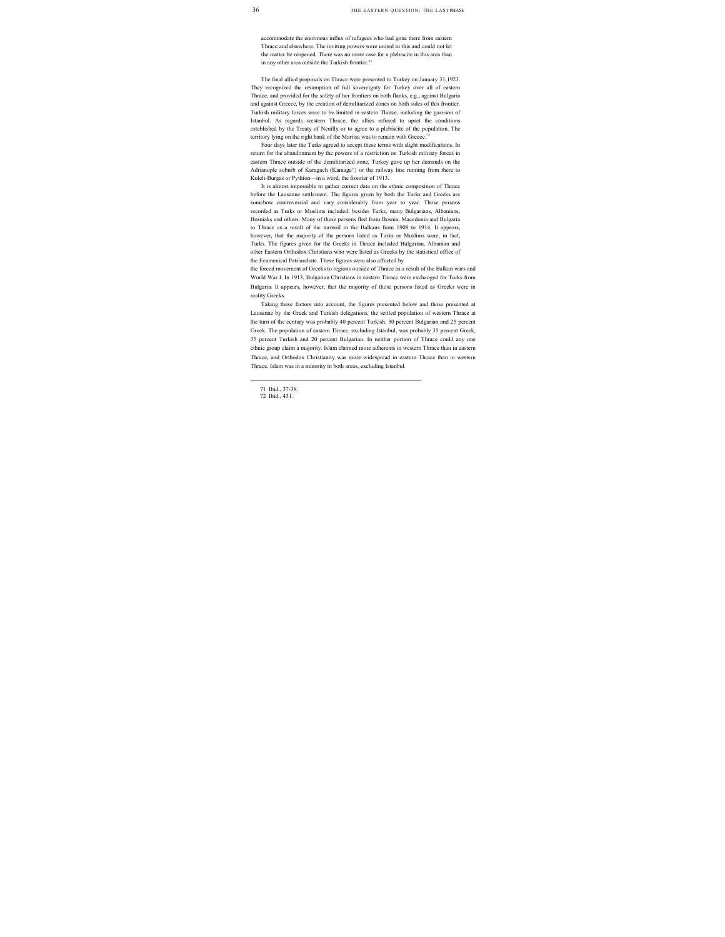accommodate the enormous influx of refugees who had gone there from eastern Thrace and elsewhere. The inviting powers were united in this and could not let the matter be reopened. There was no more case for a plebiscite in this area than in any other area outside the Turkish frontier. $71$ 

The final allied proposals on Thrace were presented to Turkey on January 31,1923. They recognized the resumption of full sovereignty for Turkey over all of eastern Thrace, and provided for the safety of her frontiers on both flanks, e.g., against Bulgaria and against Greece, by the creation of demilitarized zones on both sides of this frontier. Turkish military forces were to be limited in eastern Thrace, including the garrison of Istanbul. As regards western Thrace, the allies refused to upset the conditions established by the Treaty of Neuilly or to agree to a plebiscite of the population. The territory lying on the right bank of the Maritsa was to remain with Greece.<sup>72</sup>

Four days later the Turks agreed to accept these terms with slight modifications. In return for the abandonment by the powers of a restriction on Turkish military forces in eastern Thrace outside of the demilitarized zone, Turkey gave up her demands on the Adrianople suburb of Karagach (Karaaga^) or the railway line running from there to Kuleli-Burgas or Pythion—in a word, the frontier of 1913.

It is almost impossible to gather correct data on the ethnic composition of Thrace before the Lausanne settlement. The figures given by both the Turks and Greeks are somehow controversial and vary considerably from year to year. Those persons recorded as Turks or Muslims included, besides Turks, many Bulgarians, Albanians, Bosniaks and others. Many of these persons fled from Bosnia, Macedonia and Bulgaria to Thrace as a result of the turmoil in the Balkans from 1908 to 1914. It appears, however, that the majority of the persons listed as Turks or Muslims were, in fact, Turks. The figures given for the Greeks in Thrace included Bulgarian, Albanian and other Eastern Orthodox Christians who were listed as Greeks by the statistical office of the Ecumenical Patriarchate. These figures were also affected by

the forced movement of Greeks to regions outside of Thrace as a result of the Balkan wars and World War I. In 1913, Bulgarian Christians in eastern Thrace were exchanged for Turks from Bulgaria. It appears, however, that the majority of those persons listed as Greeks were in reality Greeks.

Taking these factors into account, the figures presented below and those presented at Lausanne by the Greek and Turkish delegations, the settled population of western Thrace at the turn of the century was probably 40 percent Turkish, 30 percent Bulgarian and 25 percent Greek. The population of eastern Thrace, excluding Istanbul, was probably 35 percent Greek, 35 percent Turkish and 20 percent Bulgarian. In neither portion of Thrace could any one ethnic group claim a majority. Islam claimed more adherents in western Thrace than in eastern Thrace, and Orthodox Christianity was more widespread in eastern Thrace than in western Thrace. Islam was in a minority in both areas, excluding Istanbul.

 <sup>71</sup> Ibid., 37-38.

<sup>72</sup> Ibid., 431.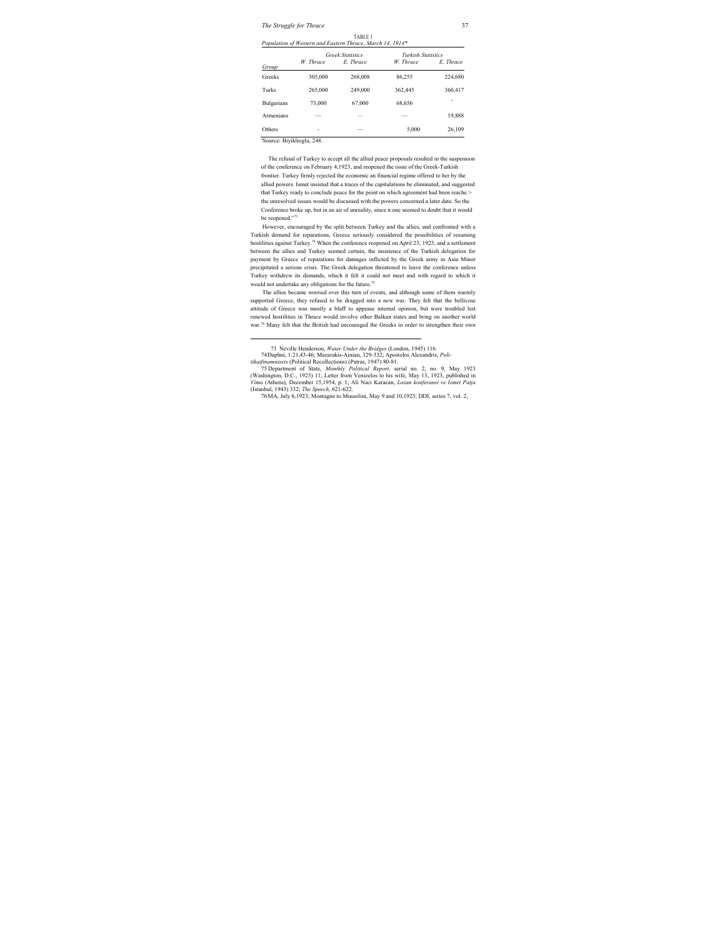|                   | <b>Greek Statistics</b> |                          | <b>Turkish Statistics</b> |           |
|-------------------|-------------------------|--------------------------|---------------------------|-----------|
| Group             | W Thrace                | E. Thrace                | W Thrace                  | E. Thrace |
| Greeks            | 305,000                 | 268,008                  | 86,255                    | 224,680   |
| Turks             | 265,000                 | 249,000                  | 362,445                   | 360,417   |
| <b>Bulgarians</b> | 73,000                  | 67,000                   | 68,656                    | ۰         |
| Armenians         | --                      |                          | _                         | 19,888    |
| Others            | ۰                       | $\overline{\phantom{a}}$ | 5.000                     | 26,109    |

|  | TABLE 1 |                                                           |  |  |
|--|---------|-----------------------------------------------------------|--|--|
|  |         | Population of Western and Eastern Thrace. March 14, 1914* |  |  |

'Source: Biyiklioglu, 248.

The refusal of Turkey to accept all the allied peace proposals resulted in the suspension of the conference on February 4,1923, and reopened the issue of the Greek-Turkish frontier. Turkey firmly rejected the economic an financial regime offered to her by the allied powers. Ismet insisted that a traces of the capitulations be eliminated, and suggested that Turkey ready to conclude peace for the point on which agreement had been reache > the unresolved issues would be discussed with the powers concerned a later date. So the Conference broke up, but in an air of unreality, since n one seemed to doubt that it would be reopened."73

However, encouraged by the split between Turkey and the allies, and confronted with a Turkish demand for reparations, Greece seriously considered the possibilities of resuming hostilities against Turkey.<sup>74</sup> When the conference reopened on April 23, 1923, and a settlement between the allies and Turkey seemed certain, the insistence of the Turkish delegation for payment by Greece of reparations for damages inflicted by the Greek army in Asia Minor precipitated a serious crisis. The Greek delegation threatened to leave the conference unless Turkey withdrew its demands, which it felt it could not meet and with regard to which it would not undertake any obligations for the future.<sup>75</sup>

The allies became worried over this turn of events, and although some of them warmly supported Greece, they refused to be dragged into a new war. They felt that the bellicose attitude of Greece was mostly a bluff to appease internal opinion, but were troubled lest renewed hostilities in Thrace would involve other Balkan states and bring on another world war.76 Many felt that the British had encouraged the Greeks in order to strengthen their own

 <sup>73</sup> Neville Henderson, *Water Under the Bridges* (London, 1945) 116.

<sup>74</sup> Daphni, 1:21,43-46; Mazarakis-Ainian, 329-332; Apostolos Alexandris, *Poli-*

*tikaifinamniseis* (Political Recollections) (Patras, 1947) 80-81.

<sup>75</sup> Department of State, *Monthly Political Report,* serial no. 2, no. 9, May 1923 (Washington, D.C., 1923) 11; Letter from Venizelos to his wife, May 13, 1923, published in *Vima* (Athens), December 15,1954, p. 1; Ali Naci Karacan, *Lozan konferansi ve Ismet Patja* (Istanbul, 1943) 332; *The Speech,* 621-622.

<sup>76</sup> MA, July 6,1923; Montagna to Mussolini, May 9 and 10,1923; DDI, series 7, vol. 2,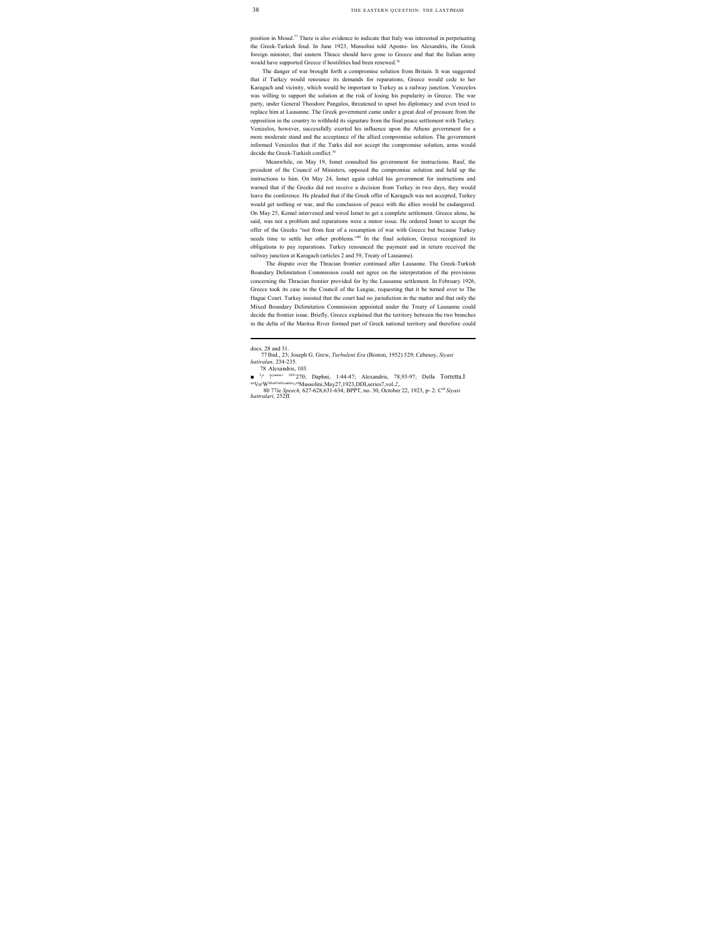position in Mosul.77 There is also evidence to indicate that Italy was interested in perpetuating the Greek-Turkish feud. In June 1923, Mussolini told Aposto- los Alexandris, the Greek foreign minister, that eastern Thrace should have gone to Greece and that the Italian army would have supported Greece if hostilities had been renewed.78

The danger of war brought forth a compromise solution from Britain. It was suggested that if Turkey would renounce its demands for reparations, Greece would cede to her Karagach and vicinity, which would be important to Turkey as a railway junction. Venizelos was willing to support the solution at the risk of losing his popularity in Greece. The war party, under General Theodore Pangalos, threatened to upset his diplomacy and even tried to replace him at Lausanne. The Greek government came under a great deal of pressure from the opposition in the country to withhold its signature from the final peace settlement with Turkey. Venizelos, however, successfully exerted his influence upon the Athens government for a more moderate stand and the acceptance of the allied compromise solution. The government informed Venizelos that if the Turks did not accept the compromise solution, arms would decide the Greek-Turkish conflict.<sup>79</sup>

Meanwhile, on May 19, Ismet consulted his government for instructions. Rauf, the president of the Council of Ministers, opposed the compromise solution and held up the instructions to him. On May 24, Ismet again cabled his government for instructions and warned that if the Greeks did not receive a decision from Turkey in two days, they would leave the conference. He pleaded that if the Greek offer of Karagach was not accepted, Turkey would get nothing or war, and the conclusion of peace with the allies would be endangered. On May 25, Kemal intervened and wired Ismet to get a complete settlement. Greece alone, he said, was not a problem and reparations were a minor issue. He ordered Ismet to accept the offer of the Greeks "not from fear of a resumption of war with Greece but because Turkey needs time to settle her other problems."80 In the final solution, Greece recognized its obligations to pay reparations. Turkey renounced the payment and in return received the railway junction at Karagach (articles 2 and 59, Treaty of Lausanne).

The dispute over the Thracian frontier continued after Lausanne. The Greek-Turkish Boundary Delimitation Commission could not agree on the interpretation of the provisions concerning the Thracian frontier provided for by the Lausanne settlement. In February 1926, Greece took its case to the Council of the League, requesting that it be turned over to The Hague Court. Turkey insisted that the court had no jurisdiction in the matter and that only the Mixed Boundary Delimitation Commission appointed under the Treaty of Lausanne could decide the frontier issue. Briefly, Greece explained that the territory between the two branches in the delta of the Maritsa River formed part of Greek national territory and therefore could

docs. 28 and 31.

<sup>77</sup> Ibid., 23; Joseph G. Grew, *Turbulent Era* (Boston, 1952) 529; Cebesoy, *Siyasi hatiralan,* 234-235.

<sup>78</sup> Alexandris, 103.

 $\blacksquare$ <sup>3</sup>/<sup>1</sup> ?<sup>onatas'</sup> <sup>269</sup>'270; Daphni, 1:44-47; Alexandris, 78,93-97; Della Torretta.I<br><sup>iar</sup>Vo<sup>r</sup>W<sup>SSadort0London-y0</sup>Mussolini,May27,1923,DDI,series7,vol.2,. W<sup>SSadort0London>t0</sup>Mussolini,May27,1923,DDI,series7,vol.2,.

<sup>80 77</sup>ie *Speech,* 627-628,631-634; BPPT, no. 30, October 22, 1923, p- 2: Ceb *Siyasi hattralari,* 252ff.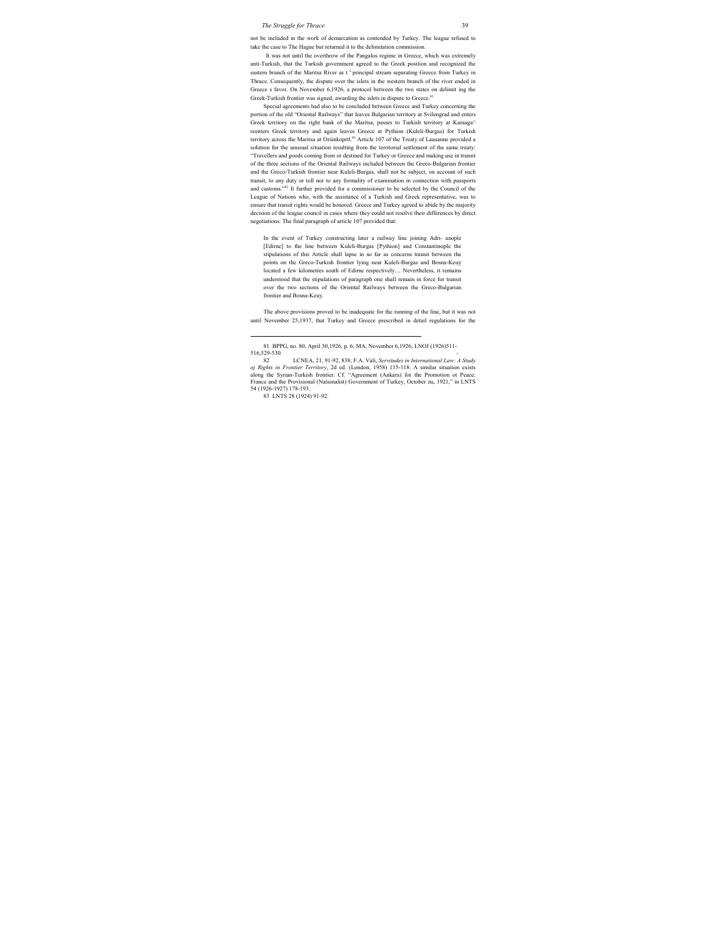not be included in the work of demarcation as contended by Turkey. The league refused to take the case to The Hague but returned it to the delimitation commission.

It was not until the overthrow of the Pangalos regime in Greece, which was extremely anti-Turkish, that the Turkish government agreed to the Greek position and recognized the eastern branch of the Maritsa River as t <sup>e</sup> principal stream separating Greece from Turkey in Thrace. Consequently, the dispute over the islets in the western branch of the river ended in Greece s favor. On November 6,1926, a protocol between the two states on delimit ing the Greek-Turkish frontier was signed, awarding the islets in dispute to Greece.<sup>81</sup>

Special agreements had also to be concluded between Greece and Turkey concerning the portion of the old "Oriental Railways" that leaves Bulgarian territory at Svilengrad and enters Greek territory on the right bank of the Maritsa, passes to Turkish territory at Karaaga^ reenters Greek territory and again leaves Greece at Pythion (Kuleli-Burgas) for Turkish territory across the Maritsa at Oziinkoprtl.<sup>82</sup> Article 107 of the Treaty of Lausanne provided a solution for the unusual situation resulting from the territorial settlement of the same treaty: "Travellers and goods coming from or destined for Turkey or Greece and making use in transit of the three sections of the Oriental Railways included between the Greco-Bulgarian frontier and the Greco-Turkish frontier near Kuleli-Burgas, shall not be subject, on account of such transit, to any duty or toll nor to any formality of examination in connection with passports and customs."83 It further provided for a commissioner to be selected by the Council of the League of Nations who, with the assistance of a Turkish and Greek representative, was to ensure that transit rights would be honored. Greece and Turkey agreed to abide by the majority decision of the league council in cases where they could not resolve their differences by direct negotiations. The final paragraph of article 107 provided that:

In the event of Turkey constructing later a railway line joining Adri- anople [Edirne] to the line between Kuleli-Burgas [Pythion] and Constantinople the stipulations of this Article shall lapse in so far as concerns transit between the points on the Greco-Turkish frontier lying near Kuleli-Burgas and Bosna-Keuy located a few kilometres south of Edirne respectively.... Nevertheless, it remains understood that the stipulations of paragraph one shall remain in force for transit over the two sections of the Oriental Railways between the Greco-Bulgarian frontier and Bosna-Keuy.

The above provisions proved to be inadequate for the running of the line, but it was not until November 25,1937, that Turkey and Greece prescribed in detail regulations for the

83 LNTS 28 (1924) 91-92.

 <sup>81</sup> BPPG, no. 80, April 30,1926, p. 6; MA, November 6,1926; LNOJ (1926)511- 516,529-530. -

<sup>82</sup> LCNEA, 21, 91-92, 838; F.A. Vali, *Servitudes in International Law: A Study oj Rights in Frontier Territory*, 2d ed. (London, 1958) 115-118. A similar situation exists along the Syrian-Turkish frontier. Cf. "Agreement (Ankara) for the Promotion ot Peace: France and the Provisional (Nationalist) Government of Turkey, October zu, 1921," in LNTS 54 (1926-1927) 178-193.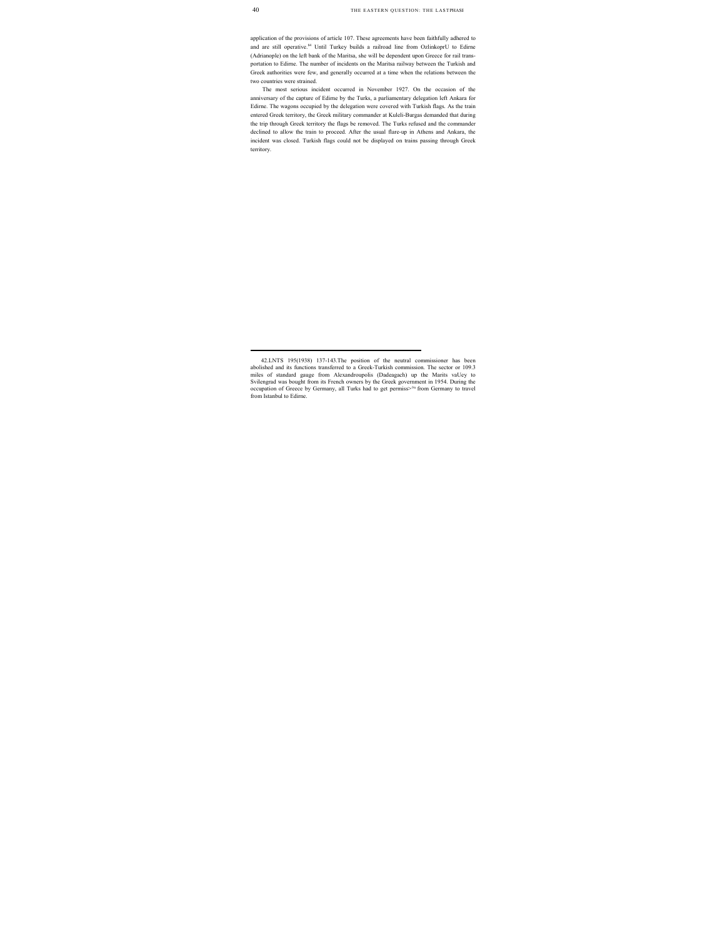application of the provisions of article 107. These agreements have been faithfully adhered to and are still operative.<sup>84</sup> Until Turkey builds a railroad line from OzlinkoprU to Edirne (Adrianople) on the left bank of the Maritsa, she will be dependent upon Greece for rail transportation to Edirne. The number of incidents on the Maritsa railway between the Turkish and Greek authorities were few, and generally occurred at a time when the relations between the two countries were strained.

The most serious incident occurred in November 1927. On the occasion of the anniversary of the capture of Edirne by the Turks, a parliamentary delegation left Ankara for Edirne. The wagons occupied by the delegation were covered with Turkish flags. As the train entered Greek territory, the Greek military commander at Kuleli-Burgas demanded that during the trip through Greek territory the flags be removed. The Turks refused and the commander declined to allow the train to proceed. After the usual flare-up in Athens and Ankara, the incident was closed. Turkish flags could not be displayed on trains passing through Greek territory.

 <sup>42.</sup>LNTS 195(1938) 137-143.The position of the neutral commissioner has been abolished and its functions transferred to a Greek-Turkish commission. The sector or 109.3 miles of standard gauge from Alexandroupolis (Dadeagach) up the Marits vaUey to Svilengrad was bought from its French owners by the Greek government in 1954. During the occupation of Greece by Germany, all Turks had to get permiss>°n from Germany to travel from Istanbul to Edirne.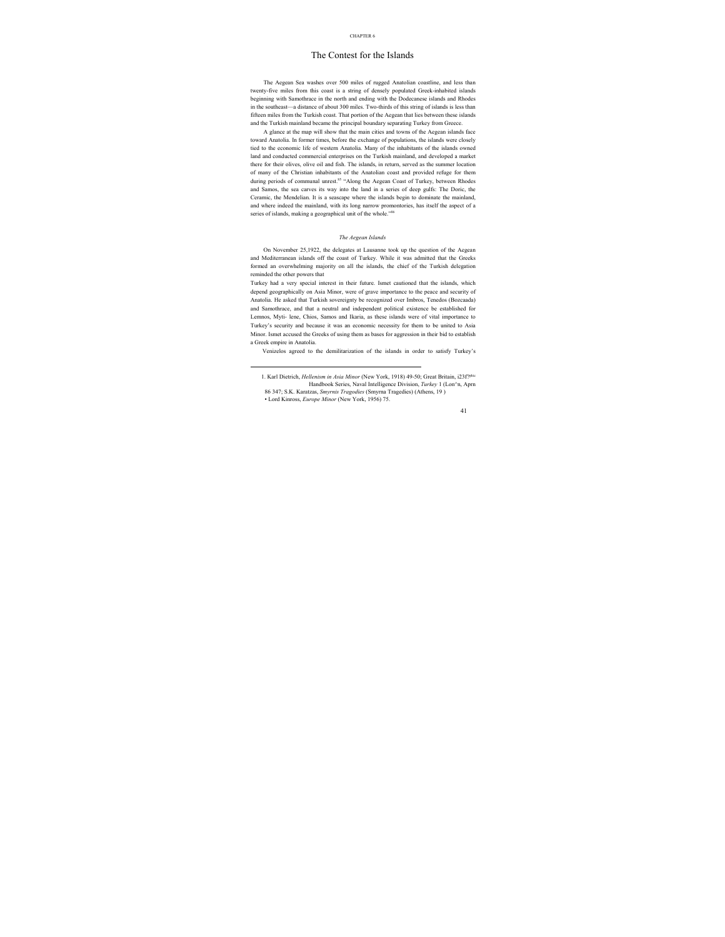## The Contest for the Islands

The Aegean Sea washes over 500 miles of rugged Anatolian coastline, and less than twenty-five miles from this coast is a string of densely populated Greek-inhabited islands beginning with Samothrace in the north and ending with the Dodecanese islands and Rhodes in the southeast—a distance of about 300 miles. Two-thirds of this string of islands is less than fifteen miles from the Turkish coast. That portion of the Aegean that lies between these islands and the Turkish mainland became the principal boundary separating Turkey from Greece.

A glance at the map will show that the main cities and towns of the Aegean islands face toward Anatolia. In former times, before the exchange of populations, the islands were closely tied to the economic life of western Anatolia. Many of the inhabitants of the islands owned land and conducted commercial enterprises on the Turkish mainland, and developed a market there for their olives, olive oil and fish. The islands, in return, served as the summer location of many of the Christian inhabitants of the Anatolian coast and provided refuge for them during periods of communal unrest.<sup>85</sup> "Along the Aegean Coast of Turkey, between Rhodes and Samos, the sea carves its way into the land in a series of deep gulfs: The Doric, the Ceramic, the Mendelian. It is a seascape where the islands begin to dominate the mainland, and where indeed the mainland, with its long narrow promontories, has itself the aspect of a series of islands, making a geographical unit of the whole."<sup>86</sup>

#### *The Aegean Islands*

On November 25,1922, the delegates at Lausanne took up the question of the Aegean and Mediterranean islands off the coast of Turkey. While it was admitted that the Greeks formed an overwhelming majority on all the islands, the chief of the Turkish delegation reminded the other powers that

Turkey had a very special interest in their future. Ismet cautioned that the islands, which depend geographically on Asia Minor, were of grave importance to the peace and security of Anatolia. He asked that Turkish sovereignty be recognized over Imbros, Tenedos (Bozcaada) and Samothrace, and that a neutral and independent political existence be established for Lemnos, Myti- lene, Chios, Samos and Ikaria, as these islands were of vital importance to Turkey's security and because it was an economic necessity for them to be united to Asia Minor. Ismet accused the Greeks of using them as bases for aggression in their bid to establish a Greek empire in Anatolia.

Venizelos agreed to the demilitarization of the islands in order to satisfy Turkey's

86 347; S.K. Karatzas, *Smyrnis Tragodies* (Smyrna Tragedies) (Athens, 19 )

 <sup>1.</sup> Karl Dietrich, *Hellenism in Asia Minor* (New York, 1918) 49-50; Great Britain, i23f?phic Handbook Series, Naval Intelligence Division, *Turkey* 1 (Lon^n, Aprn

<sup>•</sup> Lord Kinross, *Europe Minor* (New York, 1956) 75.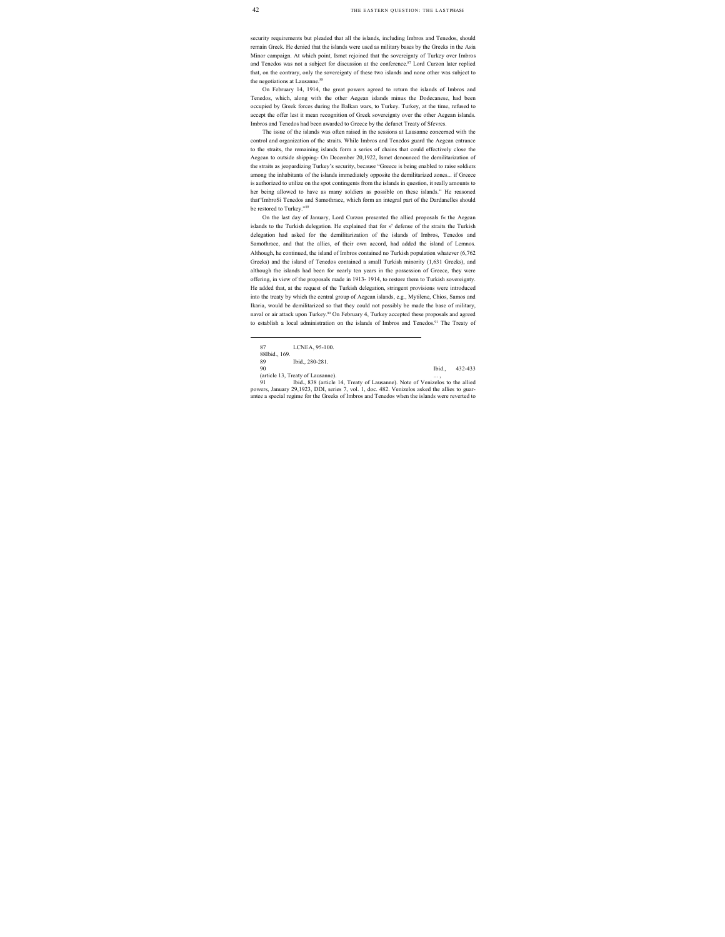security requirements but pleaded that all the islands, including Imbros and Tenedos, should remain Greek. He denied that the islands were used as military bases by the Greeks in the Asia Minor campaign. At which point, Ismet rejoined that the sovereignty of Turkey over Imbros and Tenedos was not a subject for discussion at the conference.<sup>87</sup> Lord Curzon later replied that, on the contrary, only the sovereignty of these two islands and none other was subject to the negotiations at Lausanne.<sup>88</sup>

On February 14, 1914, the great powers agreed to return the islands of Imbros and Tenedos, which, along with the other Aegean islands minus the Dodecanese, had been occupied by Greek forces during the Balkan wars, to Turkey. Turkey, at the time, refused to accept the offer lest it mean recognition of Greek sovereignty over the other Aegean islands. Imbros and Tenedos had been awarded to Greece by the defunct Treaty of Sfcvres.

The issue of the islands was often raised in the sessions at Lausanne concerned with the control and organization of the straits. While Imbros and Tenedos guard the Aegean entrance to the straits, the remaining islands form a series of chains that could effectively close the Aegean to outside shipping- On December 20,1922, Ismet denounced the demilitarization of the straits as jeopardizing Turkey's security, because "Greece is being enabled to raise soldiers among the inhabitants of the islands immediately opposite the demilitarized zones... if Greece is authorized to utilize on the spot contingents from the islands in question, it really amounts to her being allowed to have as many soldiers as possible on these islands." He reasoned that"ImbroSi Tenedos and Samothrace, which form an integral part of the Dardanelles should be restored to Turkey."89

On the last day of January, Lord Curzon presented the allied proposals f« the Aegean islands to the Turkish delegation. He explained that for »' defense of the straits the Turkish delegation had asked for the demilitarization of the islands of Imbros, Tenedos and Samothrace, and that the allies, of their own accord, had added the island of Lemnos. Although, he continued, the island of Imbros contained no Turkish population whatever (6,762 Greeks) and the island of Tenedos contained a small Turkish minority (1,631 Greeks), and although the islands had been for nearly ten years in the possession of Greece, they were offering, in view of the proposals made in 1913- 1914, to restore them to Turkish sovereignty. He added that, at the request of the Turkish delegation, stringent provisions were introduced into the treaty by which the central group of Aegean islands, e.g., Mytilene, Chios, Samos and Ikaria, would be demilitarized so that they could not possibly be made the base of military, naval or air attack upon Turkey.<sup>90</sup> On February 4, Turkey accepted these proposals and agreed to establish a local administration on the islands of Imbros and Tenedos.<sup>91</sup> The Treaty of

(article 13, Treaty of Lausanne). ... ,

90 Ibid., 432-433

Ibid., 838 (article 14, Treaty of Lausanne). Note of Venizelos to the allied powers, January 29,1923, DDI, series 7, vol. 1, doc. 482. Venizelos asked the allies to guarantee a special regime for the Greeks of Imbros and Tenedos when the islands were reverted to

 <sup>87</sup> LCNEA, 95-100.

<sup>88</sup> Ibid., 169.

<sup>89</sup> Ibid., 280-281.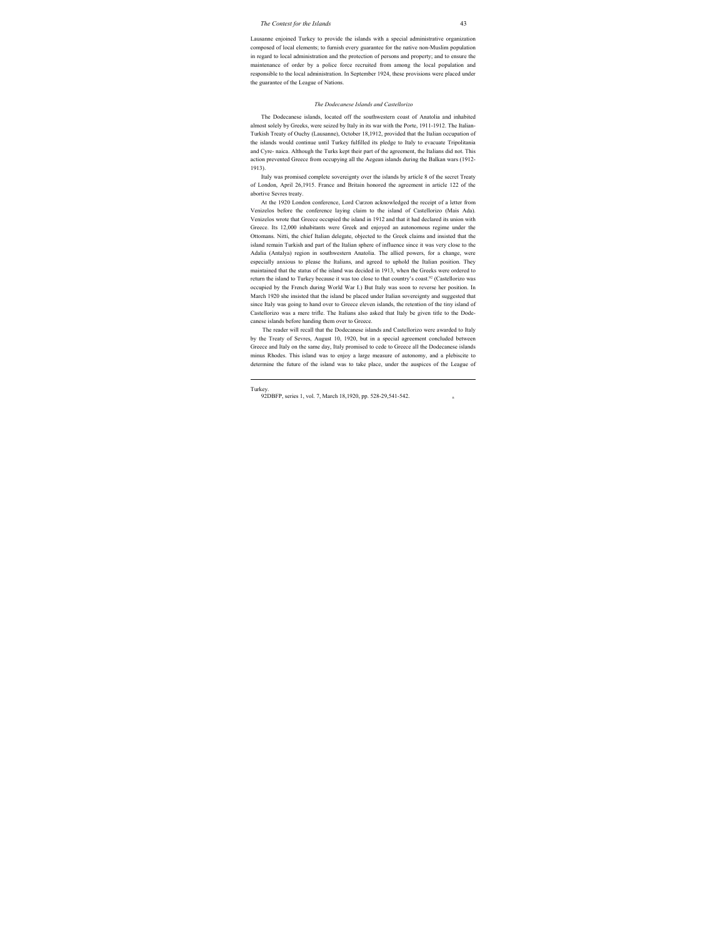Lausanne enjoined Turkey to provide the islands with a special administrative organization composed of local elements; to furnish every guarantee for the native non-Muslim population in regard to local administration and the protection of persons and property; and to ensure the maintenance of order by a police force recruited from among the local population and responsible to the local administration. In September 1924, these provisions were placed under the guarantee of the League of Nations.

#### *The Dodecanese Islands and Castellorizo*

The Dodecanese islands, located off the southwestern coast of Anatolia and inhabited almost solely by Greeks, were seized by Italy in its war with the Porte, 1911-1912. The Italian-Turkish Treaty of Ouchy (Lausanne), October 18,1912, provided that the Italian occupation of the islands would continue until Turkey fulfilled its pledge to Italy to evacuate Tripolitania and Cyre- naica. Although the Turks kept their part of the agreement, the Italians did not. This action prevented Greece from occupying all the Aegean islands during the Balkan wars (1912- 1913).

Italy was promised complete sovereignty over the islands by article 8 of the secret Treaty of London, April 26,1915. France and Britain honored the agreement in article 122 of the abortive Sevres treaty.

At the 1920 London conference, Lord Curzon acknowledged the receipt of a letter from Venizelos before the conference laying claim to the island of Castellorizo (Mais Ada). Venizelos wrote that Greece occupied the island in 1912 and that it had declared its union with Greece. Its 12,000 inhabitants were Greek and enjoyed an autonomous regime under the Ottomans. Nitti, the chief Italian delegate, objected to the Greek claims and insisted that the island remain Turkish and part of the Italian sphere of influence since it was very close to the Adalia (Antalya) region in southwestern Anatolia. The allied powers, for a change, were especially anxious to please the Italians, and agreed to uphold the Italian position. They maintained that the status of the island was decided in 1913, when the Greeks were ordered to return the island to Turkey because it was too close to that country's coast.<sup>92</sup> (Castellorizo was occupied by the French during World War I.) But Italy was soon to reverse her position. In March 1920 she insisted that the island be placed under Italian sovereignty and suggested that since Italy was going to hand over to Greece eleven islands, the retention of the tiny island of Castellorizo was a mere trifle. The Italians also asked that Italy be given title to the Dodecanese islands before handing them over to Greece.

The reader will recall that the Dodecanese islands and Castellorizo were awarded to Italy by the Treaty of Sevres, August 10, 1920, but in a special agreement concluded between Greece and Italy on the same day, Italy promised to cede to Greece all the Dodecanese islands minus Rhodes. This island was to enjoy a large measure of autonomy, and a plebiscite to determine the future of the island was to take place, under the auspices of the League of

Turkey.

<sup>92</sup>DBFP, series 1, vol. 7, March 18,1920, pp. 528-29,541-542. n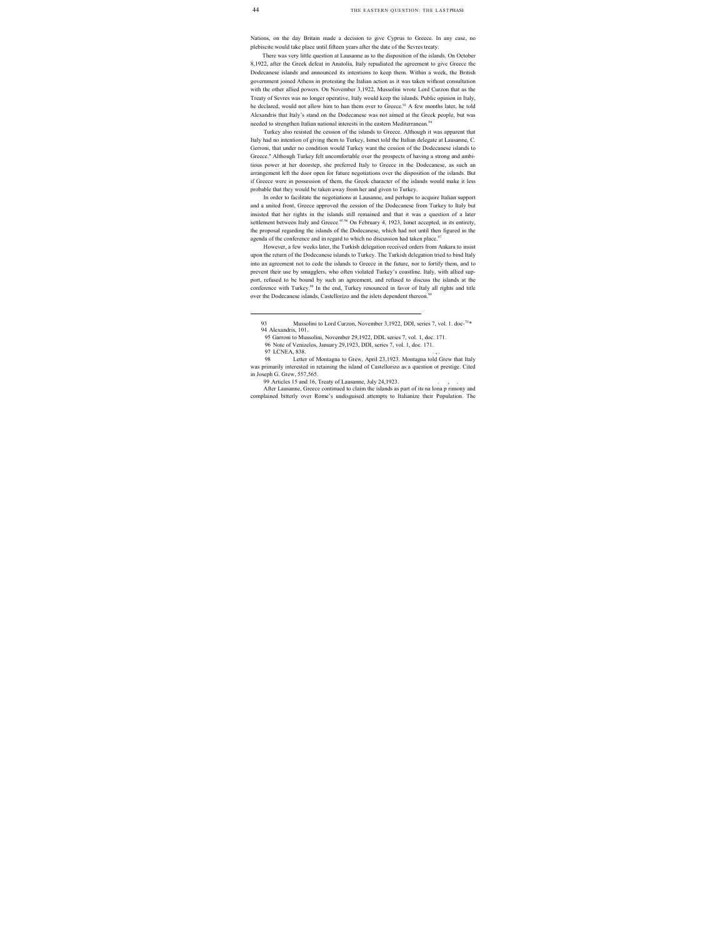Nations, on the day Britain made a decision to give Cyprus to Greece. In any case, no plebiscite would take place until fifteen years after the date of the Sevres treaty.

There was very little question at Lausanne as to the disposition of the islands. On October 8,1922, after the Greek defeat in Anatolia, Italy repudiated the agreement to give Greece the Dodecanese islands and announced its intentions to keep them. Within a week, the British government joined Athens in protesting the Italian action as it was taken without consultation with the other allied powers. On November 3,1922, Mussolini wrote Lord Curzon that as the Treaty of Sevres was no longer operative, Italy would keep the islands. Public opinion in Italy, he declared, would not allow him to han them over to Greece.<sup>93</sup> A few months later, he told Alexandris that Italy's stand on the Dodecanese was not aimed at the Greek people, but was needed to strengthen Italian national interests in the eastern Mediterranean.<sup>94</sup>

Turkey also resisted the cession of the islands to Greece. Although it was apparent that Italy had no intention of giving them to Turkey, Ismet told the Italian delegate at Lausanne, C. Gerroni, that under no condition would Turkey want the cession of the Dodecanese islands to Greece." Although Turkey felt uncomfortable over the prospects of having a strong and ambitious power at her doorstep, she preferred Italy to Greece in the Dodecanese, as such an arrangement left the door open for future negotiations over the disposition of the islands. But if Greece were in possession of them, the Greek character of the islands would make it less probable that they would be taken away from her and given to Turkey.

In order to facilitate the negotiations at Lausanne, and perhaps to acquire Italian support and a united front, Greece approved the cession of the Dodecanese from Turkey to Italy but insisted that her rights in the islands still remained and that it was a question of a later settlement between Italy and Greece.<sup>95 96</sup> On February 4, 1923, Ismet accepted, in its entirety, the proposal regarding the islands of the Dodecanese, which had not until then figured in the agenda of the conference and in regard to which no discussion had taken place.<sup>97</sup>

However, a few weeks later, the Turkish delegation received orders from Ankara to insist upon the return of the Dodecanese islands to Turkey. The Turkish delegation tried to bind Italy into an agreement not to cede the islands to Greece in the future, nor to fortify them, and to prevent their use by smugglers, who often violated Turkey's coastline. Italy, with allied support, refused to be bound by such an agreement, and refused to discuss the islands at the conference with Turkey.<sup>98</sup> In the end, Turkey renounced in favor of Italy all rights and title over the Dodecanese islands, Castellorizo and the islets dependent thereon.<sup>99</sup>

97 LCNEA, 838.

After Lausanne, Greece continued to claim the islands as part of its na lona p rimony and complained bitterly over Rome's undisguised attempts to Italianize their Population. The

<sup>93</sup> Mussolini to Lord Curzon, November 3,1922, DDI, series 7, vol. 1, doc-<sup>7U\*</sup> 94 Alexandris, 101.

<sup>95</sup> Garroni to Mussolini, November 29,1922, DDL series 7, vol. 1, doc. 171.

<sup>96</sup> Note of Venizelos, January 29,1923, DDI, series 7, vol. 1, doc. 171.

<sup>98</sup> Letter of Montagna to Grew, April 23,1923. Montagna told Grew that Italy was primarily interested in retaining the island of Castellorizo as a question ot prestige. Cited in Joseph G. Grew, 557,565.

<sup>99</sup> Articles 15 and 16, Treaty of Lausanne, July 24,1923.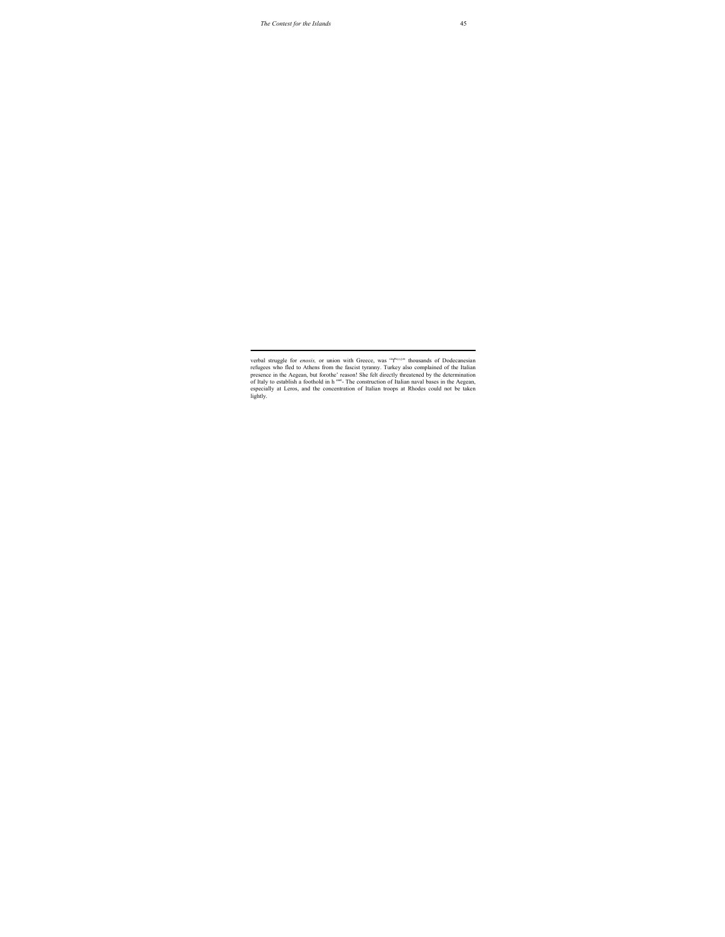verbal struggle for *enosis*, or union with Greece, was <sup>capacon</sup> thousands of Dodecanesian refugees who fled to Athens from the fascist tyranny. Turkey also complained of the Italian presence in the Aegean, but forothe' reason! She felt directly threatened by the determination of Italy to establish a foothold in h east- The construction of Italian naval bases in the Aegean, especially at Leros, and the concentration of Italian troops at Rhodes could not be taken lightly.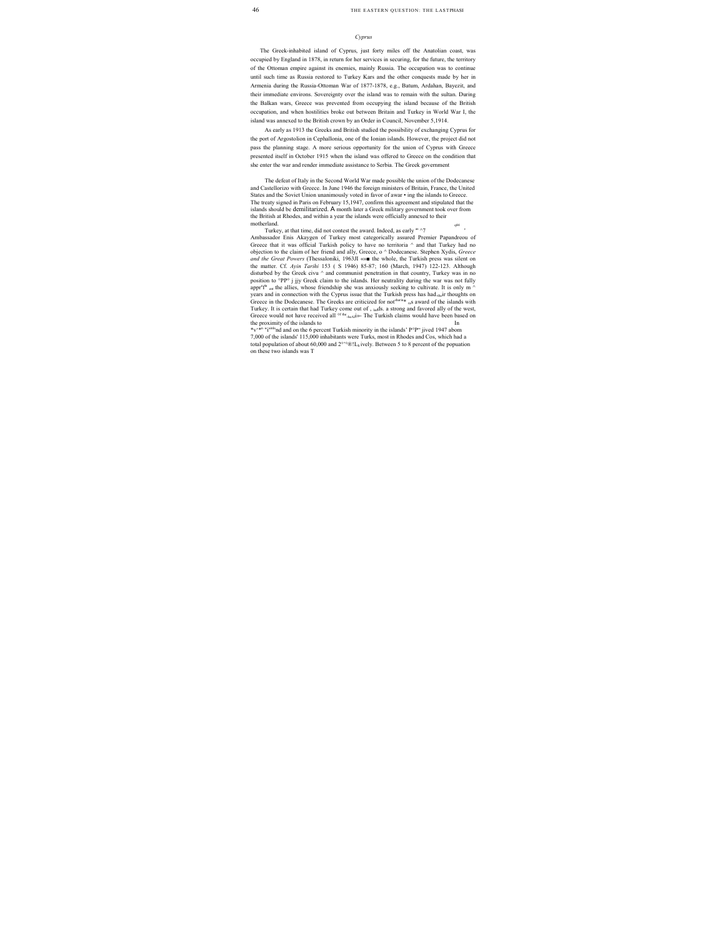#### *Cyprus*

The Greek-inhabited island of Cyprus, just forty miles off the Anatolian coast, was occupied by England in 1878, in return for her services in securing, for the future, the territory of the Ottoman empire against its enemies, mainly Russia. The occupation was to continue until such time as Russia restored to Turkey Kars and the other conquests made by her in Armenia during the Russia-Ottoman War of 1877-1878, e.g., Batum, Ardahan, Bayezit, and their immediate environs. Sovereignty over the island was to remain with the sultan. During the Balkan wars, Greece was prevented from occupying the island because of the British occupation, and when hostilities broke out between Britain and Turkey in World War I, the island was annexed to the British crown by an Order in Council, November 5,1914.

As early as 1913 the Greeks and British studied the possibility of exchanging Cyprus for the port of Argostolion in Cephallonia, one of the Ionian islands. However, the project did not pass the planning stage. A more serious opportunity for the union of Cyprus with Greece presented itself in October 1915 when the island was offered to Greece on the condition that she enter the war and render immediate assistance to Serbia. The Greek government

The defeat of Italy in the Second World War made possible the union of the Dodecanese and Castellorizo with Greece. In June 1946 the foreign ministers of Britain, France, the United States and the Soviet Union unanimously voted in favor of awar • ing the islands to Greece. The treaty signed in Paris on February 15,1947, confirm this agreement and stipulated that the islands should be demilitarized. A month later a Greek military government took over from the British at Rhodes, and within a year the islands were officially annexed to their motherland.  $\frac{1}{4}$ 

Turkey, at that time, did not contest the award. Indeed, as early <sup>as ^7</sup> Ambassador Enis Akaygen of Turkey most categorically assured Premier Papandreou of Greece that it was official Turkish policy to have no territoria ^ and that Turkey had no objection to the claim of her friend and ally, Greece, o ^ Dodecanese. Stephen Xydis, *Greece and the Great Powers* (Thessaloniki, 1963JI «»■ the whole, the Turkish press was silent on the matter. Cf. *Ayin Tarihi* 153 ( S 1946) 85-87; 160 (March, 1947) 122-123. Although disturbed by the Greek civu  $\land$  and communist penetration in that country, Turkey was in no position to °PP° j jjy Greek claim to the islands. Her neutrality during the war was not fully appr<sup>e fa</sup> cnt the allies, whose friendship she was anxiously seeking to cultivate. It is only m  $\land$ years and in connection with the Cyprus issue that the Turkish press has had.their thoughts on Greece in the Dodecanese. The Greeks are criticized for not<sup>sharin#</sup> ras award of the islands with Turkey. It is certain that had Turkey come out of , lands. a strong and favored ally of the west, Greece would not have received all  $\sigma$ <sup>f the</sup>.<sub>heAI</sub>i»- The Turkish claims would have been based on the proximity of the islands to

\*v'\*n "iainland and on the 6 percent Turkish minority in the islands' P°P" jived 1947 abom 7,000 of the islands' 115,000 inhabitants were Turks, most in Rhodes and Cos, which had a total population of about 60,000 and  $2^{\circ\circ}\circ \mathbb{R}!$  ively. Between 5 to 8 percent of the popuation on these two islands was T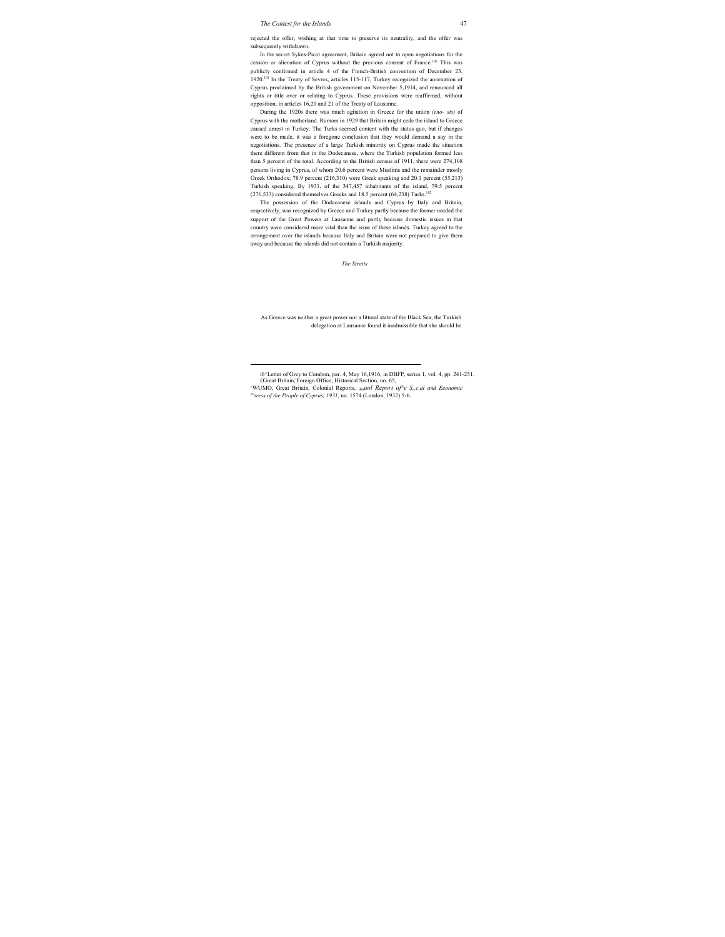rejected the offer, wishing at that time to preserve its neutrality, and the offer was subsequently withdrawn.

In the secret Sykes-Picot agreement, Britain agreed not to open negotiations for the cession or alienation of Cyprus without the previous consent of France.100 This was publicly confirmed in article 4 of the French-British convention of December 23, 1920.<sup>101</sup> In the Treaty of Sevres, articles 115-117, Turkey recognized the annexation of Cyprus proclaimed by the British government on November 5,1914, and renounced all rights or title over or relating to Cyprus. These provisions were reaffirmed, without opposition, in articles 16,20 and 21 of the Treaty of Lausanne.

During the 1920s there was much agitation in Greece for the union *(eno- sis)* of Cyprus with the motherland. Rumors in 1929 that Britain might cede the island to Greece caused unrest in Turkey. The Turks seemed content with the status quo, but if changes were to be made, it was a foregone conclusion that they would demand a say in the negotiations. The presence of a large Turkish minority on Cyprus made the situation there different from that in the Dodecanese, where the Turkish population formed less than 5 percent of the total. According to the British census of 1911, there were 274,108 persons living in Cyprus, of whom 20.6 percent were Muslims and the remainder mostly Greek Orthodox; 78.9 percent (216,310) were Greek speaking and 20.1 percent (55,213) Turkish speaking. By 1931, of the 347,457 inhabitants of the island, 79.5 percent  $(276,533)$  considered themselves Greeks and 18.5 percent  $(64,238)$  Turks.<sup>102</sup>

The possession of the Dodecanese islands and Cyprus by Italy and Britain, respectively, was recognized by Greece and Turkey partly because the former needed the support of the Great Powers at Lausanne and partly because domestic issues in that country were considered more vital than the issue of these islands. Turkey agreed to the arrangement over the islands because Italy and Britain were not prepared to give them away and because the islands did not contain a Turkish majority.

*The Straits*

As Greece was neither a great power nor a littoral state of the Black Sea, the Turkish delegation at Lausanne found it inadmissible that she should be

i6^Letter of Grey to Combon, par. 4, May 16,1916, in DBFP, series 1, vol. 4, pp. 241-251. £Great Britain,'Foreign Office, Historical Section, no. 65,

<sup>&#</sup>x27;WUMO, Great Britain, Colonial Reports, *Amuol Report of*<sup>2</sup>e S<sub>n</sub>c,al and Eeonomtc Pniress of the People of Cyprus, 1931, no. 1574 (London, 1932) 5-6.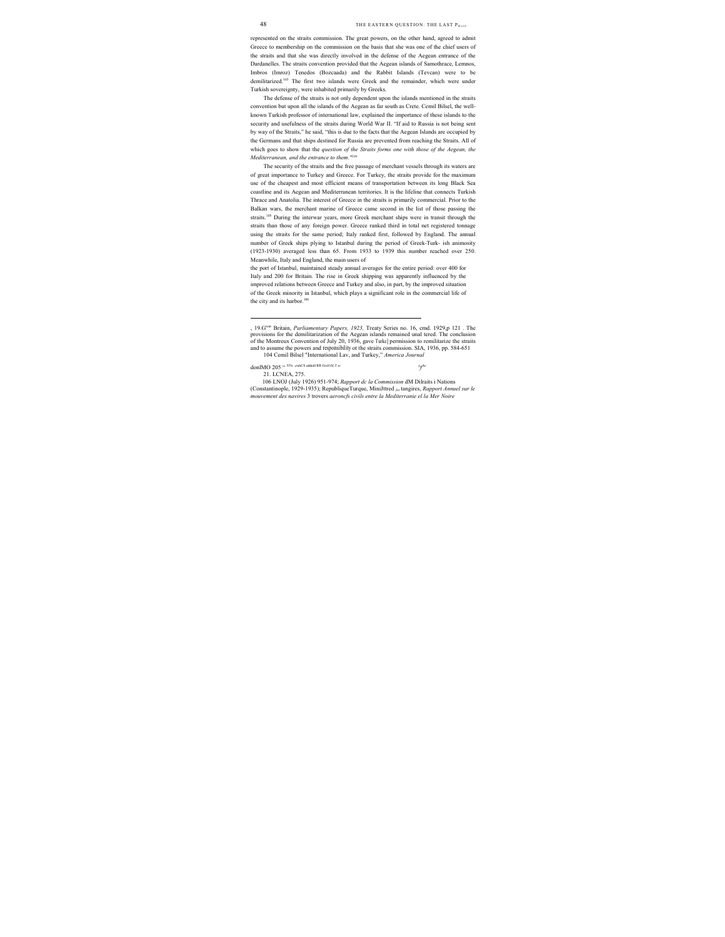represented on the straits commission. The great powers, on the other hand, agreed to admit Greece to membership on the commission on the basis that she was one of the chief users of the straits and that she was directly involved in the defense of the Aegean entrance of the Dardanelles. The straits convention provided that the Aegean islands of Samothrace, Lemnos, Imbros (Imroz) Tenedos (Bozcaada) and the Rabbit Islands (Tevcan) were to be demilitarized.103 The first two islands were Greek and the remainder, which were under Turkish sovereignty, were inhabited primarily by Greeks.

The defense of the straits is not only dependent upon the islands mentioned in the straits convention but upon all the islands of the Aegean as far south as Crete. Cemil Bilsel, the wellknown Turkish professor of international law, explained the importance of these islands to the security and usefulness of the straits during World War II. "If aid to Russia is not being sent by way of the Straits," he said, "this is due to the facts that the Aegean Islands are occupied by the Germans and that ships destined for Russia are prevented from reaching the Straits. All of which goes to show that the *question of the Straits forms one with those of the Aegean, the Mediterranean, and the entrance to them."104*

The security of the straits and the free passage of merchant vessels through its waters are of great importance to Turkey and Greece. For Turkey, the straits provide for the maximum use of the cheapest and most efficient means of transportation between its long Black Sea coastline and its Aegean and Mediterranean territories. It is the lifeline that connects Turkish Thrace and Anatolia. The interest of Greece in the straits is primarily commercial. Prior to the Balkan wars, the merchant marine of Greece came second in the list of those passing the straits.105 During the interwar years, more Greek merchant ships were in transit through the straits than those of any foreign power. Greece ranked third in total net registered tonnage using the straits for the same period; Italy ranked first, followed by England. The annual number of Greek ships plying to Istanbul during the period of Greek-Turk- ish animosity (1923-1930) averaged less than 65. From 1933 to 1939 this number reached over 250. Meanwhile, Italy and England, the main users of

the port of Istanbul, maintained steady annual averages for the entire period: over 400 for Italy and 200 for Britain. The rise in Greek shipping was apparently influenced by the improved relations between Greece and Turkey and also, in part, by the improved situation of the Greek minority in Istanbul, which plays a significant role in the commercial life of the city and its harbor.<sup>106</sup>

104 Cemil Bilsel "International Lav, and Turkey," *America Journal*

 *°f,he*

<u>.</u>

106 LNOJ (July 1926) 951-974; *Rapport dc la Commission* dM Dilraits i Nations (Constantinople, 1929-1935); RepubliqueTurque, MiniJttred *Jes* tangires, *Rapport Annuel sur le mouvement des navires* 3 trovers *aeroncfs civils entre la Mediterranie el la Mer Noire*

<sup>, 19.</sup>Great Britain, *Parliamentary Papers, 1923,* Treaty Series no. 16, cmd. 1929,p 121 . The provisions for the demilitarization of the Aegean islands remained unal tered. The conclusion of the Montreux Convention of July 20, 1936, gave Turke] permission to remilitarize the straits and to assume the powers and responsibility ot the straits commission. SIA, 1936, pp. 584-651

donlMO 205 " 553' 'tal' CS addedl RR GraV'S| *T,'e*

<sup>21.</sup> LCNEA, 275.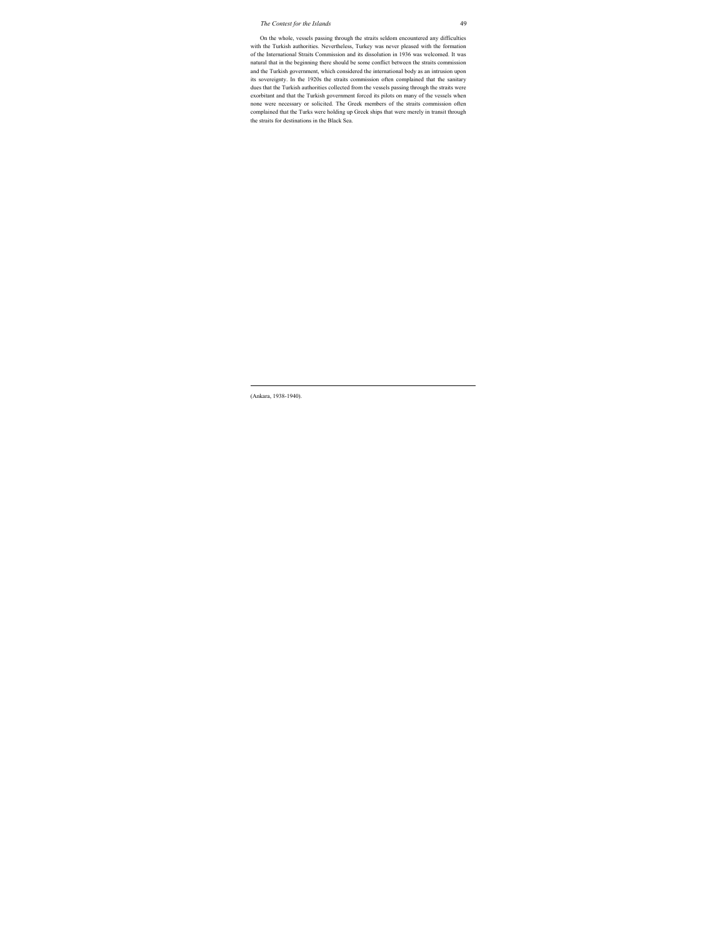On the whole, vessels passing through the straits seldom encountered any difficulties with the Turkish authorities. Nevertheless, Turkey was never pleased with the formation of the International Straits Commission and its dissolution in 1936 was welcomed. It was natural that in the beginning there should be some conflict between the straits commission and the Turkish government, which considered the international body as an intrusion upon its sovereignty. In the 1920s the straits commission often complained that the sanitary dues that the Turkish authorities collected from the vessels passing through the straits were exorbitant and that the Turkish government forced its pilots on many of the vessels when none were necessary or solicited. The Greek members of the straits commission often complained that the Turks were holding up Greek ships that were merely in transit through the straits for destinations in the Black Sea.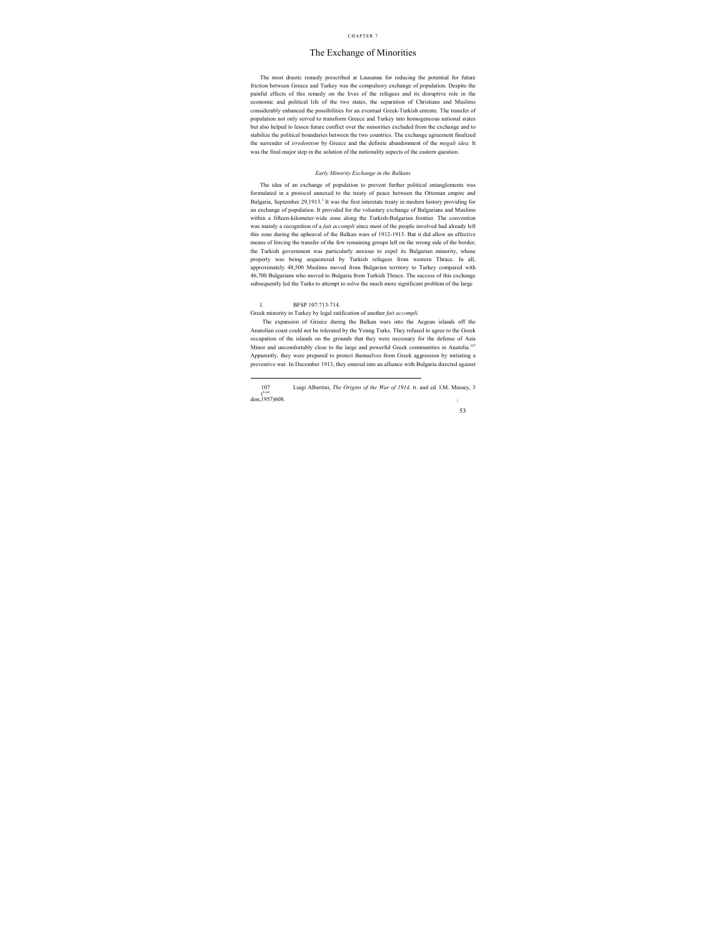## The Exchange of Minorities

The most drastic remedy prescribed at Lausanne for reducing the potential for future friction between Greece and Turkey was the compulsory exchange of population. Despite the painful effects of this remedy on the lives of the refugees and its disruptive role in the economic and political life of the two states, the separation of Christians and Muslims considerably enhanced the possibilities for an eventual Greek-Turkish entente. The transfer of population not only served to transform Greece and Turkey into homogeneous national states but also helped to lessen future conflict over the minorities excluded from the exchange and to stabilize the political boundaries between the two countries. The exchange agreement finalized the surrender of *irredentism* by Greece and the definite abandonment of the *megali idea.* It was the final major step in the solution of the nationality aspects of the eastern question.

#### *Early Minority Exchange in the Balkans*

The idea of an exchange of population to prevent further political entanglements was formulated in a protocol annexed to the treaty of peace between the Ottoman empire and Bulgaria, September 29,1913.<sup>1</sup> It was the first interstate treaty in modern history providing for an exchange of population. It provided for the voluntary exchange of Bulgarians and Muslims within a fifteen-kilometer-wide zone along the Turkish-Bulgarian frontier. The convention was mainly a recognition of a *fait accompli* since most of the people involved had already left this zone during the upheaval of the Balkan wars of 1912-1913. But it did allow an effective means of forcing the transfer of the few remaining groups left on the wrong side of the border; the Turkish government was particularly anxious to expel its Bulgarian minority, whose property was being sequestered by Turkish refugees from western Thrace. In all, approximately 48,500 Muslims moved from Bulgarian territory to Turkey compared with 46,700 Bulgarians who moved to Bulgaria from Turkish Thrace. The success of this exchange subsequently led the Turks to attempt to solve the much more significant problem of the large

#### l. BFSP 107:713-714.

Greek minority in Turkey by legal ratification of another *fait accompli.*

The expansion of Greece during the Balkan wars into the Aegean islands off the Anatolian coast could not be tolerated by the Young Turks. They refused to agree to the Greek occupation of the islands on the grounds that they were necessary for the defense of Asia Minor and uncomfortably close to the large and powerful Greek communities in Anatolia.107 Apparently, they were prepared to protect themselves from Greek aggression by initiating a preventive war. In December 1913, they entered into an alliance with Bulgaria directed against

 <sup>107</sup> Luigi Albertini, *The Origins of the War of 1914,* tr. and ed. I.M. Massey, 3  $($ Lon don, 1957) 608.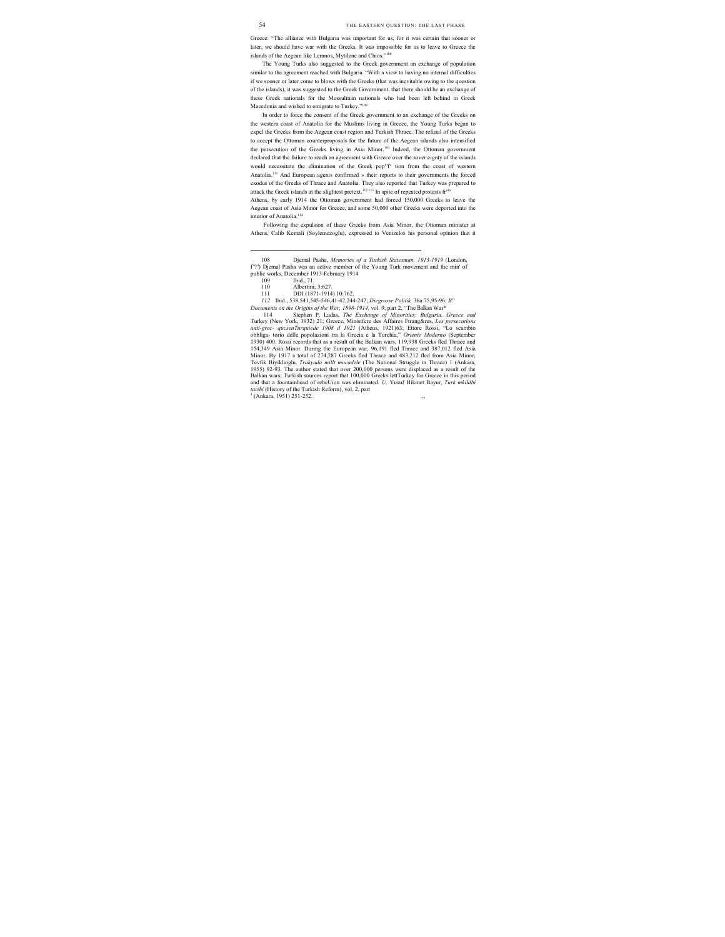Greece: "The alliance with Bulgaria was important for us, for it was certain that sooner or later, we should have war with the Greeks. It was impossible for us to leave to Greece the islands of the Aegean like Lemnos, Mytilene and Chios."108

The Young Turks also suggested to the Greek government an exchange of population similar to the agreement reached with Bulgaria. "With a view to having no internal difficulties if we sooner or later come to blows with the Greeks (that was inevitable owing to the question of the islands), it was suggested to the Greek Government, that there should be an exchange of these Greek nationals for the Mussulman nationals who had been left behind in Greek Macedonia and wished to emigrate to Turkey."109

In order to force the consent of the Greek government to an exchange of the Greeks on the western coast of Anatolia for the Muslims living in Greece, the Young Turks began to expel the Greeks from the Aegean coast region and Turkish Thrace. The refusal of the Greeks to accept the Ottoman counterproposals for the future of the Aegean islands also intensified the persecution of the Greeks living in Asia Minor.<sup>110</sup> Indeed, the Ottoman government declared that the failure to reach an agreement with Greece over the sover eignty of the islands would necessitate the elimination of the Greek popu 'f' tion from the coast of western Anatolia.111 And European agents confirmed » their reports to their governments the forced exodus of the Greeks of Thrace and Anatolia. They also reported that Turkey was prepared to attack the Greek islands at the slightest pretext.<sup>112 113</sup> In spite of repeated protests fr<sup>oin</sup>

Athens, by early 1914 the Ottoman government had forced 150,000 Greeks to leave the Aegean coast of Asia Minor for Greece, and some 50,000 other Greeks were deported into the interior of Anatolia.<sup>114</sup>

Following the expulsion of these Greeks from Asia Minor, the Ottoman minister at Athens, Calib Kemali (Soylemezoglu), expressed to Venizelos his personal opinion that it

*112* Ibid., 538,541,545-546,41-42,244-247; *Diegrosse Politik,* 36a:75,95-96; *B"*

*Documents on the Origins of the War, 1898-1914,* vol. 9, part 2, "The Balkan War\*

Stephen P. Ladas, *The Exchange of Minorities: Bulgaria, Greece and* Turkey (New York, 1932) 21; Greece, Ministfcre des Affaires Ftrang&res, *Les persecutions anti-grec- qucsenTurquiede 1908 d 1921* (Athens, 1921)63; Ettore Rossi, "Lo scambio obbliga- torio delle popolazioni tra la Grecia e la Turchia," *Oriente Moderno* (September 1930) 400. Rossi records that as a result of the Balkan wars, 119,938 Greeks fled Thrace and 154,349 Asia Minor. During the European war, 96,191 fled Thrace and 387,012 fled Asia Minor. By 1917 a total of 274,287 Greeks fled Thrace and 483,212 fled from Asia Minor; Tevfik Biyiklioglu, *Trakyada millt mucadele* (The National Struggle in Thrace) 1 (Ankara, 1955) 92-93. The author stated that over 200,000 persons were displaced as a result of the Balkan wars; Turkish sources report that 100,000 Greeks lettTurkey for Greece in this period and that a fountainhead of rebeUion was eliminated. *U.* Yusuf Hikmet Bayur, *Turk mkildbi*  tarihi (History of the Turkish Reform), vol. 2, part  $^{3}$  (Ankara, 1951) 251-252.  $,$ 

 <sup>108</sup> Djemal Pasha, *Memories of a Turkish Statesman, 1913-1919* (London, I<sup>9</sup>?<sup>4</sup>) Djemal Pasha was an active member of the Young Turk movement and the min' of public works, December 1913-February 1914

<sup>109</sup> Ibid., 71.

Albertini, 3:627.

<sup>111</sup> DDI (1871-1914) 10:762.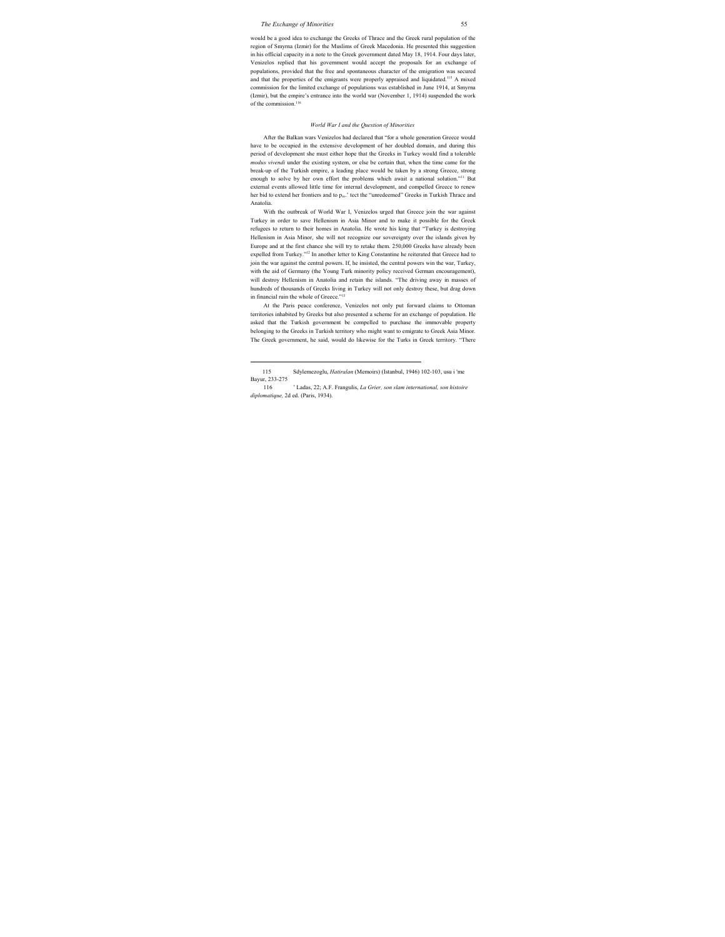would be a good idea to exchange the Greeks of Thrace and the Greek rural population of the region of Smyrna (Izmir) for the Muslims of Greek Macedonia. He presented this suggestion in his official capacity in a note to the Greek government dated May 18, 1914. Four days later, Venizelos replied that his government would accept the proposals for an exchange of populations, provided that the free and spontaneous character of the emigration was secured and that the properties of the emigrants were properly appraised and liquidated.<sup>115</sup> A mixed commission for the limited exchange of populations was established in June 1914, at Smyrna (Izmir), but the empire's entrance into the world war (November 1, 1914) suspended the work of the commission.<sup>116</sup>

#### *World War I and the Question of Minorities*

After the Balkan wars Venizelos had declared that "for a whole generation Greece would have to be occupied in the extensive development of her doubled domain, and during this period of development she must either hope that the Greeks in Turkey would find a tolerable *modus vivendi* under the existing system, or else be certain that, when the time came for the break-up of the Turkish empire, a leading place would be taken by a strong Greece, strong enough to solve by her own effort the problems which await a national solution."11 But external events allowed little time for internal development, and compelled Greece to renew her bid to extend her frontiers and to p<sub>m</sub>.' tect the "unredeemed" Greeks in Turkish Thrace and Anatolia.

With the outbreak of World War I, Venizelos urged that Greece join the war against Turkey in order to save Hellenism in Asia Minor and to make it possible for the Greek refugees to return to their homes in Anatolia. He wrote his king that "Turkey is destroying Hellenism in Asia Minor, she will not recognize our sovereignty over the islands given by Europe and at the first chance she will try to retake them. 250,000 Greeks have already been expelled from Turkey."12 In another letter to King Constantine he reiterated that Greece had to join the war against the central powers. If, he insisted, the central powers win the war, Turkey, with the aid of Germany (the Young Turk minority policy received German encouragement), will destroy Hellenism in Anatolia and retain the islands. "The driving away in masses of hundreds of thousands of Greeks living in Turkey will not only destroy these, but drag down in financial ruin the whole of Greece."<sup>13</sup>

At the Paris peace conference, Venizelos not only put forward claims to Ottoman territories inhabited by Greeks but also presented a scheme for an exchange of population. He asked that the Turkish government be compelled to purchase the immovable property belonging to the Greeks in Turkish territory who might want to emigrate to Greek Asia Minor. The Greek government, he said, would do likewise for the Turks in Greek territory. "There

 <sup>115</sup> Sdylemezoglu, *Hatiralan* (Memoirs) (Istanbul, 1946) 102-103, usu i 'me Bayur, 233-275

<sup>116 &#</sup>x27; Ladas, 22; A.F. Frangulis, *La Grier, son slam international, son histoire diplomatique,* 2d ed. (Paris, 1934).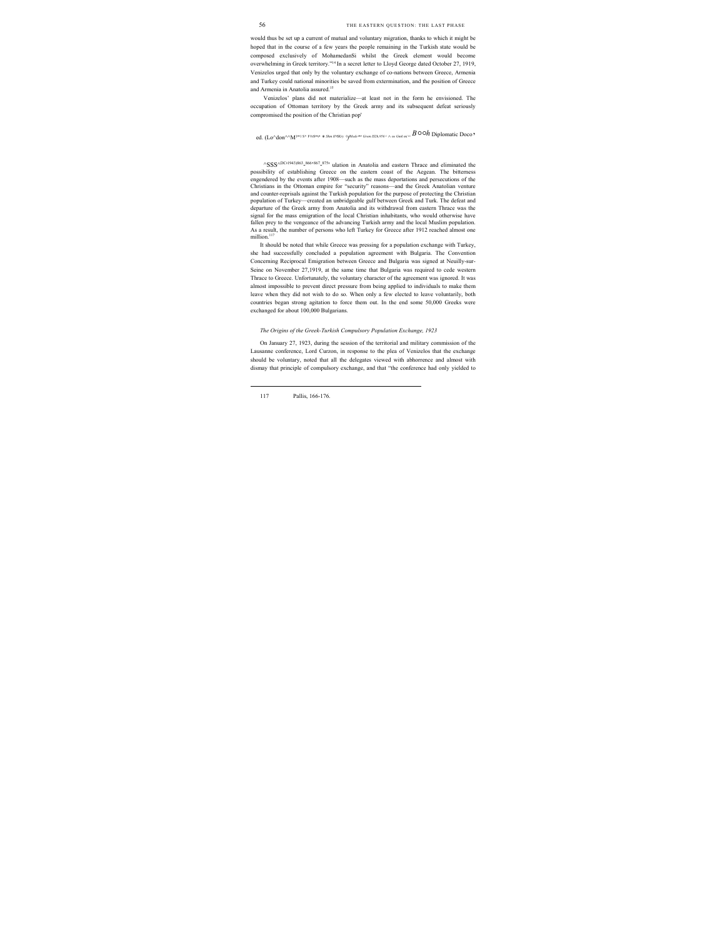would thus be set up a current of mutual and voluntary migration, thanks to which it might be hoped that in the course of a few years the people remaining in the Turkish state would be composed exclusively of MohamedanSi whilst the Greek element would become overwhelming in Greek territory."14 In a secret letter to Lloyd George dated October 27, 1919, Venizelos urged that only by the voluntary exchange of co-nations between Greece, Armenia and Turkey could national minorities be saved from extermination, and the position of Greece and Armenia in Anatolia assured.<sup>15</sup>

Venizelos' plans did not materialize—at least not in the form he envisioned. The occupation of Ottoman territory by the Greek army and its subsequent defeat seriously compromised the position of the Christian pop'

ed. (Lo^don^^M<sup>1n1 S</sup>' ForSnn \* *Shm H6Kry ° of Mode nr Grem IS2h,956*' <sub>^ ^ ne Gmk mi «  $B$  O O $h$  Diplomatic Doco "</sub>

<sup>^</sup>SSS<sup>^DC</sup><sup>1943)863</sup>-<sup>866,867</sup>-<sup>875</sup>' ulation in Anatolia and eastern Thrace and eliminated the possibility of establishing Greece on the eastern coast of the Aegean. The bitterness engendered by the events after 1908—such as the mass deportations and persecutions of the Christians in the Ottoman empire for "security" reasons—and the Greek Anatolian venture and counter-reprisals against the Turkish population for the purpose of protecting the Christian population of Turkey—created an unbridgeable gulf between Greek and Turk. The defeat and departure of the Greek army from Anatolia and its withdrawal from eastern Thrace was the signal for the mass emigration of the local Christian inhabitants, who would otherwise have fallen prey to the vengeance of the advancing Turkish army and the local Muslim population. As a result, the number of persons who left Turkey for Greece after 1912 reached almost one million.<sup>117</sup>

It should be noted that while Greece was pressing for a population exchange with Turkey, she had successfully concluded a population agreement with Bulgaria. The Convention Concerning Reciprocal Emigration between Greece and Bulgaria was signed at Neuilly-sur-Seine on November 27,1919, at the same time that Bulgaria was required to cede western Thrace to Greece. Unfortunately, the voluntary character of the agreement was ignored. It was almost impossible to prevent direct pressure from being applied to individuals to make them leave when they did not wish to do so. When only a few elected to leave voluntarily, both countries began strong agitation to force them out. In the end some 50,000 Greeks were exchanged for about 100,000 Bulgarians.

#### *The Origins of the Greek-Turkish Compulsory Population Exchange, 1923*

On January 27, 1923, during the session of the territorial and military commission of the Lausanne conference, Lord Curzon, in response to the plea of Venizelos that the exchange should be voluntary, noted that all the delegates viewed with abhorrence and almost with dismay that principle of compulsory exchange, and that "the conference had only yielded to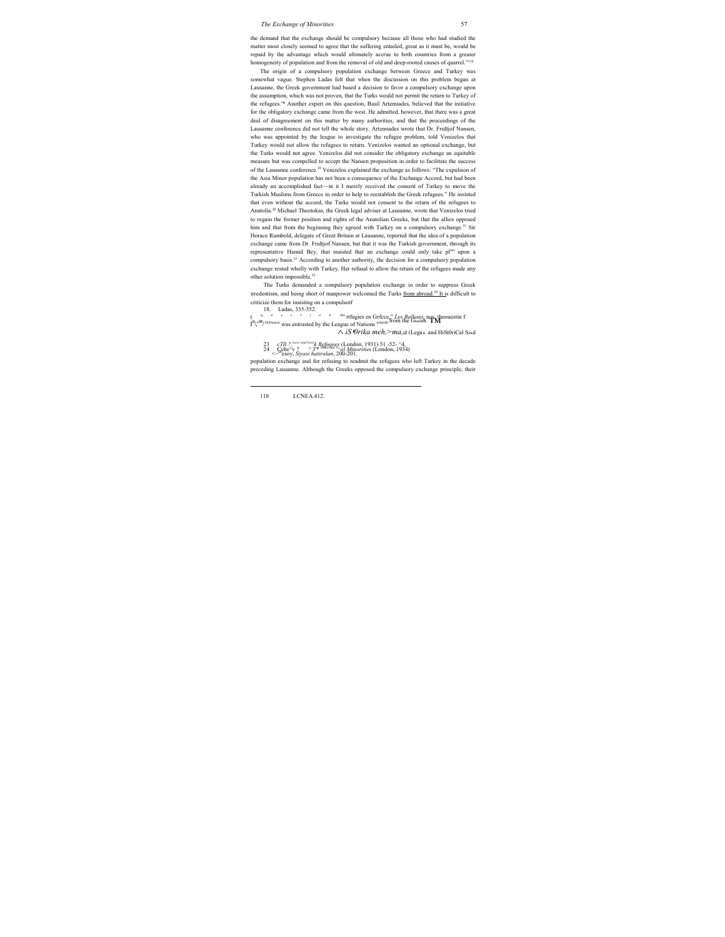the demand that the exchange should be compulsory because all those who had studied the matter most closely seemed to agree that the suffering entailed, great as it must be, would be repaid by the advantage which would ultimately accrue to both countries from a greater homogeneity of population and from the removal of old and deep-rooted causes of quarrel."<sup>118</sup>

The origin of a compulsory population exchange between Greece and Turkey was somewhat vague. Stephen Ladas felt that when the discussion on this problem began at Lausanne, the Greek government had based a decision to favor a compulsory exchange upon the assumption, which was not proven, that the Turks would not permit the return to Turkey of the refugees.'\* Another expert on this question, Basil Artemiades, believed that the initiative for the obligatory exchange came from the west. He admitted, however, that there was a great deal of disagreement on this matter by many authorities, and that the proceedings of the Lausanne conference did not tell the whole story. Artemiades wrote that Dr. Fridtjof Nansen, who was appointed by the league to investigate the refugee problem, told Venizelos that Turkey would not allow the refugees to return. Venizelos wanted an optional exchange, but the Turks would not agree. Venizelos did not consider the obligatory exchange an equitable measure but was compelled to accept the Nansen proposition in order to facilitate the success of the Lausanne conference.19 Venizelos explained the exchange as follows: "The expulsion of the Asia Minor population has not been a consequence of the Exchange Accord, but had been already an accomplished fact—in it I merely received the consent of Turkey to move the Turkish Muslims from Greece in order to help to reestablish the Greek refugees." He insisted that even without the accord, the Turks would not consent to the return of the refugees to Anatolia.20 Michael Theotokas, the Greek legal adviser at Lausanne, wrote that Venizelos tried to regain the former position and rights of the Anatolian Greeks, but that the allies opposed him and that from the beginning they agreed with Turkey on a compulsory exchange.<sup>21</sup> Sir Horace Rumbold, delegate of Great Britain at Lausanne, reported that the idea of a population exchange came from Dr. Fridtjof Nansen, but that it was the Turkish government, through its representative Hamid Bey, that insisted that an exchange could only take place upon a compulsory basis.<sup>22</sup> According to another authority, the decision for a compulsory population exchange rested wholly with Turkey. Her refusal to allow the return of the refugees made any other solution impossible.23

The Turks demanded a compulsory population exchange in order to suppress Greek irredentism, and being short of manpower welcomed the Turks from abroad.24 It is difficult to criticize them for insisting on a compulsotf

18. Ladas, 335-352. ( q u e s t i o n des rtfugies en Grfcce," *Les Balkans*, nos. theouestin f <br> **<sup>34</sup>/,<sup>355</sup>/** *DnNansen* was entrusted by the League of Nations <sup>refiiesk</sup> from the G\*4sh **™** 

*^ iS' 0rika meh,>ma,a* (Lega' and HiSt0riCal S"d

- 
- <sup>23</sup> *cTll ?,reece and Greek Refugees* (London, 1931) 51 -52- ^4, <sup>24</sup> Cebe^v ? ^ *T\** Sfflto *and N^al Minorities* (London, 1934) <~ebesoy, *Siyasi hatiralan*, 200-201.

population exchange and for refusing to readmit the refugees who left Turkey in the decade preceding Lausanne. Although the Greeks opposed the compulsory exchange principle, their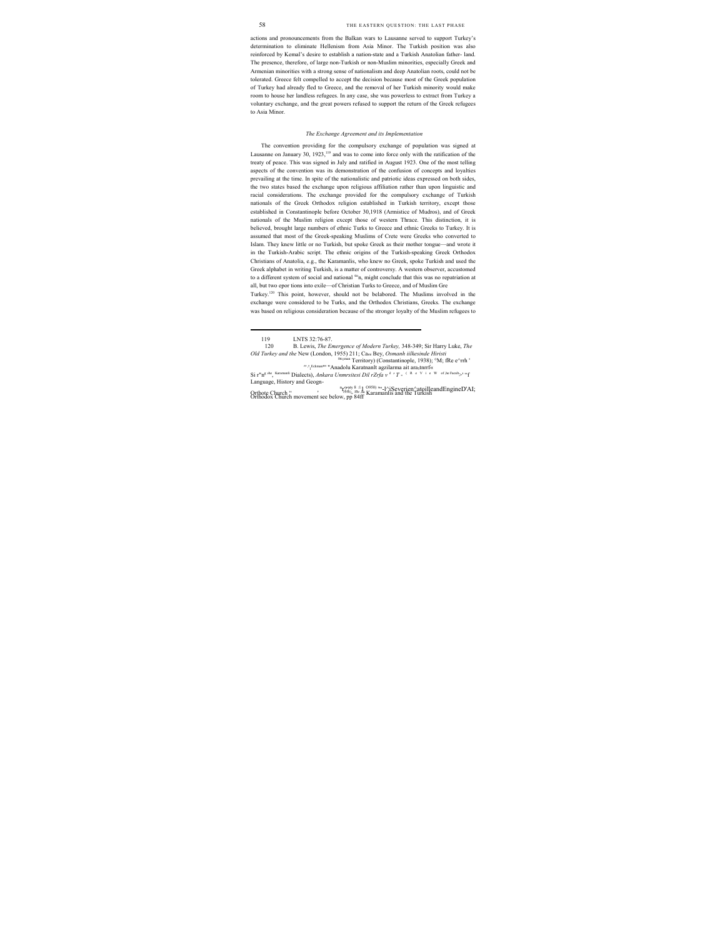actions and pronouncements from the Balkan wars to Lausanne served to support Turkey's determination to eliminate Hellenism from Asia Minor. The Turkish position was also reinforced by Kemal's desire to establish a nation-state and a Turkish Anatolian father- land. The presence, therefore, of large non-Turkish or non-Muslim minorities, especially Greek and Armenian minorities with a strong sense of nationalism and deep Anatolian roots, could not be tolerated. Greece felt compelled to accept the decision because most of the Greek population of Turkey had already fled to Greece, and the removal of her Turkish minority would make room to house her landless refugees. In any case, she was powerless to extract from Turkey a voluntary exchange, and the great powers refused to support the return of the Greek refugees to Asia Minor.

#### *The Exchange Agreement and its Implementation*

The convention providing for the compulsory exchange of population was signed at Lausanne on January 30,  $1923$ ,<sup>119</sup> and was to come into force only with the ratification of the treaty of peace. This was signed in July and ratified in August 1923. One of the most telling aspects of the convention was its demonstration of the confusion of concepts and loyalties prevailing at the time. In spite of the nationalistic and patriotic ideas expressed on both sides, the two states based the exchange upon religious affiliation rather than upon linguistic and racial considerations. The exchange provided for the compulsory exchange of Turkish nationals of the Greek Orthodox religion established in Turkish territory, except those established in Constantinople before October 30,1918 (Armistice of Mudros), and of Greek nationals of the Muslim religion except those of western Thrace. This distinction, it is believed, brought large numbers of ethnic Turks to Greece and ethnic Greeks to Turkey. It is assumed that most of the Greek-speaking Muslims of Crete were Greeks who converted to Islam. They knew little or no Turkish, but spoke Greek as their mother tongue—and wrote it in the Turkish-Arabic script. The ethnic origins of the Turkish-speaking Greek Orthodox Christians of Anatolia, e.g., the Karamanlis, who knew no Greek, spoke Turkish and used the Greek alphabet in writing Turkish, is a matter of controversy. A western observer, accustomed to a different system of social and national tion, might conclude that this was no repatriation at all, but two epor tions into exile—of Christian Turks to Greece, and of Muslim Gre Turkey.120 This point, however, should not be belabored. The Muslims involved in the

exchange were considered to be Turks, and the Orthodox Christians, Greeks. The exchange was based on religious consideration because of the stronger loyalty of the Muslim refugees to

119 LNTS 32:76-87.

0ttoman Territory) (Constantinople, 1938); °M; fRe e^rrh ' ",<sup>1</sup> Eckman"' "Anadolu Karatnanlt agzilarma ait ara5tnrrf«

Language, History and Geogn- n r??ty 8, :11 O950) '"-l^iSeverien^atoilleandEngineD'AI; Orthote Church " ' 1958)- For ,ha Karamanlis and the Turkish Orthodox Church movement see below, pp 84ff

<sup>120</sup> B. Lewis, *The Emergence of Modern Turkey,* 348-349; Sir Harry Luke, *The Old Turkey and the* New (London, 1955) 211; Cami Bey, *Osmanh iilkesinde Hiristi* 

Si r"n<sup>g the</sup>, <sup>Karamanli</sup> Dialects), *Ankara Unmrsitesi Dil rZrfa v* k <sup>*'</sup> T* - ( R e V i e W of ,he Facult>' "f</sup>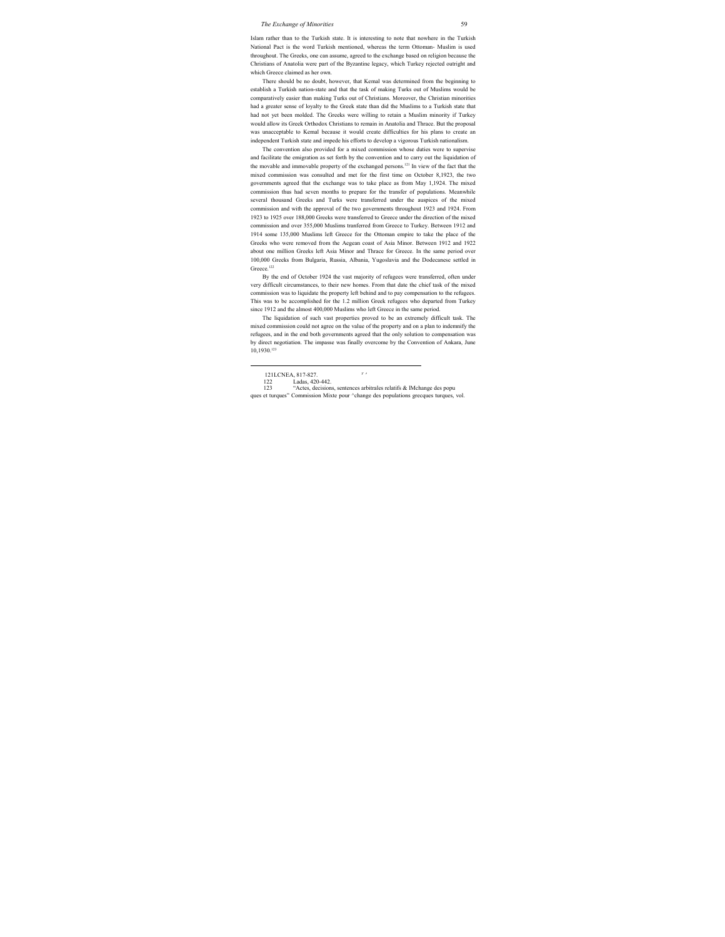Islam rather than to the Turkish state. It is interesting to note that nowhere in the Turkish National Pact is the word Turkish mentioned, whereas the term Ottoman- Muslim is used throughout. The Greeks, one can assume, agreed to the exchange based on religion because the Christians of Anatolia were part of the Byzantine legacy, which Turkey rejected outright and which Greece claimed as her own.

There should be no doubt, however, that Kemal was determined from the beginning to establish a Turkish nation-state and that the task of making Turks out of Muslims would be comparatively easier than making Turks out of Christians. Moreover, the Christian minorities had a greater sense of loyalty to the Greek state than did the Muslims to a Turkish state that had not yet been molded. The Greeks were willing to retain a Muslim minority if Turkey would allow its Greek Orthodox Christians to remain in Anatolia and Thrace. But the proposal was unacceptable to Kemal because it would create difficulties for his plans to create an independent Turkish state and impede his efforts to develop a vigorous Turkish nationalism.

The convention also provided for a mixed commission whose duties were to supervise and facilitate the emigration as set forth by the convention and to carry out the liquidation of the movable and immovable property of the exchanged persons.<sup>121</sup> In view of the fact that the mixed commission was consulted and met for the first time on October 8,1923, the two governments agreed that the exchange was to take place as from May 1,1924. The mixed commission thus had seven months to prepare for the transfer of populations. Meanwhile several thousand Greeks and Turks were transferred under the auspices of the mixed commission and with the approval of the two governments throughout 1923 and 1924. From 1923 to 1925 over 188,000 Greeks were transferred to Greece under the direction of the mixed commission and over 355,000 Muslims tranferred from Greece to Turkey. Between 1912 and 1914 some 135,000 Muslims left Greece for the Ottoman empire to take the place of the Greeks who were removed from the Aegean coast of Asia Minor. Between 1912 and 1922 about one million Greeks left Asia Minor and Thrace for Greece. In the same period over 100,000 Greeks from Bulgaria, Russia, Albania, Yugoslavia and the Dodecanese settled in Greece.<sup>122</sup>

By the end of October 1924 the vast majority of refugees were transferred, often under very difficult circumstances, to their new homes. From that date the chief task of the mixed commission was to liquidate the property left behind and to pay compensation to the refugees. This was to be accomplished for the 1.2 million Greek refugees who departed from Turkey since 1912 and the almost 400,000 Muslims who left Greece in the same period.

The liquidation of such vast properties proved to be an extremely difficult task. The mixed commission could not agree on the value of the property and on a plan to indemnify the refugees, and in the end both governments agreed that the only solution to compensation was by direct negotiation. The impasse was finally overcome by the Convention of Ankara, June 10,1930.123

"Actes, decisions, sentences arbitrales relatifs & lMchange des popu ques et turques" Commission Mixte pour ^change des populations grecques turques, vol.

<sup>121</sup> LCNEA, 817-827. <sup>*V*</sup> *'*<br>122 I adas. 420-442.

<sup>122</sup> Ladas, 420-442.<br>123 "Actes decision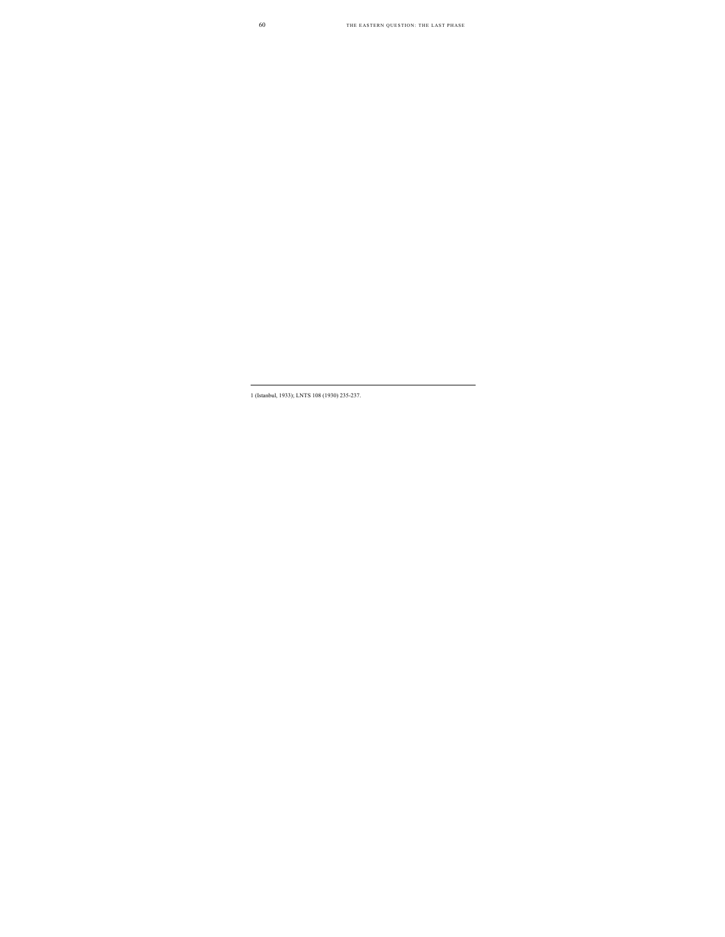<sup>1 (</sup>Istanbul, 1933); LNTS 108 (1930) 235-237.